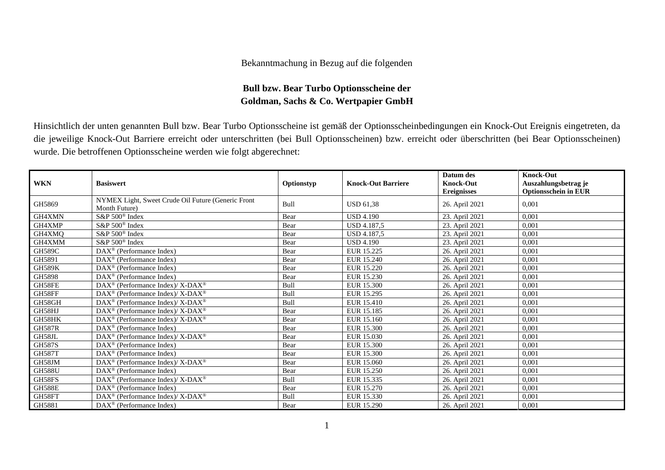## Bekanntmachung in Bezug auf die folgenden

## **Bull bzw. Bear Turbo Optionsscheine der Goldman, Sachs & Co. Wertpapier GmbH**

Hinsichtlich der unten genannten Bull bzw. Bear Turbo Optionsscheine ist gemäß der Optionsscheinbedingungen ein Knock-Out Ereignis eingetreten, da die jeweilige Knock-Out Barriere erreicht oder unterschritten (bei Bull Optionsscheinen) bzw. erreicht oder überschritten (bei Bear Optionsscheinen) wurde. Die betroffenen Optionsscheine werden wie folgt abgerechnet:

| <b>WKN</b>    | <b>Basiswert</b>                                                    | Optionstyp  | <b>Knock-Out Barriere</b> | Datum des<br><b>Knock-Out</b><br><b>Ereignisses</b> | <b>Knock-Out</b><br>Auszahlungsbetrag je<br><b>Optionsschein in EUR</b> |
|---------------|---------------------------------------------------------------------|-------------|---------------------------|-----------------------------------------------------|-------------------------------------------------------------------------|
| GH5869        | NYMEX Light, Sweet Crude Oil Future (Generic Front<br>Month Future) | Bull        | <b>USD 61.38</b>          | 26. April 2021                                      | 0.001                                                                   |
| GH4XMN        | S&P 500 <sup>®</sup> Index                                          | Bear        | <b>USD 4.190</b>          | 23. April 2021                                      | 0.001                                                                   |
| GH4XMP        | S&P 500 <sup>®</sup> Index                                          | Bear        | USD 4.187,5               | 23. April 2021                                      | 0,001                                                                   |
| GH4XMQ        | S&P 500 <sup>®</sup> Index                                          | Bear        | USD 4.187,5               | 23. April 2021                                      | 0,001                                                                   |
| GH4XMM        | $S\&P 500^{\circ}$ Index                                            | Bear        | <b>USD 4.190</b>          | 23. April 2021                                      | 0.001                                                                   |
| <b>GH589C</b> | DAX <sup>®</sup> (Performance Index)                                | Bear        | EUR 15.225                | 26. April 2021                                      | 0,001                                                                   |
| GH5891        | DAX <sup>®</sup> (Performance Index)                                | Bear        | EUR 15.240                | 26. April 2021                                      | 0,001                                                                   |
| <b>GH589K</b> | DAX <sup>®</sup> (Performance Index)                                | Bear        | EUR 15.220                | 26. April 2021                                      | 0,001                                                                   |
| GH5898        | $DAX^{\circledcirc}$ (Performance Index)                            | Bear        | EUR 15.230                | 26. April 2021                                      | 0,001                                                                   |
| GH58FE        | DAX <sup>®</sup> (Performance Index)/ X-DAX <sup>®</sup>            | Bull        | <b>EUR 15.300</b>         | 26. April 2021                                      | 0,001                                                                   |
| GH58FF        | DAX <sup>®</sup> (Performance Index)/X-DAX <sup>®</sup>             | <b>Bull</b> | EUR 15.295                | 26. April 2021                                      | 0.001                                                                   |
| GH58GH        | DAX <sup>®</sup> (Performance Index)/ X-DAX <sup>®</sup>            | Bull        | EUR 15.410                | 26. April 2021                                      | 0,001                                                                   |
| GH58HJ        | DAX <sup>®</sup> (Performance Index)/ X-DAX <sup>®</sup>            | Bear        | EUR 15.185                | 26. April 2021                                      | 0,001                                                                   |
| GH58HK        | $\text{DAX}^{\otimes}$ (Performance Index)/X-DAX <sup>®</sup>       | Bear        | EUR 15.160                | 26. April 2021                                      | 0.001                                                                   |
| <b>GH587R</b> | $\text{DAX}^{\circledast}$ (Performance Index)                      | Bear        | EUR 15.300                | 26. April 2021                                      | 0,001                                                                   |
| GH58JL        | DAX <sup>®</sup> (Performance Index)/ X-DAX <sup>®</sup>            | Bear        | EUR 15.030                | 26. April 2021                                      | 0,001                                                                   |
| <b>GH587S</b> | DAX <sup>®</sup> (Performance Index)                                | Bear        | EUR 15.300                | 26. April 2021                                      | 0,001                                                                   |
| <b>GH587T</b> | $DAX^{\circledcirc}$ (Performance Index)                            | Bear        | EUR 15.300                | 26. April 2021                                      | 0,001                                                                   |
| GH58JM        | DAX <sup>®</sup> (Performance Index)/ X-DAX <sup>®</sup>            | Bear        | EUR 15.060                | 26. April 2021                                      | 0,001                                                                   |
| <b>GH588U</b> | $DAX^{\circledcirc}$ (Performance Index)                            | Bear        | EUR 15.250                | 26. April 2021                                      | 0.001                                                                   |
| GH58FS        | DAX <sup>®</sup> (Performance Index)/X-DAX <sup>®</sup>             | <b>Bull</b> | EUR 15.335                | 26. April 2021                                      | 0,001                                                                   |
| <b>GH588E</b> | DAX <sup>®</sup> (Performance Index)                                | Bear        | EUR 15.270                | 26. April 2021                                      | 0,001                                                                   |
| GH58FT        | $\text{DAX}^{\otimes}$ (Performance Index)/X-DAX <sup>®</sup>       | Bull        | EUR 15.330                | 26. April 2021                                      | 0,001                                                                   |
| GH5881        | DAX <sup>®</sup> (Performance Index)                                | Bear        | EUR 15.290                | 26. April 2021                                      | 0,001                                                                   |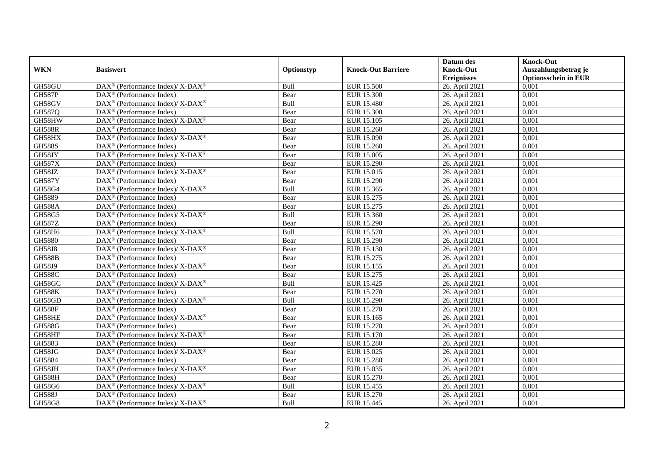|               |                                                                                         |            |                           | Datum des          | <b>Knock-Out</b>            |
|---------------|-----------------------------------------------------------------------------------------|------------|---------------------------|--------------------|-----------------------------|
| <b>WKN</b>    | <b>Basiswert</b>                                                                        | Optionstyp | <b>Knock-Out Barriere</b> | <b>Knock-Out</b>   | Auszahlungsbetrag je        |
|               |                                                                                         |            |                           | <b>Ereignisses</b> | <b>Optionsschein in EUR</b> |
| GH58GU        | DAX <sup>®</sup> (Performance Index)/ X-DAX <sup>®</sup>                                | Bull       | <b>EUR 15.500</b>         | 26. April 2021     | 0,001                       |
| <b>GH587P</b> | $DAX^{\circledR}$ (Performance Index)                                                   | Bear       | <b>EUR 15.300</b>         | 26. April 2021     | 0,001                       |
| GH58GV        | $\text{DAX}^{\circledast}$ (Performance Index)/ X-DAX <sup>®</sup>                      | Bull       | <b>EUR 15.480</b>         | 26. April 2021     | 0,001                       |
| GH587Q        | $\text{DAX}^{\textcircled{n}}$ (Performance Index)                                      | Bear       | <b>EUR 15.300</b>         | 26. April 2021     | 0,001                       |
| GH58HW        | $\text{DAX}^{\circledR}$ (Performance Index)/ X-DAX <sup>®</sup>                        | Bear       | EUR 15.105                | 26. April 2021     | 0,001                       |
| <b>GH588R</b> | $\text{DAX}^{\textcircled{p}}$ (Performance Index)                                      | Bear       | EUR 15.260                | 26. April 2021     | 0,001                       |
| GH58HX        | $\text{DAX}^{\circledR}$ (Performance Index)/ X-DAX <sup>®</sup>                        | Bear       | EUR 15.090                | 26. April 2021     | 0,001                       |
| <b>GH588S</b> | $\text{DAX}^{\textcircled{p}}$ (Performance Index)                                      | Bear       | EUR 15.260                | 26. April 2021     | 0,001                       |
| GH58JY        | $\text{DAX}^{\circledR}$ (Performance Index)/ X-DAX <sup>®</sup>                        | Bear       | <b>EUR 15.005</b>         | 26. April 2021     | 0,001                       |
| <b>GH587X</b> | $\text{DAX}^{\textcircled{n}}$ (Performance Index)                                      | Bear       | <b>EUR 15.290</b>         | 26. April 2021     | 0,001                       |
| GH58JZ        | DAX <sup>®</sup> (Performance Index)/X-DAX <sup>®</sup>                                 | Bear       | EUR 15.015                | 26. April 2021     | 0,001                       |
| <b>GH587Y</b> | DAX <sup>®</sup> (Performance Index)                                                    | Bear       | EUR 15.290                | 26. April 2021     | 0,001                       |
| GH58G4        | $\text{DAX}^{\circledast}$ (Performance Index)/ X-DAX <sup>®</sup>                      | Bull       | EUR 15.365                | 26. April 2021     | 0,001                       |
| GH5889        | DAX <sup>®</sup> (Performance Index)                                                    | Bear       | EUR 15.275                | 26. April 2021     | 0,001                       |
| <b>GH588A</b> | DAX <sup>®</sup> (Performance Index)                                                    | Bear       | EUR 15.275                | 26. April 2021     | 0,001                       |
| GH58G5        | $\text{DAX}^{\textcircled{\tiny{\textcircled{\tiny \dag}}}}$ (Performance Index)/X-DAX® | Bull       | EUR 15.360                | 26. April 2021     | 0,001                       |
| <b>GH587Z</b> | DAX <sup>®</sup> (Performance Index)                                                    | Bear       | <b>EUR 15.290</b>         | 26. April 2021     | 0,001                       |
| GH58H6        | $\text{DAX}^{\circledR}$ (Performance Index)/ X-DAX <sup>®</sup>                        | Bull       | EUR 15.570                | 26. April 2021     | 0,001                       |
| GH5880        | $\text{DAX}^{\textcircled{n}}$ (Performance Index)                                      | Bear       | EUR 15.290                | 26. April 2021     | 0,001                       |
| <b>GH58J8</b> | DAX <sup>®</sup> (Performance Index)/ X-DAX <sup>®</sup>                                | Bear       | EUR 15.130                | 26. April 2021     | 0,001                       |
| <b>GH588B</b> | $\text{DAX}^{\otimes}$ (Performance Index)                                              | Bear       | EUR 15.275                | 26. April 2021     | 0,001                       |
| GH58J9        | DAX <sup>®</sup> (Performance Index)/ X-DAX <sup>®</sup>                                | Bear       | EUR 15.155                | 26. April 2021     | 0.001                       |
| <b>GH588C</b> | DAX <sup>®</sup> (Performance Index)                                                    | Bear       | EUR 15.275                | 26. April 2021     | 0,001                       |
| GH58GC        | $DAX^{\circledcirc}$ (Performance Index)/X-DAX <sup>®</sup>                             | Bull       | EUR 15.425                | 26. April 2021     | 0,001                       |
| <b>GH588K</b> | $\text{DAX}^{\textcircled{p}}$ (Performance Index)                                      | Bear       | EUR 15.270                | 26. April 2021     | 0,001                       |
| GH58GD        | $\text{DAX}^{\circledast}$ (Performance Index)/ X-DAX <sup>®</sup>                      | Bull       | EUR 15.290                | 26. April 2021     | 0,001                       |
| <b>GH588F</b> | DAX <sup>®</sup> (Performance Index)                                                    | Bear       | EUR 15.270                | 26. April 2021     | 0,001                       |
| GH58HE        | $\text{DAX}^{\circledR}$ (Performance Index)/ X-DAX <sup>®</sup>                        | Bear       | EUR 15.165                | 26. April 2021     | 0,001                       |
| <b>GH588G</b> | DAX <sup>®</sup> (Performance Index)                                                    | Bear       | EUR 15.270                | 26. April 2021     | 0,001                       |
| GH58HF        | $\text{DAX}^{\circledast}$ (Performance Index)/ X-DAX <sup>®</sup>                      | Bear       | EUR 15.170                | 26. April 2021     | 0.001                       |
| GH5883        | $\text{DAX}^{\textcircled{p}}$ (Performance Index)                                      | Bear       | <b>EUR 15.280</b>         | 26. April 2021     | 0,001                       |
| GH58JG        | $\text{DAX}^{\circledR}$ (Performance Index)/ X-DAX <sup>®</sup>                        | Bear       | EUR 15.025                | 26. April 2021     | 0,001                       |
| GH5884        | DAX <sup>®</sup> (Performance Index)                                                    | Bear       | <b>EUR 15.280</b>         | 26. April 2021     | 0,001                       |
| GH58JH        | DAX <sup>®</sup> (Performance Index)/X-DAX <sup>®</sup>                                 | Bear       | EUR 15.035                | 26. April 2021     | 0,001                       |
| <b>GH588H</b> | DAX <sup>®</sup> (Performance Index)                                                    | Bear       | EUR 15.270                | 26. April 2021     | 0,001                       |
| GH58G6        | $\text{DAX}^{\otimes}$ (Performance Index)/X-DAX <sup>®</sup>                           | Bull       | EUR 15.455                | 26. April 2021     | 0,001                       |
| <b>GH588J</b> | $\text{DAX}^{\otimes}$ (Performance Index)                                              | Bear       | EUR 15.270                | 26. April 2021     | 0,001                       |
| GH58G8        | $\text{DAX}^{\circledR}$ (Performance Index)/ X-DAX <sup>®</sup>                        | Bull       | EUR 15.445                | 26. April 2021     | 0,001                       |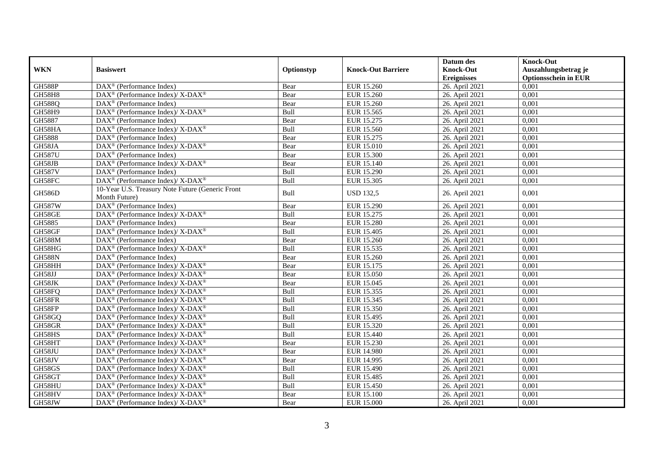|               |                                                                           |            |                           | Datum des          | <b>Knock-Out</b>            |
|---------------|---------------------------------------------------------------------------|------------|---------------------------|--------------------|-----------------------------|
| <b>WKN</b>    | <b>Basiswert</b>                                                          | Optionstyp | <b>Knock-Out Barriere</b> | <b>Knock-Out</b>   | Auszahlungsbetrag je        |
|               |                                                                           |            |                           | <b>Ereignisses</b> | <b>Optionsschein in EUR</b> |
| <b>GH588P</b> | DAX <sup>®</sup> (Performance Index)                                      | Bear       | EUR 15.260                | 26. April 2021     | 0,001                       |
| <b>GH58H8</b> | DAX <sup>®</sup> (Performance Index)/ X-DAX <sup>®</sup>                  | Bear       | EUR 15.260                | 26. April 2021     | 0,001                       |
| <b>GH588Q</b> | $DAX^{\circledcirc}$ (Performance Index)                                  | Bear       | EUR 15.260                | 26. April 2021     | 0,001                       |
| GH58H9        | DAX <sup>®</sup> (Performance Index)/ X-DAX <sup>®</sup>                  | Bull       | EUR 15.565                | 26. April 2021     | 0,001                       |
| GH5887        | DAX <sup>®</sup> (Performance Index)                                      | Bear       | EUR 15.275                | 26. April 2021     | 0,001                       |
| GH58HA        | DAX <sup>®</sup> (Performance Index)/X-DAX <sup>®</sup>                   | Bull       | EUR 15.560                | 26. April 2021     | 0,001                       |
| GH5888        | DAX <sup>®</sup> (Performance Index)                                      | Bear       | EUR 15.275                | 26. April 2021     | 0,001                       |
| GH58JA        | $DAX^{\circledast}$ (Performance Index)/ $\overline{X-DAX^{\circledast}}$ | Bear       | EUR 15.010                | 26. April 2021     | 0,001                       |
| <b>GH587U</b> | $DAX^{\circledcirc}$ (Performance Index)                                  | Bear       | EUR 15.300                | 26. April 2021     | 0.001                       |
| GH58JB        | DAX <sup>®</sup> (Performance Index)/ X-DAX <sup>®</sup>                  | Bear       | EUR 15.140                | 26. April 2021     | 0,001                       |
| <b>GH587V</b> | DAX <sup>®</sup> (Performance Index)                                      | Bull       | <b>EUR 15.290</b>         | 26. April 2021     | 0,001                       |
| GH58FC        | DAX <sup>®</sup> (Performance Index)/X-DAX <sup>®</sup>                   | Bull       | EUR 15.305                | 26. April 2021     | 0,001                       |
| <b>GH586D</b> | 10-Year U.S. Treasury Note Future (Generic Front<br>Month Future)         | Bull       | <b>USD 132,5</b>          | 26. April 2021     | 0,001                       |
| <b>GH587W</b> | DAX <sup>®</sup> (Performance Index)                                      | Bear       | EUR 15.290                | 26. April 2021     | 0,001                       |
| GH58GE        | $DAX^{\circledast}$ (Performance Index)/ $\overline{X-DAX^{\circledast}}$ | Bull       | EUR 15.275                | 26. April 2021     | 0,001                       |
| GH5885        | $DAX^{\circledR}$ (Performance Index)                                     | Bear       | <b>EUR 15.280</b>         | 26. April 2021     | 0,001                       |
| GH58GF        | DAX <sup>®</sup> (Performance Index)/ X-DAX <sup>®</sup>                  | Bull       | <b>EUR 15.405</b>         | 26. April 2021     | 0,001                       |
| <b>GH588M</b> | $DAX^{\circledast}$ (Performance Index)                                   | Bear       | EUR 15.260                | 26. April 2021     | 0,001                       |
| GH58HG        | DAX <sup>®</sup> (Performance Index)/ X-DAX <sup>®</sup>                  | Bull       | EUR 15.535                | 26. April 2021     | 0,001                       |
| <b>GH588N</b> | $DAX^{\circledcirc}$ (Performance Index)                                  | Bear       | EUR 15.260                | 26. April 2021     | 0.001                       |
| GH58HH        | DAX <sup>®</sup> (Performance Index)/ X-DAX <sup>®</sup>                  | Bear       | EUR 15.175                | 26. April 2021     | 0,001                       |
| GH58JJ        | DAX <sup>®</sup> (Performance Index)/ X-DAX <sup>®</sup>                  | Bear       | <b>EUR 15.050</b>         | 26. April 2021     | 0,001                       |
| GH58JK        | $DAX^{\circledast}$ (Performance Index)/ X-DAX <sup>®</sup>               | Bear       | EUR 15.045                | 26. April 2021     | 0,001                       |
| GH58FQ        | $DAX^{\circledast}$ (Performance Index)/ X-DAX <sup>®</sup>               | Bull       | EUR 15.355                | 26. April 2021     | 0,001                       |
| GH58FR        | DAX <sup>®</sup> (Performance Index)/ X-DAX <sup>®</sup>                  | Bull       | EUR 15.345                | 26. April 2021     | 0,001                       |
| GH58FP        | $\text{DAX}^{\circledast}$ (Performance Index)/ X-DAX <sup>®</sup>        | Bull       | EUR 15.350                | 26. April 2021     | 0.001                       |
| GH58GQ        | DAX <sup>®</sup> (Performance Index)/ X-DAX <sup>®</sup>                  | Bull       | EUR 15.495                | 26. April 2021     | 0,001                       |
| GH58GR        | DAX <sup>®</sup> (Performance Index)/ X-DAX <sup>®</sup>                  | Bull       | EUR 15.320                | 26. April 2021     | 0,001                       |
| GH58HS        | DAX <sup>®</sup> (Performance Index)/ X-DAX <sup>®</sup>                  | Bull       | EUR 15.440                | 26. April 2021     | 0,001                       |
| GH58HT        | DAX <sup>®</sup> (Performance Index)/ X-DAX <sup>®</sup>                  | Bear       | EUR 15.230                | 26. April 2021     | 0,001                       |
| GH58JU        | DAX <sup>®</sup> (Performance Index)/ X-DAX <sup>®</sup>                  | Bear       | EUR 14.980                | 26. April 2021     | 0,001                       |
| GH58JV        | $DAX^{\circledast}$ (Performance Index)/ X-DAX <sup>®</sup>               | Bear       | <b>EUR 14.995</b>         | 26. April 2021     | 0,001                       |
| GH58GS        | DAX <sup>®</sup> (Performance Index)/ X-DAX <sup>®</sup>                  | Bull       | EUR 15.490                | 26. April 2021     | 0,001                       |
| GH58GT        | DAX <sup>®</sup> (Performance Index)/ X-DAX <sup>®</sup>                  | Bull       | <b>EUR 15.485</b>         | 26. April 2021     | 0,001                       |
| GH58HU        | DAX <sup>®</sup> (Performance Index)/ X-DAX <sup>®</sup>                  | Bull       | EUR 15.450                | 26. April 2021     | 0,001                       |
| GH58HV        | DAX <sup>®</sup> (Performance Index)/ X-DAX <sup>®</sup>                  | Bear       | <b>EUR 15.100</b>         | 26. April 2021     | 0,001                       |
| GH58JW        | $DAX^{\circledast}$ (Performance Index)/ X-DAX <sup>®</sup>               | Bear       | <b>EUR 15.000</b>         | 26. April 2021     | 0,001                       |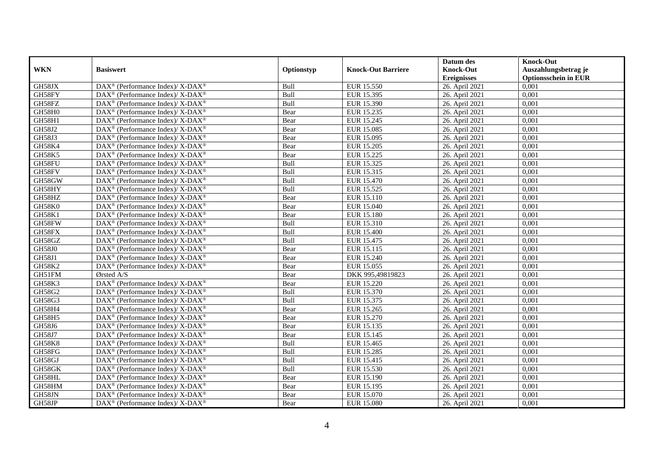|               |                                                                    |             |                           | Datum des          | <b>Knock-Out</b>            |
|---------------|--------------------------------------------------------------------|-------------|---------------------------|--------------------|-----------------------------|
| <b>WKN</b>    | <b>Basiswert</b>                                                   | Optionstyp  | <b>Knock-Out Barriere</b> | <b>Knock-Out</b>   | Auszahlungsbetrag je        |
|               |                                                                    |             |                           | <b>Ereignisses</b> | <b>Optionsschein in EUR</b> |
| GH58JX        | DAX <sup>®</sup> (Performance Index)/X-DAX <sup>®</sup>            | Bull        | EUR 15.550                | 26. April 2021     | 0,001                       |
| GH58FY        | $DAX^{\circledast}$ (Performance Index)/ X-DAX <sup>®</sup>        | Bull        | EUR 15.395                | 26. April 2021     | 0,001                       |
| GH58FZ        | $DAX^{\circledast}$ (Performance Index)/ X-DAX <sup>®</sup>        | Bull        | EUR 15.390                | 26. April 2021     | 0,001                       |
| GH58H0        | $DAX^{\circledast}$ (Performance Index)/ X-DAX <sup>®</sup>        | Bear        | EUR 15.235                | 26. April 2021     | 0,001                       |
| GH58H1        | $\text{DAX}^{\circledast}$ (Performance Index)/ X-DAX <sup>®</sup> | Bear        | EUR 15.245                | 26. April 2021     | 0,001                       |
| GH58J2        | DAX <sup>®</sup> (Performance Index)/ X-DAX <sup>®</sup>           | Bear        | EUR 15.085                | 26. April 2021     | 0,001                       |
| GH58J3        | DAX <sup>®</sup> (Performance Index)/ X-DAX <sup>®</sup>           | Bear        | EUR 15.095                | 26. April 2021     | 0,001                       |
| GH58K4        | $DAX^{\circledast}$ (Performance Index)/ X-DAX <sup>®</sup>        | Bear        | EUR 15.205                | 26. April 2021     | 0,001                       |
| <b>GH58K5</b> | $\text{DAX}^{\circledast}$ (Performance Index)/ X-DAX <sup>®</sup> | Bear        | EUR 15.225                | 26. April 2021     | 0,001                       |
| GH58FU        | DAX <sup>®</sup> (Performance Index)/ X-DAX <sup>®</sup>           | Bull        | EUR 15.325                | 26. April 2021     | 0,001                       |
| GH58FV        | DAX <sup>®</sup> (Performance Index)/ X-DAX <sup>®</sup>           | Bull        | EUR 15.315                | 26. April 2021     | 0,001                       |
| GH58GW        | DAX <sup>®</sup> (Performance Index)/ X-DAX <sup>®</sup>           | Bull        | <b>EUR 15.470</b>         | 26. April 2021     | 0,001                       |
| GH58HY        | $DAX^{\circledast}$ (Performance Index)/ X-DAX <sup>®</sup>        | Bull        | EUR 15.525                | 26. April 2021     | 0,001                       |
| GH58HZ        | DAX <sup>®</sup> (Performance Index)/ X-DAX <sup>®</sup>           | Bear        | EUR 15.110                | 26. April 2021     | 0,001                       |
| GH58K0        | DAX <sup>®</sup> (Performance Index)/ X-DAX <sup>®</sup>           | Bear        | EUR 15.040                | 26. April 2021     | 0,001                       |
| <b>GH58K1</b> | DAX <sup>®</sup> (Performance Index)/ X-DAX <sup>®</sup>           | Bear        | <b>EUR 15.180</b>         | 26. April 2021     | 0,001                       |
| GH58FW        | DAX <sup>®</sup> (Performance Index)/ X-DAX <sup>®</sup>           | Bull        | EUR 15.310                | 26. April 2021     | 0,001                       |
| GH58FX        | $DAX^{\circledast}$ (Performance Index)/ X-DAX <sup>®</sup>        | Bull        | EUR 15.400                | 26. April 2021     | 0,001                       |
| GH58GZ        | $DAX^{\circledast}$ (Performance Index)/ X-DAX <sup>®</sup>        | Bull        | EUR 15.475                | 26. April 2021     | 0,001                       |
| <b>GH58J0</b> | DAX <sup>®</sup> (Performance Index)/ X-DAX <sup>®</sup>           | Bear        | EUR 15.115                | 26. April 2021     | 0,001                       |
| <b>GH58J1</b> | DAX <sup>®</sup> (Performance Index)/ X-DAX <sup>®</sup>           | Bear        | <b>EUR 15.240</b>         | 26. April 2021     | 0,001                       |
| <b>GH58K2</b> | $\text{DAX}^{\circledast}$ (Performance Index)/ X-DAX <sup>®</sup> | Bear        | EUR 15.055                | 26. April 2021     | 0,001                       |
| GH51FM        | Ørsted A/S                                                         | Bear        | DKK 995,49819823          | 26. April 2021     | 0,001                       |
| GH58K3        | DAX <sup>®</sup> (Performance Index)/ X-DAX <sup>®</sup>           | Bear        | <b>EUR 15.220</b>         | 26. April 2021     | 0,001                       |
| GH58G2        | $DAX^{\circledcirc}$ (Performance Index)/X-DAX <sup>®</sup>        | Bull        | EUR 15.370                | 26. April 2021     | 0.001                       |
| GH58G3        | $DAX^{\circledast}$ (Performance Index)/ X-DAX <sup>®</sup>        | Bull        | EUR 15.375                | 26. April 2021     | 0,001                       |
| GH58H4        | DAX <sup>®</sup> (Performance Index)/X-DAX <sup>®</sup>            | Bear        | EUR 15.265                | 26. April 2021     | 0,001                       |
| GH58H5        | DAX <sup>®</sup> (Performance Index)/ X-DAX <sup>®</sup>           | Bear        | EUR 15.270                | 26. April 2021     | 0,001                       |
| GH58J6        | DAX <sup>®</sup> (Performance Index)/ X-DAX <sup>®</sup>           | Bear        | EUR 15.135                | 26. April 2021     | 0,001                       |
| GH58J7        | $\text{DAX}^{\circledast}$ (Performance Index)/ X-DAX <sup>®</sup> | Bear        | EUR 15.145                | 26. April 2021     | 0,001                       |
| <b>GH58K8</b> | $DAX^{\circledast}$ (Performance Index)/ X-DAX <sup>®</sup>        | Bull        | EUR 15.465                | 26. April 2021     | 0,001                       |
| GH58FG        | DAX <sup>®</sup> (Performance Index)/ X-DAX <sup>®</sup>           | <b>Bull</b> | EUR 15.285                | 26. April 2021     | 0.001                       |
| GH58GJ        | $DAX^{\circledast}$ (Performance Index)/ X-DAX <sup>®</sup>        | Bull        | EUR 15.415                | 26. April 2021     | 0,001                       |
| GH58GK        | DAX <sup>®</sup> (Performance Index)/ X-DAX <sup>®</sup>           | Bull        | EUR 15.530                | 26. April 2021     | 0,001                       |
| GH58HL        | DAX <sup>®</sup> (Performance Index)/ X-DAX <sup>®</sup>           | Bear        | EUR 15.190                | 26. April 2021     | 0,001                       |
| GH58HM        | $\text{DAX}^{\circledast}$ (Performance Index)/ X-DAX <sup>®</sup> | Bear        | EUR 15.195                | 26. April 2021     | 0,001                       |
| GH58JN        | DAX <sup>®</sup> (Performance Index)/ X-DAX <sup>®</sup>           | Bear        | EUR 15.070                | 26. April 2021     | 0,001                       |
| GH58JP        | DAX <sup>®</sup> (Performance Index)/ X-DAX <sup>®</sup>           | Bear        | <b>EUR 15.080</b>         | 26. April 2021     | 0,001                       |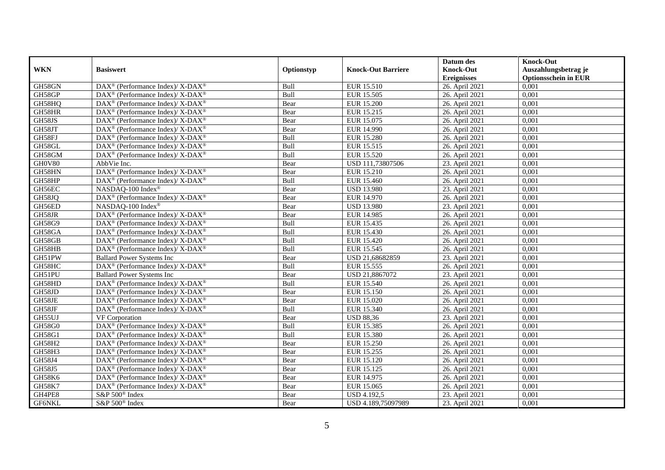|                   |                                                                    |            |                           | Datum des          | <b>Knock-Out</b>            |
|-------------------|--------------------------------------------------------------------|------------|---------------------------|--------------------|-----------------------------|
| <b>WKN</b>        | <b>Basiswert</b>                                                   | Optionstyp | <b>Knock-Out Barriere</b> | <b>Knock-Out</b>   | Auszahlungsbetrag je        |
|                   |                                                                    |            |                           | <b>Ereignisses</b> | <b>Optionsschein in EUR</b> |
| GH58GN            | DAX <sup>®</sup> (Performance Index)/ X-DAX <sup>®</sup>           | Bull       | <b>EUR 15.510</b>         | 26. April 2021     | 0,001                       |
| GH58GP            | $\text{DAX}^{\circledast}$ (Performance Index)/ X-DAX <sup>®</sup> | Bull       | <b>EUR 15.505</b>         | 26. April 2021     | 0,001                       |
| GH58HQ            | $DAX^{\circledast}$ (Performance Index)/ X-DAX <sup>®</sup>        | Bear       | <b>EUR 15.200</b>         | 26. April 2021     | 0,001                       |
| GH58HR            | $DAX^{\circledast}$ (Performance Index)/ X-DAX <sup>®</sup>        | Bear       | EUR 15.215                | 26. April 2021     | 0,001                       |
| GH58JS            | DAX <sup>®</sup> (Performance Index)/X-DAX <sup>®</sup>            | Bear       | EUR 15.075                | 26. April 2021     | 0,001                       |
| GH58JT            | DAX <sup>®</sup> (Performance Index)/ X-DAX <sup>®</sup>           | Bear       | <b>EUR 14.990</b>         | 26. April 2021     | 0,001                       |
| GH58FJ            | DAX <sup>®</sup> (Performance Index)/ X-DAX <sup>®</sup>           | Bull       | <b>EUR 15.280</b>         | 26. April 2021     | 0,001                       |
| GH58GL            | $DAX^{\circledast}$ (Performance Index)/ X-DAX <sup>®</sup>        | Bull       | EUR 15.515                | 26. April 2021     | 0,001                       |
| GH58GM            | DAX <sup>®</sup> (Performance Index)/ X-DAX <sup>®</sup>           | Bull       | EUR 15.520                | 26. April 2021     | 0,001                       |
| $\mathrm{GHOV}80$ | AbbVie Inc.                                                        | Bear       | USD 111,73807506          | 23. April 2021     | 0,001                       |
| GH58HN            | DAX <sup>®</sup> (Performance Index)/ X-DAX <sup>®</sup>           | Bear       | EUR 15.210                | 26. April 2021     | 0,001                       |
| GH58HP            | DAX <sup>®</sup> (Performance Index)/X-DAX <sup>®</sup>            | Bull       | <b>EUR 15.460</b>         | 26. April 2021     | 0,001                       |
| GH56EC            | NASDAO-100 Index®                                                  | Bear       | <b>USD 13.980</b>         | 23. April 2021     | 0,001                       |
| GH58JQ            | DAX <sup>®</sup> (Performance Index)/ X-DAX <sup>®</sup>           | Bear       | EUR 14.970                | 26. April 2021     | 0,001                       |
| GH56ED            | NASDAQ-100 Index <sup>®</sup>                                      | Bear       | <b>USD 13.980</b>         | 23. April 2021     | 0,001                       |
| GH58JR            | DAX <sup>®</sup> (Performance Index)/ X-DAX <sup>®</sup>           | Bear       | EUR 14.985                | 26. April 2021     | 0,001                       |
| GH58G9            | DAX <sup>®</sup> (Performance Index)/X-DAX <sup>®</sup>            | Bull       | EUR 15.435                | 26. April 2021     | 0,001                       |
| GH58GA            | $DAX^{\circledcirc}$ (Performance Index)/X-DAX <sup>®</sup>        | Bull       | EUR 15.430                | 26. April 2021     | 0,001                       |
| GH58GB            | $DAX^{\circledast}$ (Performance Index)/ X-DAX <sup>®</sup>        | Bull       | EUR 15.420                | 26. April 2021     | 0,001                       |
| GH58HB            | DAX <sup>®</sup> (Performance Index)/ X-DAX <sup>®</sup>           | Bull       | EUR 15.545                | 26. April 2021     | 0,001                       |
| GH51PW            | <b>Ballard Power Systems Inc</b>                                   | Bear       | USD 21,68682859           | 23. April 2021     | 0,001                       |
| GH58HC            | DAX <sup>®</sup> (Performance Index)/X-DAX <sup>®</sup>            | Bull       | EUR 15.555                | 26. April 2021     | 0,001                       |
| GH51PU            | <b>Ballard Power Systems Inc</b>                                   | Bear       | USD 21,8867072            | 23. April 2021     | 0,001                       |
| GH58HD            | DAX <sup>®</sup> (Performance Index)/ X-DAX <sup>®</sup>           | Bull       | EUR 15.540                | 26. April 2021     | 0,001                       |
| GH58JD            | $DAX^{\circledcirc}$ (Performance Index)/X-DAX <sup>®</sup>        | Bear       | EUR 15.150                | 26. April 2021     | 0.001                       |
| GH58JE            | DAX <sup>®</sup> (Performance Index)/ X-DAX <sup>®</sup>           | Bear       | EUR 15.020                | 26. April 2021     | 0,001                       |
| GH58JF            | DAX <sup>®</sup> (Performance Index)/ X-DAX <sup>®</sup>           | Bull       | EUR 15.340                | 26. April 2021     | 0,001                       |
| GH55UJ            | VF Corporation                                                     | Bear       | <b>USD 88,36</b>          | 23. April 2021     | 0,001                       |
| GH58G0            | DAX <sup>®</sup> (Performance Index)/ X-DAX <sup>®</sup>           | Bull       | EUR 15.385                | 26. April 2021     | 0,001                       |
| GH58G1            | $\text{DAX}^{\circledast}$ (Performance Index)/ X-DAX <sup>®</sup> | Bull       | EUR 15.380                | 26. April 2021     | 0,001                       |
| GH58H2            | $DAX^{\circledast}$ (Performance Index)/ X-DAX <sup>®</sup>        | Bear       | EUR 15.250                | 26. April 2021     | 0,001                       |
| <b>GH58H3</b>     | DAX <sup>®</sup> (Performance Index)/ X-DAX <sup>®</sup>           | Bear       | EUR 15.255                | 26. April 2021     | 0.001                       |
| GH58J4            | $DAX^{\circledast}$ (Performance Index)/ X-DAX <sup>®</sup>        | Bear       | EUR 15.120                | 26. April 2021     | 0,001                       |
| <b>GH58J5</b>     | DAX <sup>®</sup> (Performance Index)/ X-DAX <sup>®</sup>           | Bear       | EUR 15.125                | 26. April 2021     | 0,001                       |
| GH58K6            | DAX <sup>®</sup> (Performance Index)/ X-DAX <sup>®</sup>           | Bear       | EUR 14.975                | 26. April 2021     | 0,001                       |
| <b>GH58K7</b>     | $DAX^{\circledast}$ (Performance Index)/ X-DAX <sup>®</sup>        | Bear       | EUR 15.065                | 26. April 2021     | 0,001                       |
| GH4PE8            | S&P 500 <sup>®</sup> Index                                         | Bear       | <b>USD 4.192,5</b>        | 23. April 2021     | 0,001                       |
| GF6NKL            | S&P 500 <sup>®</sup> Index                                         | Bear       | USD 4.189,75097989        | 23. April 2021     | 0,001                       |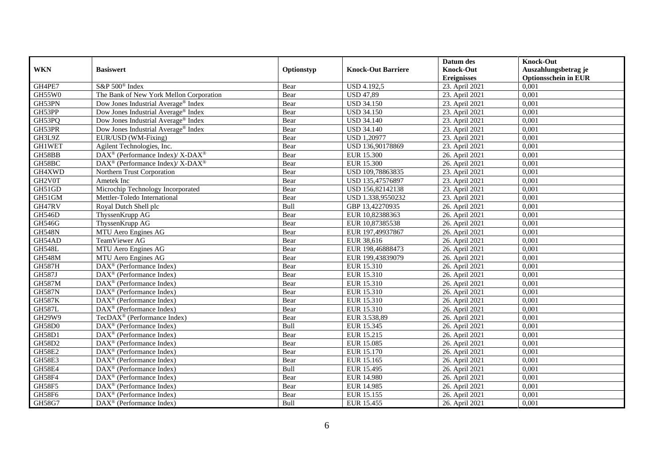|               |                                                                  |            |                           | Datum des          | <b>Knock-Out</b>            |
|---------------|------------------------------------------------------------------|------------|---------------------------|--------------------|-----------------------------|
| <b>WKN</b>    | <b>Basiswert</b>                                                 | Optionstyp | <b>Knock-Out Barriere</b> | <b>Knock-Out</b>   | Auszahlungsbetrag je        |
|               |                                                                  |            |                           | <b>Ereignisses</b> | <b>Optionsschein in EUR</b> |
| GH4PE7        | S&P 500 <sup>®</sup> Index                                       | Bear       | <b>USD 4.192,5</b>        | 23. April 2021     | 0,001                       |
| GH55W0        | The Bank of New York Mellon Corporation                          | Bear       | <b>USD 47,89</b>          | 23. April 2021     | 0,001                       |
| GH53PN        | Dow Jones Industrial Average <sup>®</sup> Index                  | Bear       | <b>USD 34.150</b>         | 23. April 2021     | 0,001                       |
| GH53PP        | Dow Jones Industrial Average® Index                              | Bear       | <b>USD 34.150</b>         | 23. April 2021     | 0,001                       |
| GH53PQ        | Dow Jones Industrial Average® Index                              | Bear       | <b>USD 34.140</b>         | 23. April 2021     | 0,001                       |
| GH53PR        | Dow Jones Industrial Average® Index                              | Bear       | <b>USD 34.140</b>         | 23. April 2021     | 0,001                       |
| GH3L9Z        | EUR/USD (WM-Fixing)                                              | Bear       | <b>USD 1,20977</b>        | 23. April 2021     | 0,001                       |
| <b>GH1WET</b> | Agilent Technologies, Inc.                                       | Bear       | USD 136,90178869          | 23. April 2021     | 0,001                       |
| GH58BB        | $\text{DAX}^{\circledR}$ (Performance Index)/ X-DAX <sup>®</sup> | Bear       | <b>EUR 15.300</b>         | 26. April 2021     | 0,001                       |
| GH58BC        | $DAX^{\circledast}$ (Performance Index)/X-DAX <sup>®</sup>       | Bear       | <b>EUR 15.300</b>         | 26. April 2021     | 0,001                       |
| GH4XWD        | Northern Trust Corporation                                       | Bear       | USD 109,78863835          | 23. April 2021     | 0,001                       |
| GH2V0T        | Ametek Inc                                                       | Bear       | USD 135,47576897          | 23. April 2021     | 0,001                       |
| GH51GD        | Microchip Technology Incorporated                                | Bear       | USD 156,82142138          | 23. April 2021     | 0,001                       |
| GH51GM        | Mettler-Toledo International                                     | Bear       | USD 1.338,9550232         | 23. April 2021     | 0.001                       |
| GH47RV        | Royal Dutch Shell plc                                            | Bull       | GBP 13,42270935           | 26. April 2021     | 0,001                       |
| <b>GH546D</b> | ThyssenKrupp AG                                                  | Bear       | EUR 10,82388363           | 26. April 2021     | 0,001                       |
| <b>GH546G</b> | ThyssenKrupp AG                                                  | Bear       | EUR 10,87385538           | 26. April 2021     | 0,001                       |
| <b>GH548N</b> | MTU Aero Engines AG                                              | Bear       | EUR 197,49937867          | 26. April 2021     | 0,001                       |
| GH54AD        | <b>TeamViewer AG</b>                                             | Bear       | EUR 38,616                | 26. April 2021     | 0,001                       |
| <b>GH548L</b> | MTU Aero Engines AG                                              | Bear       | EUR 198,46888473          | 26. April 2021     | 0,001                       |
| <b>GH548M</b> | MTU Aero Engines AG                                              | Bear       | EUR 199,43839079          | 26. April 2021     | 0,001                       |
| <b>GH587H</b> | $\overline{\text{DAX}}^{\textcircled{}}$ (Performance Index)     | Bear       | EUR 15.310                | 26. April 2021     | 0,001                       |
| <b>GH587J</b> | $\text{DAX}^{\textcircled{p}}$ (Performance Index)               | Bear       | EUR 15.310                | 26. April 2021     | 0,001                       |
| <b>GH587M</b> | $\text{DAX}^{\textcircled{p}}$ (Performance Index)               | Bear       | EUR 15.310                | 26. April 2021     | 0,001                       |
| <b>GH587N</b> | $\text{DAX}^{\textcircled{p}}$ (Performance Index)               | Bear       | EUR 15.310                | 26. April 2021     | 0,001                       |
| <b>GH587K</b> | DAX <sup>®</sup> (Performance Index)                             | Bear       | EUR 15.310                | 26. April 2021     | 0,001                       |
| <b>GH587L</b> | DAX <sup>®</sup> (Performance Index)                             | Bear       | EUR 15.310                | 26. April 2021     | 0,001                       |
| GH29W9        | TecDAX <sup>®</sup> (Performance Index)                          | Bear       | EUR 3.538,89              | 26. April 2021     | 0,001                       |
| <b>GH58D0</b> | $\text{DAX}^{\textcircled{n}}$ (Performance Index)               | Bull       | EUR 15.345                | 26. April 2021     | 0,001                       |
| <b>GH58D1</b> | $\text{DAX}^{\textcircled{n}}$ (Performance Index)               | Bear       | EUR 15.215                | 26. April 2021     | 0,001                       |
| GH58D2        | $DAX^{\otimes}$ (Performance Index)                              | Bear       | <b>EUR 15.085</b>         | 26. April 2021     | 0,001                       |
| <b>GH58E2</b> | DAX <sup>®</sup> (Performance Index)                             | Bear       | EUR 15.170                | 26. April 2021     | 0,001                       |
| <b>GH58E3</b> | $\overline{\text{DAX}^{\otimes}}$ (Performance Index)            | Bear       | EUR 15.165                | 26. April 2021     | 0,001                       |
| GH58E4        | $\overline{\text{DAX}^{\otimes}}$ (Performance Index)            | Bull       | <b>EUR 15.495</b>         | 26. April 2021     | 0,001                       |
| GH58F4        | $\text{DAX}^{\textcircled{n}}$ (Performance Index)               | Bear       | <b>EUR 14.980</b>         | 26. April 2021     | 0,001                       |
| <b>GH58F5</b> | DAX <sup>®</sup> (Performance Index)                             | Bear       | EUR 14.985                | 26. April 2021     | 0,001                       |
| GH58F6        | $\text{DAX}^{\otimes}$ (Performance Index)                       | Bear       | EUR 15.155                | 26. April 2021     | 0,001                       |
| GH58G7        | $\text{DAX}^{\textcircled{n}}$ (Performance Index)               | Bull       | EUR 15.455                | 26. April 2021     | 0,001                       |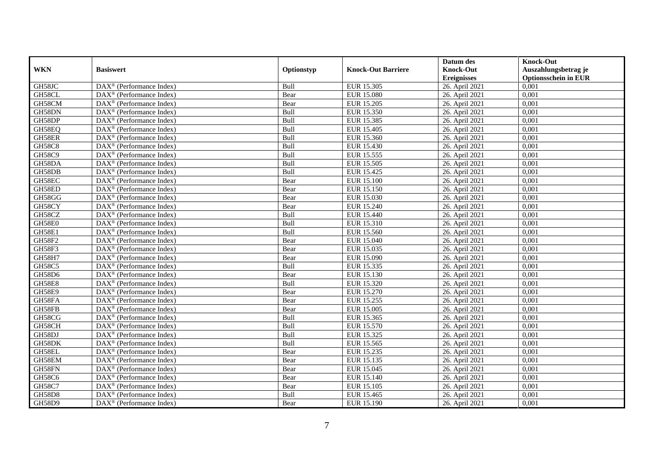|               |                                                              |            |                           | Datum des          | <b>Knock-Out</b>            |
|---------------|--------------------------------------------------------------|------------|---------------------------|--------------------|-----------------------------|
| <b>WKN</b>    | <b>Basiswert</b>                                             | Optionstyp | <b>Knock-Out Barriere</b> | <b>Knock-Out</b>   | Auszahlungsbetrag je        |
|               |                                                              |            |                           | <b>Ereignisses</b> | <b>Optionsschein in EUR</b> |
| GH58JC        | $\overline{\text{DAX}}^{\textcircled{}}$ (Performance Index) | Bull       | EUR 15.305                | 26. April 2021     | 0,001                       |
| GH58CL        | $\text{DAX}^{\textcircled{p}}$ (Performance Index)           | Bear       | <b>EUR 15.080</b>         | 26. April 2021     | 0,001                       |
| GH58CM        | DAX <sup>®</sup> (Performance Index)                         | Bear       | EUR 15.205                | 26. April 2021     | 0,001                       |
| GH58DN        | $\text{DAX}^{\otimes}$ (Performance Index)                   | Bull       | EUR 15.350                | 26. April 2021     | 0,001                       |
| GH58DP        | DAX <sup>®</sup> (Performance Index)                         | Bull       | EUR 15.385                | 26. April 2021     | 0,001                       |
| GH58EQ        | $\text{DAX}^{\textcircled{n}}$ (Performance Index)           | Bull       | EUR 15.405                | 26. April 2021     | 0,001                       |
| GH58ER        | $\text{DAX}^{\textcircled{n}}$ (Performance Index)           | Bull       | EUR 15.360                | 26. April 2021     | 0,001                       |
| <b>GH58C8</b> | $DAX^{\otimes}$ (Performance Index)                          | Bull       | EUR 15.430                | 26. April 2021     | 0,001                       |
| <b>GH58C9</b> | $\text{DAX}^{\textcircled{p}}$ (Performance Index)           | Bull       | EUR 15.555                | 26. April 2021     | 0,001                       |
| GH58DA        | $DAX^{\otimes}$ (Performance Index)                          | Bull       | <b>EUR 15.505</b>         | 26. April 2021     | 0,001                       |
| GH58DB        | DAX <sup>®</sup> (Performance Index)                         | Bull       | EUR 15.425                | 26. April 2021     | 0,001                       |
| GH58EC        | $\overline{\text{DAX}^{\otimes}}$ (Performance Index)        | Bear       | <b>EUR 15.100</b>         | 26. April 2021     | 0,001                       |
| GH58ED        | $\text{DAX}^{\textcircled{n}}$ (Performance Index)           | Bear       | <b>EUR 15.150</b>         | 26. April 2021     | 0,001                       |
| GH58GG        | DAX <sup>®</sup> (Performance Index)                         | Bear       | EUR 15.030                | 26. April 2021     | 0,001                       |
| GH58CY        | DAX <sup>®</sup> (Performance Index)                         | Bear       | EUR 15.240                | 26. April 2021     | 0,001                       |
| GH58CZ        | DAX <sup>®</sup> (Performance Index)                         | Bull       | EUR 15.440                | 26. April 2021     | 0,001                       |
| GH58E0        | DAX <sup>®</sup> (Performance Index)                         | Bull       | EUR 15.310                | 26. April 2021     | 0,001                       |
| <b>GH58E1</b> | $\overline{\text{DAX}}^{\textcirc}$ (Performance Index)      | Bull       | EUR 15.560                | 26. April 2021     | 0,001                       |
| <b>GH58F2</b> | DAX <sup>®</sup> (Performance Index)                         | Bear       | <b>EUR 15.040</b>         | 26. April 2021     | 0,001                       |
| GH58F3        | DAX <sup>®</sup> (Performance Index)                         | Bear       | EUR 15.035                | 26. April 2021     | 0,001                       |
| <b>GH58H7</b> | DAX <sup>®</sup> (Performance Index)                         | Bear       | EUR 15.090                | 26. April 2021     | 0,001                       |
| <b>GH58C5</b> | $\overline{\text{DAX}^{\otimes}}$ (Performance Index)        | Bull       | EUR 15.335                | 26. April 2021     | 0,001                       |
| <b>GH58D6</b> | $\text{DAX}^{\circledast}$ (Performance Index)               | Bear       | EUR 15.130                | 26. April 2021     | 0,001                       |
| <b>GH58E8</b> | DAX <sup>®</sup> (Performance Index)                         | Bull       | EUR 15.320                | 26. April 2021     | 0,001                       |
| <b>GH58E9</b> | $\text{DAX}^{\textcircled{n}}$ (Performance Index)           | Bear       | EUR 15.270                | 26. April 2021     | 0,001                       |
| GH58FA        | $\text{DAX}^{\otimes}$ (Performance Index)                   | Bear       | EUR 15.255                | 26. April 2021     | 0,001                       |
| GH58FB        | $\text{DAX}^{\circledast}$ (Performance Index)               | Bear       | EUR 15.005                | 26. April 2021     | 0,001                       |
| GH58CG        | $\text{DAX}^{\textcircled{p}}$ (Performance Index)           | Bull       | EUR 15.365                | 26. April 2021     | 0.001                       |
| GH58CH        | $\text{DAX}^{\textcircled{p}}$ (Performance Index)           | Bull       | <b>EUR 15.570</b>         | 26. April 2021     | 0,001                       |
| GH58DJ        | $DAX^{\otimes}$ (Performance Index)                          | Bull       | EUR 15.325                | 26. April 2021     | 0,001                       |
| GH58DK        | DAX <sup>®</sup> (Performance Index)                         | Bull       | EUR 15.565                | 26. April 2021     | 0,001                       |
| GH58EL        | $\text{DAX}^{\otimes}$ (Performance Index)                   | Bear       | EUR 15.235                | 26. April 2021     | 0.001                       |
| GH58EM        | $\overline{\text{DAX}^{\otimes}}$ (Performance Index)        | Bear       | EUR 15.135                | 26. April 2021     | 0,001                       |
| GH58FN        | DAX <sup>®</sup> (Performance Index)                         | Bear       | EUR 15.045                | 26. April 2021     | 0,001                       |
| GH58C6        | $\text{DAX}^{\textcircled{n}}$ (Performance Index)           | Bear       | EUR 15.140                | 26. April 2021     | 0,001                       |
| GH58C7        | $\text{DAX}^{\textcircled{n}}$ (Performance Index)           | Bear       | EUR 15.105                | 26. April 2021     | 0,001                       |
| <b>GH58D8</b> | $\text{DAX}^{\otimes}$ (Performance Index)                   | Bull       | EUR 15.465                | 26. April 2021     | 0,001                       |
| <b>GH58D9</b> | DAX <sup>®</sup> (Performance Index)                         | Bear       | EUR 15.190                | 26. April 2021     | 0,001                       |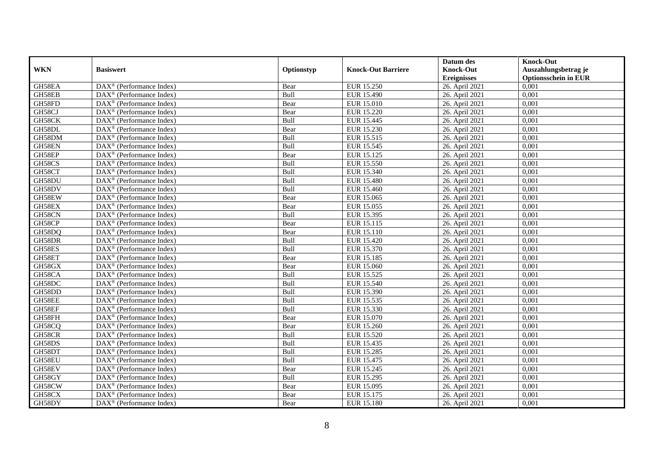|            |                                                              |            |                           | Datum des          | <b>Knock-Out</b>            |
|------------|--------------------------------------------------------------|------------|---------------------------|--------------------|-----------------------------|
| <b>WKN</b> | <b>Basiswert</b>                                             | Optionstyp | <b>Knock-Out Barriere</b> | <b>Knock-Out</b>   | Auszahlungsbetrag je        |
|            |                                                              |            |                           | <b>Ereignisses</b> | <b>Optionsschein in EUR</b> |
| GH58EA     | $\overline{\text{DAX}}^{\textcircled{}}$ (Performance Index) | Bear       | EUR 15.250                | 26. April 2021     | 0,001                       |
| GH58EB     | $\text{DAX}^{\textcircled{D}}$ (Performance Index)           | Bull       | <b>EUR 15.490</b>         | 26. April 2021     | 0,001                       |
| GH58FD     | DAX <sup>®</sup> (Performance Index)                         | Bear       | EUR 15.010                | 26. April 2021     | 0,001                       |
| GH58CJ     | $\text{DAX}^{\otimes}$ (Performance Index)                   | Bear       | EUR 15.220                | 26. April 2021     | 0,001                       |
| GH58CK     | DAX <sup>®</sup> (Performance Index)                         | Bull       | EUR 15.445                | 26. April 2021     | 0,001                       |
| GH58DL     | $\text{DAX}^{\textcircled{n}}$ (Performance Index)           | Bear       | EUR 15.230                | 26. April 2021     | 0,001                       |
| GH58DM     | $\text{DAX}^{\textcircled{n}}$ (Performance Index)           | Bull       | EUR 15.515                | 26. April 2021     | 0,001                       |
| GH58EN     | $DAX^{\otimes}$ (Performance Index)                          | Bull       | EUR 15.545                | 26. April 2021     | 0,001                       |
| GH58EP     | $\text{DAX}^{\textcircled{D}}$ (Performance Index)           | Bear       | EUR 15.125                | 26. April 2021     | 0,001                       |
| GH58CS     | $DAX^{\otimes}$ (Performance Index)                          | Bull       | <b>EUR 15.550</b>         | 26. April 2021     | 0,001                       |
| GH58CT     | DAX <sup>®</sup> (Performance Index)                         | Bull       | EUR 15.340                | 26. April 2021     | 0,001                       |
| GH58DU     | $\overline{\text{DAX}^{\otimes}}$ (Performance Index)        | Bull       | <b>EUR 15.480</b>         | 26. April 2021     | 0,001                       |
| GH58DV     | $\text{DAX}^{\textcircled{n}}$ (Performance Index)           | Bull       | EUR 15.460                | 26. April 2021     | 0,001                       |
| GH58EW     | DAX <sup>®</sup> (Performance Index)                         | Bear       | EUR 15.065                | 26. April 2021     | 0,001                       |
| GH58EX     | DAX <sup>®</sup> (Performance Index)                         | Bear       | EUR 15.055                | 26. April 2021     | 0,001                       |
| GH58CN     | DAX <sup>®</sup> (Performance Index)                         | Bull       | EUR 15.395                | 26. April 2021     | 0,001                       |
| GH58CP     | DAX <sup>®</sup> (Performance Index)                         | Bear       | EUR 15.115                | 26. April 2021     | 0,001                       |
| GH58DQ     | $\overline{\text{DAX}}^{\textcirc}$ (Performance Index)      | Bear       | EUR 15.110                | 26. April 2021     | 0,001                       |
| GH58DR     | $\overline{\text{DAX}}^{\textcircled{}}$ (Performance Index) | Bull       | EUR 15.420                | 26. April 2021     | 0,001                       |
| GH58ES     | DAX <sup>®</sup> (Performance Index)                         | Bull       | EUR 15.370                | 26. April 2021     | 0,001                       |
| GH58ET     | DAX <sup>®</sup> (Performance Index)                         | Bear       | EUR 15.185                | 26. April 2021     | 0,001                       |
| GH58GX     | $\overline{\text{DAX}^{\otimes}}$ (Performance Index)        | Bear       | <b>EUR 15.060</b>         | 26. April 2021     | 0,001                       |
| GH58CA     | $\text{DAX}^{\circledast}$ (Performance Index)               | Bull       | EUR 15.525                | 26. April 2021     | 0,001                       |
| GH58DC     | DAX <sup>®</sup> (Performance Index)                         | Bull       | EUR 15.540                | 26. April 2021     | 0,001                       |
| GH58DD     | $\text{DAX}^{\textcircled{n}}$ (Performance Index)           | Bull       | EUR 15.390                | 26. April 2021     | 0,001                       |
| GH58EE     | $\text{DAX}^{\otimes}$ (Performance Index)                   | Bull       | EUR 15.535                | 26. April 2021     | 0,001                       |
| GH58EF     | $\text{DAX}^{\circledast}$ (Performance Index)               | Bull       | EUR 15.330                | 26. April 2021     | 0,001                       |
| GH58FH     | $\text{DAX}^{\textcircled{D}}$ (Performance Index)           | Bear       | EUR 15.070                | 26. April 2021     | 0.001                       |
| GH58CQ     | $\text{DAX}^{\textcircled{D}}$ (Performance Index)           | Bear       | EUR 15.260                | 26. April 2021     | 0,001                       |
| GH58CR     | $DAX^{\otimes}$ (Performance Index)                          | Bull       | <b>EUR 15.520</b>         | 26. April 2021     | 0,001                       |
| GH58DS     | DAX <sup>®</sup> (Performance Index)                         | Bull       | EUR 15.435                | 26. April 2021     | 0,001                       |
| GH58DT     | DAX <sup>®</sup> (Performance Index)                         | Bull       | <b>EUR 15.285</b>         | 26. April 2021     | 0.001                       |
| GH58EU     | $\overline{\text{DAX}^{\otimes}}$ (Performance Index)        | Bull       | EUR 15.475                | 26. April 2021     | 0,001                       |
| GH58EV     | DAX <sup>®</sup> (Performance Index)                         | Bear       | EUR 15.245                | 26. April 2021     | 0,001                       |
| GH58GY     | $\text{DAX}^{\textcircled{n}}$ (Performance Index)           | Bull       | EUR 15.295                | 26. April 2021     | 0,001                       |
| GH58CW     | $\text{DAX}^{\textcircled{n}}$ (Performance Index)           | Bear       | EUR 15.095                | 26. April 2021     | 0,001                       |
| GH58CX     | $\text{DAX}^{\otimes}$ (Performance Index)                   | Bear       | EUR 15.175                | 26. April 2021     | 0,001                       |
| GH58DY     | DAX <sup>®</sup> (Performance Index)                         | Bear       | <b>EUR 15.180</b>         | 26. April 2021     | 0,001                       |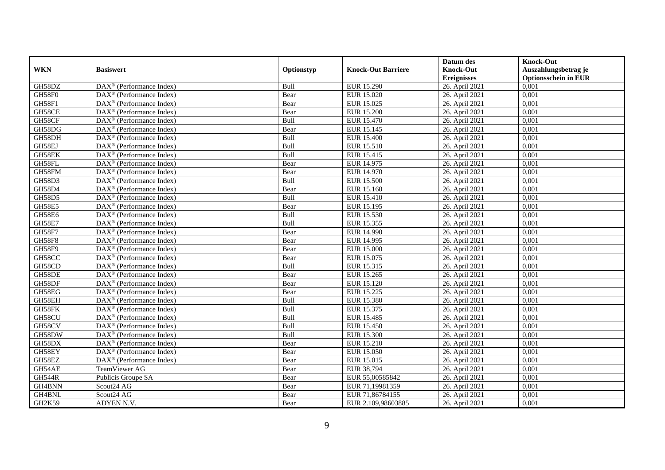|               |                                                         |            |                           | Datum des          | <b>Knock-Out</b>            |
|---------------|---------------------------------------------------------|------------|---------------------------|--------------------|-----------------------------|
| <b>WKN</b>    | <b>Basiswert</b>                                        | Optionstyp | <b>Knock-Out Barriere</b> | <b>Knock-Out</b>   | Auszahlungsbetrag je        |
|               |                                                         |            |                           | <b>Ereignisses</b> | <b>Optionsschein in EUR</b> |
| GH58DZ        | DAX <sup>®</sup> (Performance Index)                    | Bull       | <b>EUR 15.290</b>         | 26. April 2021     | 0,001                       |
| GH58F0        | $\text{DAX}^{\textcircled{n}}$ (Performance Index)      | Bear       | EUR 15.020                | 26. April 2021     | 0,001                       |
| GH58F1        | DAX <sup>®</sup> (Performance Index)                    | Bear       | EUR 15.025                | 26. April 2021     | 0,001                       |
| GH58CE        | $\text{DAX}^{\otimes}$ (Performance Index)              | Bear       | <b>EUR 15.200</b>         | 26. April 2021     | 0,001                       |
| GH58CF        | DAX <sup>®</sup> (Performance Index)                    | Bull       | EUR 15.470                | 26. April 2021     | 0,001                       |
| GH58DG        | $\text{DAX}^{\textcircled{p}}$ (Performance Index)      | Bear       | EUR 15.145                | 26. April 2021     | 0,001                       |
| GH58DH        | $DAX^{\otimes}$ (Performance Index)                     | Bull       | <b>EUR 15.400</b>         | 26. April 2021     | 0,001                       |
| GH58EJ        | $\text{DAX}^{\textcircled{n}}$ (Performance Index)      | Bull       | EUR 15.510                | 26. April 2021     | 0,001                       |
| GH58EK        | $\text{DAX}^{\textcircled{n}}$ (Performance Index)      | Bull       | EUR 15.415                | 26. April 2021     | 0,001                       |
| GH58FL        | $\text{DAX}^{\otimes}$ (Performance Index)              | Bear       | EUR 14.975                | 26. April 2021     | 0,001                       |
| GH58FM        | $\overline{\text{DAX}}^{\textcirc}$ (Performance Index) | Bear       | EUR 14.970                | 26. April 2021     | 0.001                       |
| <b>GH58D3</b> | DAX <sup>®</sup> (Performance Index)                    | Bull       | <b>EUR 15.500</b>         | 26. April 2021     | 0,001                       |
| GH58D4        | DAX <sup>®</sup> (Performance Index)                    | Bear       | EUR 15.160                | 26. April 2021     | 0,001                       |
| GH58D5        | $DAX^{\circledR}$ (Performance Index)                   | Bull       | <b>EUR 15.410</b>         | 26. April 2021     | 0,001                       |
| <b>GH58E5</b> | $\text{DAX}^{\otimes}$ (Performance Index)              | Bear       | EUR 15.195                | 26. April 2021     | 0,001                       |
| <b>GH58E6</b> | DAX <sup>®</sup> (Performance Index)                    | Bull       | EUR 15.530                | 26. April 2021     | 0,001                       |
| <b>GH58E7</b> | DAX <sup>®</sup> (Performance Index)                    | Bull       | EUR 15.355                | 26. April 2021     | 0,001                       |
| <b>GH58F7</b> | $\overline{\text{DAX}^{\otimes}}$ (Performance Index)   | Bear       | EUR 14.990                | 26. April 2021     | 0,001                       |
| <b>GH58F8</b> | $\overline{\text{DAX}}^{\textcirc}$ (Performance Index) | Bear       | EUR 14.995                | 26. April 2021     | 0,001                       |
| <b>GH58F9</b> | DAX <sup>®</sup> (Performance Index)                    | Bear       | <b>EUR 15.000</b>         | 26. April 2021     | 0,001                       |
| GH58CC        | DAX <sup>®</sup> (Performance Index)                    | Bear       | EUR 15.075                | 26. April 2021     | 0,001                       |
| GH58CD        | $\overline{\text{DAX}^{\otimes}}$ (Performance Index)   | Bull       | EUR 15.315                | 26. April 2021     | 0,001                       |
| GH58DE        | DAX <sup>®</sup> (Performance Index)                    | Bear       | EUR 15.265                | 26. April 2021     | 0,001                       |
| GH58DF        | DAX <sup>®</sup> (Performance Index)                    | Bear       | EUR 15.120                | 26. April 2021     | 0,001                       |
| GH58EG        | $DAX^{\circledR}$ (Performance Index)                   | Bear       | EUR 15.225                | 26. April 2021     | 0.001                       |
| GH58EH        | DAX <sup>®</sup> (Performance Index)                    | Bull       | <b>EUR 15.380</b>         | 26. April 2021     | 0,001                       |
| GH58FK        | DAX <sup>®</sup> (Performance Index)                    | Bull       | EUR 15.375                | 26. April 2021     | 0,001                       |
| GH58CU        | $\text{DAX}^{\textcircled{p}}$ (Performance Index)      | Bull       | EUR 15.485                | 26. April 2021     | 0,001                       |
| GH58CV        | DAX <sup>®</sup> (Performance Index)                    | Bull       | <b>EUR 15.450</b>         | 26. April 2021     | 0,001                       |
| GH58DW        | $\text{DAX}^{\circledast}$ (Performance Index)          | Bull       | EUR 15.300                | 26. April 2021     | 0,001                       |
| GH58DX        | $\text{DAX}^{\otimes}$ (Performance Index)              | Bear       | EUR 15.210                | 26. April 2021     | 0,001                       |
| GH58EY        | $\text{DAX}^{\circledR}$ (Performance Index)            | Bear       | EUR 15.050                | 26. April 2021     | 0.001                       |
| GH58EZ        | DAX <sup>®</sup> (Performance Index)                    | Bear       | EUR 15.015                | 26. April 2021     | 0,001                       |
| GH54AE        | TeamViewer AG                                           | Bear       | EUR 38,794                | 26. April 2021     | 0,001                       |
| <b>GH544R</b> | Publicis Groupe SA                                      | Bear       | EUR 55,00585842           | 26. April 2021     | 0,001                       |
| GH4BNN        | Scout24 AG                                              | Bear       | EUR 71,19981359           | 26. April 2021     | 0,001                       |
| GH4BNL        | Scout24 AG                                              | Bear       | EUR 71,86784155           | 26. April 2021     | 0,001                       |
| GH2K59        | ADYEN N.V.                                              | Bear       | EUR 2.109,98603885        | 26. April 2021     | 0,001                       |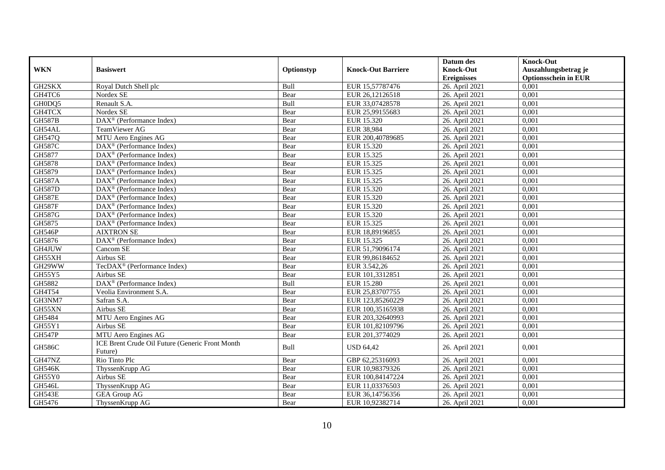|               |                                                            |            |                           | Datum des                              | <b>Knock-Out</b>                                    |
|---------------|------------------------------------------------------------|------------|---------------------------|----------------------------------------|-----------------------------------------------------|
| <b>WKN</b>    | <b>Basiswert</b>                                           | Optionstyp | <b>Knock-Out Barriere</b> | <b>Knock-Out</b><br><b>Ereignisses</b> | Auszahlungsbetrag je<br><b>Optionsschein in EUR</b> |
| GH2SKX        | Royal Dutch Shell plc                                      | Bull       | EUR 15,57787476           | 26. April 2021                         | 0,001                                               |
| GH4TC6        | Nordex SE                                                  | Bear       | EUR 26,12126518           | 26. April 2021                         | 0,001                                               |
| GH0DQ5        | Renault S.A.                                               | Bull       | EUR 33,07428578           | 26. April 2021                         | 0,001                                               |
| GH4TCX        | Nordex SE                                                  | Bear       | EUR 25,99155683           | 26. April 2021                         | 0,001                                               |
| <b>GH587B</b> | DAX <sup>®</sup> (Performance Index)                       | Bear       | EUR 15.320                | 26. April 2021                         | 0,001                                               |
| GH54AL        | TeamViewer AG                                              | Bear       | <b>EUR 38,984</b>         | 26. April 2021                         | 0,001                                               |
| GH547Q        | MTU Aero Engines AG                                        | Bear       | EUR 200,40789685          | 26. April 2021                         | 0,001                                               |
| <b>GH587C</b> | $\text{DAX}^{\textcircled{p}}$ (Performance Index)         | Bear       | EUR 15.320                | 26. April 2021                         | 0,001                                               |
| GH5877        | $\text{DAX}^{\textcircled{p}}$ (Performance Index)         | Bear       | EUR 15.325                | 26. April 2021                         | 0,001                                               |
| GH5878        | DAX <sup>®</sup> (Performance Index)                       | Bear       | EUR 15.325                | 26. April 2021                         | 0,001                                               |
| GH5879        | DAX <sup>®</sup> (Performance Index)                       | Bear       | EUR 15.325                | 26. April 2021                         | 0,001                                               |
| <b>GH587A</b> | DAX <sup>®</sup> (Performance Index)                       | Bear       | EUR 15.325                | 26. April 2021                         | 0,001                                               |
| <b>GH587D</b> | $\text{DAX}^{\textcircled{n}}$ (Performance Index)         | Bear       | EUR 15.320                | 26. April 2021                         | 0,001                                               |
| <b>GH587E</b> | DAX <sup>®</sup> (Performance Index)                       | Bear       | EUR 15.320                | 26. April 2021                         | 0,001                                               |
| <b>GH587F</b> | DAX <sup>®</sup> (Performance Index)                       | Bear       | EUR 15.320                | 26. April 2021                         | 0,001                                               |
| <b>GH587G</b> | DAX <sup>®</sup> (Performance Index)                       | Bear       | EUR 15.320                | 26. April 2021                         | 0,001                                               |
| GH5875        | DAX <sup>®</sup> (Performance Index)                       | Bear       | EUR 15.325                | 26. April 2021                         | 0,001                                               |
| GH546P        | <b>AIXTRON SE</b>                                          | Bear       | EUR 18,89196855           | 26. April 2021                         | 0,001                                               |
| GH5876        | $\overline{\text{DAX}^{\circledast}}$ (Performance Index)  | Bear       | EUR 15.325                | 26. April 2021                         | 0,001                                               |
| GH4JUW        | Cancom SE                                                  | Bear       | EUR 51,79096174           | 26. April 2021                         | 0,001                                               |
| GH55XH        | Airbus SE                                                  | Bear       | EUR 99,86184652           | 26. April 2021                         | 0,001                                               |
| GH29WW        | TecDAX <sup>®</sup> (Performance Index)                    | Bear       | EUR 3.542,26              | 26. April 2021                         | 0.001                                               |
| GH55Y5        | Airbus SE                                                  | Bear       | EUR 101,3312851           | 26. April 2021                         | 0,001                                               |
| GH5882        | DAX <sup>®</sup> (Performance Index)                       | Bull       | <b>EUR 15.280</b>         | 26. April 2021                         | 0,001                                               |
| GH4T54        | Veolia Environment S.A.                                    | Bear       | EUR 25,83707755           | 26. April 2021                         | 0,001                                               |
| GH3NM7        | Safran S.A.                                                | Bear       | EUR 123,85260229          | 26. April 2021                         | 0,001                                               |
| GH55XN        | Airbus SE                                                  | Bear       | EUR 100,35165938          | 26. April 2021                         | 0,001                                               |
| GH5484        | MTU Aero Engines AG                                        | Bear       | EUR 203,32640993          | 26. April 2021                         | 0,001                                               |
| GH55Y1        | Airbus SE                                                  | Bear       | EUR 101,82109796          | 26. April 2021                         | 0,001                                               |
| <b>GH547P</b> | MTU Aero Engines AG                                        | Bear       | EUR 201,3774029           | 26. April 2021                         | 0.001                                               |
| <b>GH586C</b> | ICE Brent Crude Oil Future (Generic Front Month<br>Future) | Bull       | <b>USD 64,42</b>          | 26. April 2021                         | 0,001                                               |
| GH47NZ        | Rio Tinto Plc                                              | Bear       | GBP 62,25316093           | 26. April 2021                         | 0,001                                               |
| <b>GH546K</b> | ThyssenKrupp AG                                            | Bear       | EUR 10,98379326           | 26. April 2021                         | 0,001                                               |
| GH55Y0        | Airbus SE                                                  | Bear       | EUR 100,84147224          | 26. April 2021                         | 0,001                                               |
| GH546L        | ThyssenKrupp AG                                            | Bear       | EUR 11,03376503           | 26. April 2021                         | 0,001                                               |
| <b>GH543E</b> | <b>GEA Group AG</b>                                        | Bear       | EUR 36,14756356           | 26. April 2021                         | 0,001                                               |
| GH5476        | ThyssenKrupp AG                                            | Bear       | EUR 10,92382714           | 26. April 2021                         | 0,001                                               |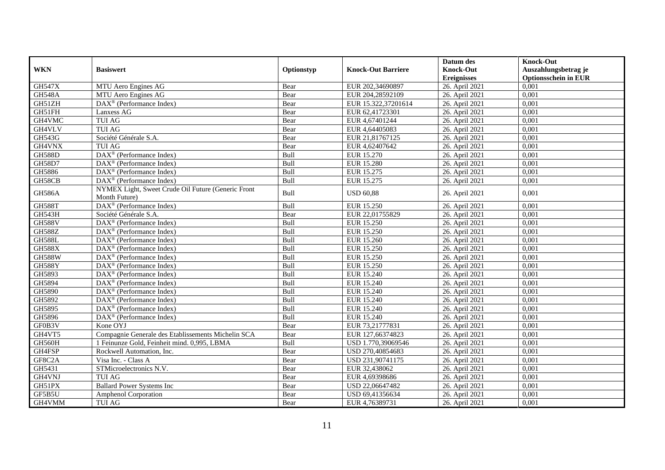|               |                                                                     |            |                           | Datum des                              | <b>Knock-Out</b>                                    |
|---------------|---------------------------------------------------------------------|------------|---------------------------|----------------------------------------|-----------------------------------------------------|
| <b>WKN</b>    | <b>Basiswert</b>                                                    | Optionstyp | <b>Knock-Out Barriere</b> | <b>Knock-Out</b><br><b>Ereignisses</b> | Auszahlungsbetrag je<br><b>Optionsschein in EUR</b> |
| <b>GH547X</b> | MTU Aero Engines AG                                                 | Bear       | EUR 202,34690897          | 26. April 2021                         | 0,001                                               |
| <b>GH548A</b> | MTU Aero Engines AG                                                 | Bear       | EUR 204,28592109          | 26. April 2021                         | 0,001                                               |
| GH51ZH        | DAX <sup>®</sup> (Performance Index)                                | Bear       | EUR 15.322,37201614       | 26. April 2021                         | 0.001                                               |
| GH51FH        | Lanxess AG                                                          | Bear       | EUR 62,41723301           | 26. April 2021                         | 0,001                                               |
| GH4VMC        | TUI AG                                                              | Bear       | EUR 4,67401244            | 26. April 2021                         | 0,001                                               |
| GH4VLV        | <b>TUI AG</b>                                                       | Bear       | EUR 4,64405083            | 26. April 2021                         | 0,001                                               |
| GH543G        | Société Générale S.A.                                               | Bear       | EUR 21,81767125           | 26. April 2021                         | 0,001                                               |
| GH4VNX        | <b>TUI AG</b>                                                       | Bear       | EUR 4,62407642            | 26. April 2021                         | 0,001                                               |
| <b>GH588D</b> | $\text{DAX}^{\textcircled{p}}$ (Performance Index)                  | Bull       | EUR 15.270                | 26. April 2021                         | 0.001                                               |
| <b>GH58D7</b> | DAX <sup>®</sup> (Performance Index)                                | Bull       | <b>EUR 15.280</b>         | 26. April 2021                         | 0,001                                               |
| GH5886        | DAX <sup>®</sup> (Performance Index)                                | Bull       | EUR 15.275                | 26. April 2021                         | 0,001                                               |
| GH58CB        | DAX <sup>®</sup> (Performance Index)                                | Bull       | EUR 15.275                | 26. April 2021                         | 0,001                                               |
| <b>GH586A</b> | NYMEX Light, Sweet Crude Oil Future (Generic Front<br>Month Future) | Bull       | <b>USD 60,88</b>          | 26. April 2021                         | 0,001                                               |
| <b>GH588T</b> | $\text{DAX}^{\otimes}$ (Performance Index)                          | Bull       | EUR 15.250                | 26. April 2021                         | 0,001                                               |
| GH543H        | Société Générale S.A.                                               | Bear       | EUR 22,01755829           | 26. April 2021                         | 0,001                                               |
| GH588V        | $\overline{\text{DAX}^{\otimes}}$ (Performance Index)               | Bull       | <b>EUR 15.250</b>         | 26. April 2021                         | 0,001                                               |
| <b>GH588Z</b> | $\overline{\text{DAX}^{\otimes}}$ (Performance Index)               | Bull       | <b>EUR 15.250</b>         | 26. April 2021                         | 0,001                                               |
| <b>GH588L</b> | $\overline{\text{DAX}^{\otimes}}$ (Performance Index)               | Bull       | EUR 15.260                | 26. April 2021                         | 0,001                                               |
| <b>GH588X</b> | DAX <sup>®</sup> (Performance Index)                                | Bull       | EUR 15.250                | 26. April 2021                         | 0,001                                               |
| <b>GH588W</b> | $DAX^{\circledR}$ (Performance Index)                               | Bull       | EUR 15.250                | 26. April 2021                         | 0.001                                               |
| <b>GH588Y</b> | DAX <sup>®</sup> (Performance Index)                                | Bull       | EUR 15.250                | 26. April 2021                         | 0,001                                               |
| GH5893        | DAX <sup>®</sup> (Performance Index)                                | Bull       | EUR 15.240                | 26. April 2021                         | 0,001                                               |
| GH5894        | DAX <sup>®</sup> (Performance Index)                                | Bull       | <b>EUR 15.240</b>         | 26. April 2021                         | 0,001                                               |
| GH5890        | $\text{DAX}^{\textcircled{n}}$ (Performance Index)                  | Bull       | <b>EUR 15.240</b>         | 26. April 2021                         | 0,001                                               |
| GH5892        | DAX <sup>®</sup> (Performance Index)                                | Bull       | EUR 15.240                | 26. April 2021                         | 0,001                                               |
| GH5895        | $\overline{\text{DAX}}^{\textcircled{}}$ (Performance Index)        | Bull       | <b>EUR 15.240</b>         | 26. April 2021                         | 0,001                                               |
| GH5896        | DAX <sup>®</sup> (Performance Index)                                | Bull       | EUR 15.240                | 26. April 2021                         | 0,001                                               |
| GF0B3V        | Kone OYJ                                                            | Bear       | EUR 73,21777831           | 26. April 2021                         | 0,001                                               |
| GH4VT5        | Compagnie Generale des Etablissements Michelin SCA                  | Bear       | EUR 127,66374823          | 26. April 2021                         | 0,001                                               |
| GH560H        | 1 Feinunze Gold, Feinheit mind. 0,995, LBMA                         | Bull       | USD 1.770,39069546        | 26. April 2021                         | 0,001                                               |
| GH4FSP        | Rockwell Automation, Inc.                                           | Bear       | USD 270,40854683          | 26. April 2021                         | 0,001                                               |
| GF8C2A        | Visa Inc. - Class A                                                 | Bear       | USD 231,90741175          | 26. April 2021                         | 0.001                                               |
| GH5431        | STMicroelectronics N.V.                                             | Bear       | EUR 32,438062             | 26. April 2021                         | 0,001                                               |
| GH4VNJ        | <b>TUI AG</b>                                                       | Bear       | EUR 4,69398686            | 26. April 2021                         | 0,001                                               |
| GH51PX        | <b>Ballard Power Systems Inc</b>                                    | Bear       | USD 22,06647482           | 26. April 2021                         | 0,001                                               |
| GF5B5U        | <b>Amphenol Corporation</b>                                         | Bear       | USD 69,41356634           | 26. April 2021                         | 0,001                                               |
| GH4VMM        | <b>TUI AG</b>                                                       | Bear       | EUR 4,76389731            | 26. April 2021                         | 0,001                                               |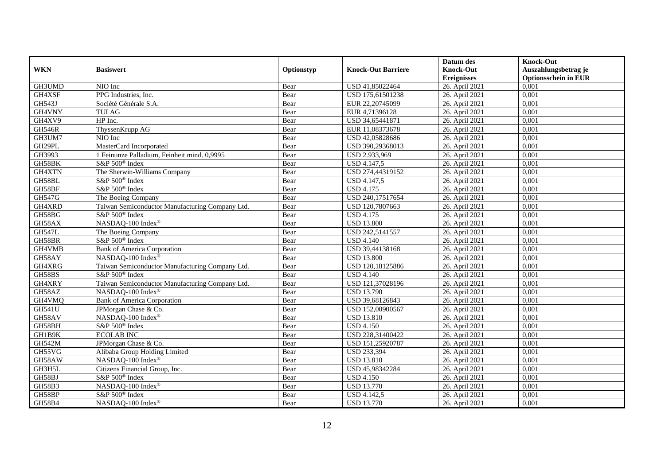|               |                                                 |            |                           | Datum des          | <b>Knock-Out</b>            |
|---------------|-------------------------------------------------|------------|---------------------------|--------------------|-----------------------------|
| <b>WKN</b>    | <b>Basiswert</b>                                | Optionstyp | <b>Knock-Out Barriere</b> | <b>Knock-Out</b>   | Auszahlungsbetrag je        |
|               |                                                 |            |                           | <b>Ereignisses</b> | <b>Optionsschein in EUR</b> |
| GH3UMD        | NIO Inc                                         | Bear       | USD 41,85022464           | 26. April 2021     | 0,001                       |
| GH4XSF        | PPG Industries, Inc.                            | Bear       | USD 175,61501238          | 26. April 2021     | 0,001                       |
| GH543J        | Société Générale S.A.                           | Bear       | EUR 22,20745099           | 26. April 2021     | 0,001                       |
| GH4VNY        | <b>TUI AG</b>                                   | Bear       | EUR 4,71396128            | 26. April 2021     | 0,001                       |
| GH4XV9        | HP Inc.                                         | Bear       | USD 34,65441871           | 26. April 2021     | 0,001                       |
| <b>GH546R</b> | ThyssenKrupp AG                                 | Bear       | EUR 11,08373678           | 26. April 2021     | 0,001                       |
| GH3UM7        | NIO Inc                                         | Bear       | USD 42,05828686           | 26. April 2021     | 0,001                       |
| GH29PL        | MasterCard Incorporated                         | Bear       | USD 390,29368013          | 26. April 2021     | 0,001                       |
| GH3993        | 1 Feinunze Palladium, Feinheit mind. 0,9995     | Bear       | USD 2.933,969             | 26. April 2021     | 0,001                       |
| GH58BK        | S&P 500 <sup>®</sup> Index                      | Bear       | <b>USD 4.147,5</b>        | 26. April 2021     | 0,001                       |
| GH4XTN        | The Sherwin-Williams Company                    | Bear       | USD 274,44319152          | 26. April 2021     | 0,001                       |
| GH58BL        | S&P 500 <sup>®</sup> Index                      | Bear       | <b>USD 4.147,5</b>        | 26. April 2021     | 0,001                       |
| GH58BF        | S&P 500 <sup>®</sup> Index                      | Bear       | <b>USD 4.175</b>          | 26. April 2021     | 0,001                       |
| GH547G        | The Boeing Company                              | Bear       | USD 240,17517654          | 26. April 2021     | 0,001                       |
| GH4XRD        | Taiwan Semiconductor Manufacturing Company Ltd. | Bear       | USD 120,7807663           | 26. April 2021     | 0,001                       |
| GH58BG        | S&P 500 <sup>®</sup> Index                      | Bear       | <b>USD 4.175</b>          | 26. April 2021     | 0,001                       |
| GH58AX        | NASDAQ-100 Index®                               | Bear       | <b>USD 13.800</b>         | 26. April 2021     | 0,001                       |
| <b>GH547L</b> | The Boeing Company                              | Bear       | USD 242,5141557           | 26. April 2021     | 0,001                       |
| GH58BR        | S&P 500 <sup>®</sup> Index                      | Bear       | <b>USD 4.140</b>          | 26. April 2021     | 0,001                       |
| GH4VMB        | <b>Bank of America Corporation</b>              | Bear       | USD 39,44138168           | 26. April 2021     | 0,001                       |
| GH58AY        | NASDAQ-100 Index®                               | Bear       | <b>USD 13.800</b>         | 26. April 2021     | 0,001                       |
| GH4XRG        | Taiwan Semiconductor Manufacturing Company Ltd. | Bear       | USD 120,18125886          | 26. April 2021     | 0,001                       |
| GH58BS        | S&P 500 <sup>®</sup> Index                      | Bear       | <b>USD 4.140</b>          | 26. April 2021     | 0,001                       |
| GH4XRY        | Taiwan Semiconductor Manufacturing Company Ltd. | Bear       | USD 121,37028196          | 26. April 2021     | 0,001                       |
| GH58AZ        | NASDAQ-100 Index®                               | Bear       | <b>USD 13.790</b>         | 26. April 2021     | 0,001                       |
| GH4VMQ        | <b>Bank of America Corporation</b>              | Bear       | USD 39,68126843           | 26. April 2021     | 0,001                       |
| GH541U        | JPMorgan Chase & Co.                            | Bear       | USD 152,00900567          | 26. April 2021     | 0,001                       |
| GH58AV        | NASDAQ-100 Index®                               | Bear       | <b>USD 13.810</b>         | 26. April 2021     | 0.001                       |
| GH58BH        | S&P 500 <sup>®</sup> Index                      | Bear       | <b>USD 4.150</b>          | 26. April 2021     | 0,001                       |
| GH1B9K        | <b>ECOLAB INC</b>                               | Bear       | USD 228,31400422          | 26. April 2021     | 0,001                       |
| <b>GH542M</b> | JPMorgan Chase & Co.                            | Bear       | USD 151,25920787          | 26. April 2021     | 0,001                       |
| GH55VG        | Alibaba Group Holding Limited                   | Bear       | <b>USD 233,394</b>        | 26. April 2021     | 0.001                       |
| GH58AW        | NASDAQ-100 Index®                               | Bear       | <b>USD 13.810</b>         | 26. April 2021     | 0,001                       |
| GH3H5L        | Citizens Financial Group, Inc.                  | Bear       | USD 45,98342284           | 26. April 2021     | 0,001                       |
| GH58BJ        | S&P 500 <sup>®</sup> Index                      | Bear       | <b>USD 4.150</b>          | 26. April 2021     | 0,001                       |
| GH58B3        | NASDAQ-100 Index®                               | Bear       | <b>USD 13.770</b>         | 26. April 2021     | 0,001                       |
| GH58BP        | S&P 500 <sup>®</sup> Index                      | Bear       | <b>USD 4.142,5</b>        | 26. April 2021     | 0,001                       |
| GH58B4        | NASDAQ-100 Index®                               | Bear       | <b>USD 13.770</b>         | 26. April 2021     | 0,001                       |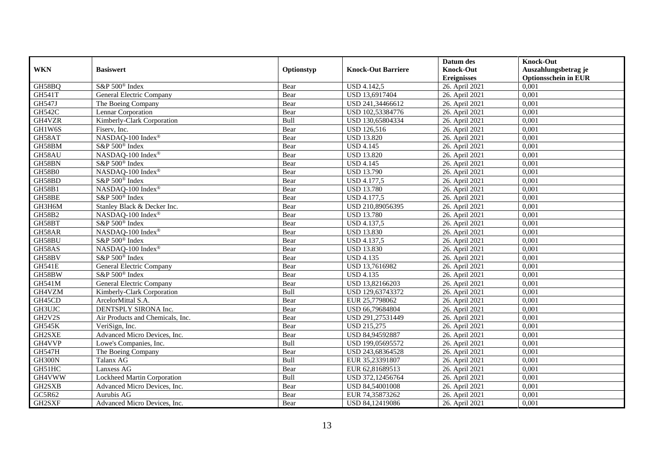|               |                                  |            |                           | Datum des          | <b>Knock-Out</b>            |
|---------------|----------------------------------|------------|---------------------------|--------------------|-----------------------------|
| <b>WKN</b>    | <b>Basiswert</b>                 | Optionstyp | <b>Knock-Out Barriere</b> | <b>Knock-Out</b>   | Auszahlungsbetrag je        |
|               |                                  |            |                           | <b>Ereignisses</b> | <b>Optionsschein in EUR</b> |
| GH58BQ        | S&P 500 <sup>®</sup> Index       | Bear       | <b>USD 4.142,5</b>        | 26. April 2021     | 0,001                       |
| <b>GH541T</b> | General Electric Company         | Bear       | USD 13,6917404            | 26. April 2021     | 0,001                       |
| <b>GH547J</b> | The Boeing Company               | Bear       | USD 241,34466612          | 26. April 2021     | 0,001                       |
| GH542C        | Lennar Corporation               | Bear       | USD 102,53384776          | 26. April 2021     | 0,001                       |
| GH4VZR        | Kimberly-Clark Corporation       | Bull       | USD 130,65804334          | 26. April 2021     | 0,001                       |
| GH1W6S        | Fiserv, Inc.                     | Bear       | <b>USD 126,516</b>        | 26. April 2021     | 0,001                       |
| GH58AT        | NASDAQ-100 Index®                | Bear       | <b>USD 13.820</b>         | 26. April 2021     | 0,001                       |
| GH58BM        | S&P 500 <sup>®</sup> Index       | Bear       | <b>USD 4.145</b>          | 26. April 2021     | 0,001                       |
| GH58AU        | NASDAQ-100 Index®                | Bear       | <b>USD 13.820</b>         | 26. April 2021     | 0,001                       |
| GH58BN        | S&P 500 <sup>®</sup> Index       | Bear       | <b>USD 4.145</b>          | 26. April 2021     | 0,001                       |
| <b>GH58B0</b> | NASDAQ-100 Index®                | Bear       | <b>USD 13.790</b>         | 26. April 2021     | 0,001                       |
| GH58BD        | S&P 500 <sup>®</sup> Index       | Bear       | <b>USD 4.177,5</b>        | 26. April 2021     | 0,001                       |
| GH58B1        | NASDAQ-100 Index®                | Bear       | <b>USD 13.780</b>         | 26. April 2021     | 0,001                       |
| GH58BE        | S&P 500 <sup>®</sup> Index       | Bear       | <b>USD 4.177,5</b>        | 26. April 2021     | 0,001                       |
| GH3H6M        | Stanley Black & Decker Inc.      | Bear       | USD 210,89056395          | 26. April 2021     | 0,001                       |
| <b>GH58B2</b> | NASDAQ-100 Index®                | Bear       | <b>USD 13.780</b>         | 26. April 2021     | 0,001                       |
| GH58BT        | S&P 500 <sup>®</sup> Index       | Bear       | <b>USD 4.137,5</b>        | 26. April 2021     | 0,001                       |
| GH58AR        | NASDAQ-100 Index®                | Bear       | <b>USD 13.830</b>         | 26. April 2021     | 0,001                       |
| GH58BU        | S&P 500 <sup>®</sup> Index       | Bear       | USD 4.137,5               | 26. April 2021     | 0,001                       |
| GH58AS        | NASDAQ-100 Index®                | Bear       | <b>USD 13.830</b>         | 26. April 2021     | 0,001                       |
| GH58BV        | S&P 500 <sup>®</sup> Index       | Bear       | <b>USD 4.135</b>          | 26. April 2021     | 0,001                       |
| <b>GH541E</b> | <b>General Electric Company</b>  | Bear       | USD 13,7616982            | 26. April 2021     | 0.001                       |
| GH58BW        | S&P 500 <sup>®</sup> Index       | Bear       | <b>USD 4.135</b>          | 26. April 2021     | 0,001                       |
| <b>GH541M</b> | <b>General Electric Company</b>  | Bear       | USD 13,82166203           | 26. April 2021     | 0,001                       |
| GH4VZM        | Kimberly-Clark Corporation       | Bull       | USD 129,63743372          | 26. April 2021     | 0,001                       |
| GH45CD        | ArcelorMittal S.A.               | Bear       | EUR 25,7798062            | 26. April 2021     | 0,001                       |
| GH3UJC        | DENTSPLY SIRONA Inc.             | Bear       | USD 66,79684804           | 26. April 2021     | 0,001                       |
| GH2V2S        | Air Products and Chemicals, Inc. | Bear       | USD 291,27531449          | 26. April 2021     | 0,001                       |
| <b>GH545K</b> | VeriSign, Inc.                   | Bear       | <b>USD 215,275</b>        | 26. April 2021     | 0,001                       |
| GH2SXE        | Advanced Micro Devices, Inc.     | Bear       | USD 84,94592887           | 26. April 2021     | 0.001                       |
| GH4VVP        | Lowe's Companies, Inc.           | Bull       | USD 199,05695572          | 26. April 2021     | 0,001                       |
| <b>GH547H</b> | The Boeing Company               | Bear       | USD 243,68364528          | 26. April 2021     | 0,001                       |
| GH300N        | Talanx AG                        | Bull       | EUR 35,23391807           | 26. April 2021     | 0,001                       |
| GH51HC        | Lanxess AG                       | Bear       | EUR 62,81689513           | 26. April 2021     | 0,001                       |
| GH4VWW        | Lockheed Martin Corporation      | Bull       | USD 372,12456764          | 26. April 2021     | 0,001                       |
| GH2SXB        | Advanced Micro Devices, Inc.     | Bear       | USD 84,54001008           | 26. April 2021     | 0,001                       |
| GC5R62        | Aurubis AG                       | Bear       | EUR 74,35873262           | 26. April 2021     | 0,001                       |
| GH2SXF        | Advanced Micro Devices, Inc.     | Bear       | USD 84,12419086           | 26. April 2021     | 0,001                       |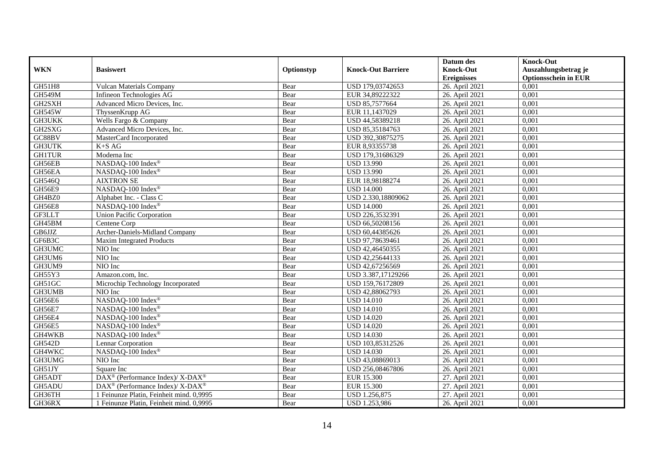|               |                                                                  |            |                           | Datum des          | <b>Knock-Out</b>            |
|---------------|------------------------------------------------------------------|------------|---------------------------|--------------------|-----------------------------|
| <b>WKN</b>    | <b>Basiswert</b>                                                 | Optionstyp | <b>Knock-Out Barriere</b> | <b>Knock-Out</b>   | Auszahlungsbetrag je        |
|               |                                                                  |            |                           | <b>Ereignisses</b> | <b>Optionsschein in EUR</b> |
| GH51H8        | Vulcan Materials Company                                         | Bear       | USD 179,03742653          | 26. April 2021     | 0,001                       |
| <b>GH549M</b> | Infineon Technologies AG                                         | Bear       | EUR 34,89222322           | 26. April 2021     | 0,001                       |
| GH2SXH        | Advanced Micro Devices, Inc.                                     | Bear       | USD 85,7577664            | 26. April 2021     | 0,001                       |
| <b>GH545W</b> | ThyssenKrupp AG                                                  | Bear       | EUR 11,1437029            | 26. April 2021     | 0,001                       |
| <b>GH3UKK</b> | Wells Fargo & Company                                            | Bear       | USD 44,58389218           | 26. April 2021     | 0,001                       |
| GH2SXG        | Advanced Micro Devices, Inc.                                     | Bear       | USD 85,35184763           | 26. April 2021     | 0,001                       |
| GC88BV        | MasterCard Incorporated                                          | Bear       | USD 392,30875275          | 26. April 2021     | 0,001                       |
| <b>GH3UTK</b> | $K+SAG$                                                          | Bear       | EUR 8,93355738            | 26. April 2021     | 0,001                       |
| <b>GH1TUR</b> | Moderna Inc                                                      | Bear       | USD 179,31686329          | 26. April 2021     | 0,001                       |
| GH56EB        | NASDAQ-100 Index®                                                | Bear       | <b>USD 13.990</b>         | 26. April 2021     | 0,001                       |
| GH56EA        | NASDAQ-100 Index®                                                | Bear       | <b>USD 13.990</b>         | 26. April 2021     | 0,001                       |
| GH546Q        | <b>AIXTRON SE</b>                                                | Bear       | EUR 18,98188274           | 26. April 2021     | 0,001                       |
| GH56E9        | NASDAQ-100 Index®                                                | Bear       | <b>USD 14.000</b>         | 26. April 2021     | 0,001                       |
| GH4BZ0        | Alphabet Inc. - Class C                                          | Bear       | USD 2.330,18809062        | 26. April 2021     | 0,001                       |
| <b>GH56E8</b> | NASDAQ-100 Index®                                                | Bear       | <b>USD 14.000</b>         | 26. April 2021     | 0,001                       |
| GF3LLT        | <b>Union Pacific Corporation</b>                                 | Bear       | USD 226,3532391           | 26. April 2021     | 0,001                       |
| GH45BM        | Centene Corp                                                     | Bear       | USD 66,50208156           | 26. April 2021     | 0,001                       |
| GB6JJZ        | Archer-Daniels-Midland Company                                   | Bear       | USD 60,44385626           | 26. April 2021     | 0,001                       |
| GF6B3C        | Maxim Integrated Products                                        | Bear       | USD 97,78639461           | 26. April 2021     | 0,001                       |
| GH3UMC        | NIO Inc                                                          | Bear       | USD 42,46450355           | 26. April 2021     | 0,001                       |
| GH3UM6        | NIO Inc                                                          | Bear       | USD 42,25644133           | 26. April 2021     | 0,001                       |
| GH3UM9        | NIO Inc                                                          | Bear       | USD 42,67256569           | 26. April 2021     | 0,001                       |
| GH55Y3        | Amazon.com, Inc.                                                 | Bear       | USD 3.387,17129266        | 26. April 2021     | 0,001                       |
| GH51GC        | Microchip Technology Incorporated                                | Bear       | USD 159,76172809          | 26. April 2021     | 0,001                       |
| GH3UMB        | NIO Inc                                                          | Bear       | USD 42,88062793           | 26. April 2021     | 0,001                       |
| GH56E6        | NASDAQ-100 Index®                                                | Bear       | <b>USD 14.010</b>         | 26. April 2021     | 0,001                       |
| GH56E7        | NASDAQ-100 Index®                                                | Bear       | <b>USD 14.010</b>         | 26. April 2021     | 0,001                       |
| <b>GH56E4</b> | NASDAQ-100 Index®                                                | Bear       | <b>USD 14.020</b>         | 26. April 2021     | 0.001                       |
| GH56E5        | NASDAQ-100 Index®                                                | Bear       | <b>USD 14.020</b>         | 26. April 2021     | 0,001                       |
| GH4WKB        | NASDAQ-100 Index®                                                | Bear       | <b>USD 14.030</b>         | 26. April 2021     | 0,001                       |
| <b>GH542D</b> | Lennar Corporation                                               | Bear       | USD 103,85312526          | 26. April 2021     | 0,001                       |
| GH4WKC        | NASDAQ-100 Index®                                                | Bear       | <b>USD 14.030</b>         | 26. April 2021     | 0.001                       |
| GH3UMG        | NIO Inc                                                          | Bear       | USD 43,08869013           | 26. April 2021     | 0,001                       |
| GH51JY        | Square Inc                                                       | Bear       | USD 256,08467806          | 26. April 2021     | 0,001                       |
| GH5ADT        | DAX <sup>®</sup> (Performance Index)/ X-DAX <sup>®</sup>         | Bear       | <b>EUR 15.300</b>         | 27. April 2021     | 0,001                       |
| GH5ADU        | $\text{DAX}^{\circledR}$ (Performance Index)/ X-DAX <sup>®</sup> | Bear       | <b>EUR 15.300</b>         | 27. April 2021     | 0,001                       |
| GH36TH        | 1 Feinunze Platin, Feinheit mind. 0,9995                         | Bear       | USD 1.256,875             | 27. April 2021     | 0,001                       |
| GH36RX        | 1 Feinunze Platin, Feinheit mind. 0,9995                         | Bear       | USD 1.253,986             | 26. April 2021     | 0,001                       |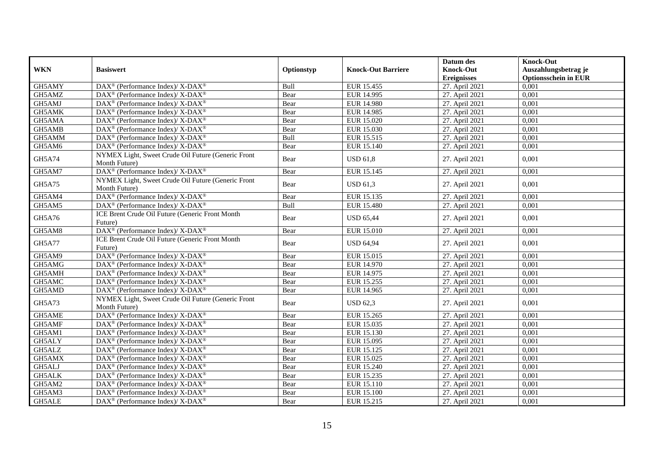|               |                                                                           |            |                           | Datum des          | <b>Knock-Out</b>            |
|---------------|---------------------------------------------------------------------------|------------|---------------------------|--------------------|-----------------------------|
| <b>WKN</b>    | <b>Basiswert</b>                                                          | Optionstyp | <b>Knock-Out Barriere</b> | <b>Knock-Out</b>   | Auszahlungsbetrag je        |
|               |                                                                           |            |                           | <b>Ereignisses</b> | <b>Optionsschein in EUR</b> |
| GH5AMY        | $\overline{\text{DAX}^{\otimes}}$ (Performance Index)/X-DAX <sup>®</sup>  | Bull       | EUR 15.455                | 27. April 2021     | 0,001                       |
| GH5AMZ        | DAX <sup>®</sup> (Performance Index)/ X-DAX <sup>®</sup>                  | Bear       | EUR 14.995                | 27. April 2021     | 0,001                       |
| GH5AMJ        | $DAX^{\circledast}$ (Performance Index)/ X-DAX <sup>®</sup>               | Bear       | <b>EUR 14.980</b>         | 27. April 2021     | 0,001                       |
| GH5AMK        | DAX <sup>®</sup> (Performance Index)/ X-DAX <sup>®</sup>                  | Bear       | EUR 14.985                | 27. April 2021     | 0,001                       |
| GH5AMA        | DAX <sup>®</sup> (Performance Index)/ X-DAX <sup>®</sup>                  | Bear       | EUR 15.020                | 27. April 2021     | 0,001                       |
| GH5AMB        | $\text{DAX}^{\circledast}$ (Performance Index)/ X-DAX <sup>®</sup>        | Bear       | EUR 15.030                | 27. April 2021     | 0,001                       |
| GH5AMM        | DAX <sup>®</sup> (Performance Index)/ X-DAX <sup>®</sup>                  | Bull       | EUR 15.515                | 27. April 2021     | 0,001                       |
| GH5AM6        | DAX <sup>®</sup> (Performance Index)/X-DAX <sup>®</sup>                   | Bear       | EUR 15.140                | 27. April 2021     | 0,001                       |
| GH5A74        | NYMEX Light, Sweet Crude Oil Future (Generic Front<br>Month Future)       | Bear       | <b>USD 61,8</b>           | 27. April 2021     | 0,001                       |
| GH5AM7        | DAX <sup>®</sup> (Performance Index)/X-DAX <sup>®</sup>                   | Bear       | EUR 15.145                | 27. April 2021     | 0,001                       |
| GH5A75        | NYMEX Light, Sweet Crude Oil Future (Generic Front<br>Month Future)       | Bear       | <b>USD 61,3</b>           | 27. April 2021     | 0,001                       |
| GH5AM4        | DAX <sup>®</sup> (Performance Index)/X-DAX <sup>®</sup>                   | Bear       | EUR 15.135                | 27. April 2021     | 0,001                       |
| GH5AM5        | DAX <sup>®</sup> (Performance Index)/ X-DAX <sup>®</sup>                  | Bull       | EUR 15.480                | 27. April 2021     | 0,001                       |
| GH5A76        | ICE Brent Crude Oil Future (Generic Front Month<br>Future)                | Bear       | <b>USD 65,44</b>          | 27. April 2021     | 0,001                       |
| GH5AM8        | DAX <sup>®</sup> (Performance Index)/X-DAX <sup>®</sup>                   | Bear       | EUR 15.010                | 27. April 2021     | 0.001                       |
| <b>GH5A77</b> | ICE Brent Crude Oil Future (Generic Front Month<br>Future)                | Bear       | <b>USD 64,94</b>          | 27. April 2021     | 0,001                       |
| GH5AM9        | DAX <sup>®</sup> (Performance Index)/X-DAX <sup>®</sup>                   | Bear       | EUR 15.015                | 27. April 2021     | 0.001                       |
| GH5AMG        | DAX <sup>®</sup> (Performance Index)/X-DAX <sup>®</sup>                   | Bear       | <b>EUR 14.970</b>         | 27. April 2021     | 0,001                       |
| GH5AMH        | DAX <sup>®</sup> (Performance Index)/ X-DAX <sup>®</sup>                  | Bear       | EUR 14.975                | 27. April 2021     | 0,001                       |
| GH5AMC        | DAX <sup>®</sup> (Performance Index)/X-DAX <sup>®</sup>                   | Bear       | EUR 15.255                | 27. April 2021     | 0,001                       |
| GH5AMD        | $DAX^{\circledast}$ (Performance Index)/ $\overline{X-DAX^{\circledast}}$ | Bear       | EUR 14.965                | 27. April 2021     | 0,001                       |
| GH5A73        | NYMEX Light, Sweet Crude Oil Future (Generic Front<br>Month Future)       | Bear       | <b>USD 62.3</b>           | 27. April 2021     | 0.001                       |
| GH5AME        | DAX <sup>®</sup> (Performance Index)/X-DAX <sup>®</sup>                   | Bear       | EUR 15.265                | 27. April 2021     | 0,001                       |
| GH5AMF        | DAX <sup>®</sup> (Performance Index)/ X-DAX <sup>®</sup>                  | Bear       | EUR 15.035                | 27. April 2021     | 0,001                       |
| GH5AM1        | $\text{DAX}^{\circledast}$ (Performance Index)/ X-DAX <sup>®</sup>        | Bear       | EUR 15.130                | 27. April 2021     | 0,001                       |
| GH5ALY        | DAX <sup>®</sup> (Performance Index)/ X-DAX <sup>®</sup>                  | Bear       | EUR 15.095                | 27. April 2021     | 0,001                       |
| GH5ALZ        | DAX <sup>®</sup> (Performance Index)/ X-DAX <sup>®</sup>                  | Bear       | EUR 15.125                | 27. April 2021     | 0,001                       |
| GH5AMX        | $DAX^{\circledast}$ (Performance Index)/ X-DAX <sup>®</sup>               | Bear       | EUR 15.025                | 27. April 2021     | 0,001                       |
| GH5ALJ        | DAX <sup>®</sup> (Performance Index)/ X-DAX <sup>®</sup>                  | Bear       | EUR 15.240                | 27. April 2021     | 0,001                       |
| GH5ALK        | DAX <sup>®</sup> (Performance Index)/ X-DAX <sup>®</sup>                  | Bear       | EUR 15.235                | 27. April 2021     | 0,001                       |
| GH5AM2        | DAX <sup>®</sup> (Performance Index)/ X-DAX <sup>®</sup>                  | Bear       | EUR 15.110                | 27. April 2021     | 0,001                       |
| GH5AM3        | $DAX^{\circledast}$ (Performance Index)/ X-DAX <sup>®</sup>               | Bear       | <b>EUR 15.100</b>         | 27. April 2021     | 0,001                       |
| GH5ALE        | DAX <sup>®</sup> (Performance Index)/ X-DAX <sup>®</sup>                  | Bear       | EUR 15.215                | 27. April 2021     | 0,001                       |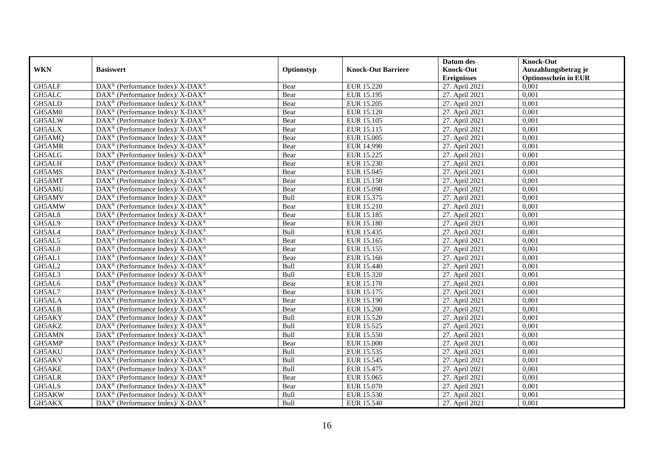|            |                                                                    |            |                           | Datum des                              | <b>Knock-Out</b>                                    |
|------------|--------------------------------------------------------------------|------------|---------------------------|----------------------------------------|-----------------------------------------------------|
| <b>WKN</b> | <b>Basiswert</b>                                                   | Optionstyp | <b>Knock-Out Barriere</b> | <b>Knock-Out</b><br><b>Ereignisses</b> | Auszahlungsbetrag je<br><b>Optionsschein in EUR</b> |
| GH5ALF     | DAX <sup>®</sup> (Performance Index)/ X-DAX <sup>®</sup>           | Bear       | EUR 15.220                | 27. April 2021                         | 0,001                                               |
| GH5ALC     | DAX <sup>®</sup> (Performance Index)/ X-DAX <sup>®</sup>           | Bear       | EUR 15.195                | 27. April 2021                         | 0,001                                               |
| GH5ALD     | $DAX^{\circledast}$ (Performance Index)/ X-DAX <sup>®</sup>        | Bear       | EUR 15.205                | 27. April 2021                         | 0,001                                               |
| GH5AM0     | DAX <sup>®</sup> (Performance Index)/ X-DAX <sup>®</sup>           | Bear       | EUR 15.120                | 27. April 2021                         | 0,001                                               |
| GH5ALW     | DAX <sup>®</sup> (Performance Index)/ X-DAX <sup>®</sup>           | Bear       | EUR 15.105                | 27. April 2021                         | 0,001                                               |
| GH5ALX     | DAX <sup>®</sup> (Performance Index)/ X-DAX <sup>®</sup>           | Bear       | EUR 15.115                | 27. April 2021                         | 0,001                                               |
| GH5AMQ     | DAX <sup>®</sup> (Performance Index)/ X-DAX <sup>®</sup>           | Bear       | EUR 15.005                | 27. April 2021                         | 0,001                                               |
| GH5AMR     | $DAX^{\circledast}$ (Performance Index)/ X-DAX <sup>®</sup>        | Bear       | EUR 14.990                | 27. April 2021                         | 0,001                                               |
| GH5ALG     | $DAX^{\circledast}$ (Performance Index)/ X-DAX <sup>®</sup>        | Bear       | <b>EUR 15.225</b>         | 27. April 2021                         | 0,001                                               |
| GH5ALH     | DAX <sup>®</sup> (Performance Index)/X-DAX <sup>®</sup>            | Bear       | EUR 15.230                | 27. April 2021                         | 0,001                                               |
| GH5AMS     | $DAX^{\circledast}$ (Performance Index)/ X-DAX <sup>®</sup>        | Bear       | EUR 15.045                | 27. April 2021                         | 0,001                                               |
| GH5AMT     | $\text{DAX}^{\circledR}$ (Performance Index)/ X-DAX <sup>®</sup>   | Bear       | EUR 15.150                | 27. April 2021                         | 0,001                                               |
| GH5AMU     | DAX <sup>®</sup> (Performance Index)/ X-DAX <sup>®</sup>           | Bear       | EUR 15.090                | 27. April 2021                         | 0,001                                               |
| GH5AMV     | $\text{DAX}^{\circledast}$ (Performance Index)/ X-DAX <sup>®</sup> | Bull       | EUR 15.375                | 27. April 2021                         | 0,001                                               |
| GH5AMW     | $DAX^{\circledast}$ (Performance Index)/ X-DAX <sup>®</sup>        | Bear       | EUR 15.210                | 27. April 2021                         | 0,001                                               |
| GH5AL8     | $DAX^{\circledast}$ (Performance Index)/ X-DAX <sup>®</sup>        | Bear       | EUR 15.185                | 27. April 2021                         | 0,001                                               |
| GH5AL9     | DAX <sup>®</sup> (Performance Index)/ X-DAX <sup>®</sup>           | Bear       | EUR 15.180                | 27. April 2021                         | 0,001                                               |
| GH5AL4     | DAX <sup>®</sup> (Performance Index)/ X-DAX <sup>®</sup>           | Bull       | EUR 15.435                | 27. April 2021                         | 0,001                                               |
| GH5AL5     | $DAX^{\circledast}$ (Performance Index)/ X-DAX <sup>®</sup>        | Bear       | EUR 15.165                | 27. April 2021                         | 0,001                                               |
| GH5AL0     | DAX <sup>®</sup> (Performance Index)/ X-DAX <sup>®</sup>           | Bear       | EUR 15.155                | 27. April 2021                         | 0,001                                               |
| GH5AL1     | DAX <sup>®</sup> (Performance Index)/ X-DAX <sup>®</sup>           | Bear       | EUR 15.160                | 27. April 2021                         | 0,001                                               |
| GH5AL2     | DAX <sup>®</sup> (Performance Index)/X-DAX <sup>®</sup>            | Bull       | EUR 15.440                | 27. April 2021                         | 0,001                                               |
| GH5AL3     | DAX <sup>®</sup> (Performance Index)/ X-DAX <sup>®</sup>           | Bull       | EUR 15.320                | 27. April 2021                         | 0,001                                               |
| GH5AL6     | DAX <sup>®</sup> (Performance Index)/ X-DAX <sup>®</sup>           | Bear       | EUR 15.170                | 27. April 2021                         | 0,001                                               |
| GH5AL7     | DAX <sup>®</sup> (Performance Index)/X-DAX <sup>®</sup>            | Bear       | EUR 15.175                | 27. April 2021                         | 0,001                                               |
| GH5ALA     | DAX <sup>®</sup> (Performance Index)/ X-DAX <sup>®</sup>           | Bear       | EUR 15.190                | 27. April 2021                         | 0,001                                               |
| GH5ALB     | $\text{DAX}^{\circledast}$ (Performance Index)/ X-DAX <sup>®</sup> | Bear       | <b>EUR 15.200</b>         | 27. April 2021                         | 0,001                                               |
| GH5AKY     | DAX <sup>®</sup> (Performance Index)/X-DAX <sup>®</sup>            | Bull       | EUR 15.520                | 27. April 2021                         | 0,001                                               |
| GH5AKZ     | $DAX^{\circledast}$ (Performance Index)/ X-DAX <sup>®</sup>        | Bull       | EUR 15.525                | 27. April 2021                         | 0,001                                               |
| GH5AMN     | $DAX^{\circledcirc}$ (Performance Index)/X-DAX <sup>®</sup>        | Bull       | EUR 15.550                | 27. April 2021                         | 0.001                                               |
| GH5AMP     | DAX <sup>®</sup> (Performance Index)/ X-DAX <sup>®</sup>           | Bear       | <b>EUR 15.000</b>         | 27. April 2021                         | 0,001                                               |
| GH5AKU     | DAX <sup>®</sup> (Performance Index)/ X-DAX <sup>®</sup>           | Bull       | EUR 15.535                | 27. April 2021                         | 0,001                                               |
| GH5AKV     | $DAX^{\circledast}$ (Performance Index)/ X-DAX <sup>®</sup>        | Bull       | EUR 15.545                | 27. April 2021                         | 0,001                                               |
| GH5AKE     | DAX <sup>®</sup> (Performance Index)/ X-DAX <sup>®</sup>           | Bull       | EUR 15.475                | 27. April 2021                         | 0,001                                               |
| GH5ALR     | DAX <sup>®</sup> (Performance Index)/ X-DAX <sup>®</sup>           | Bear       | EUR 15.065                | 27. April 2021                         | 0,001                                               |
| GH5ALS     | $\text{DAX}^{\circledast}$ (Performance Index)/ X-DAX <sup>®</sup> | Bear       | EUR 15.070                | 27. April 2021                         | 0,001                                               |
| GH5AKW     | DAX <sup>®</sup> (Performance Index)/ X-DAX <sup>®</sup>           | Bull       | EUR 15.530                | 27. April 2021                         | 0,001                                               |
| GH5AKX     | DAX <sup>®</sup> (Performance Index)/ X-DAX <sup>®</sup>           | Bull       | EUR 15.540                | 27. April 2021                         | 0,001                                               |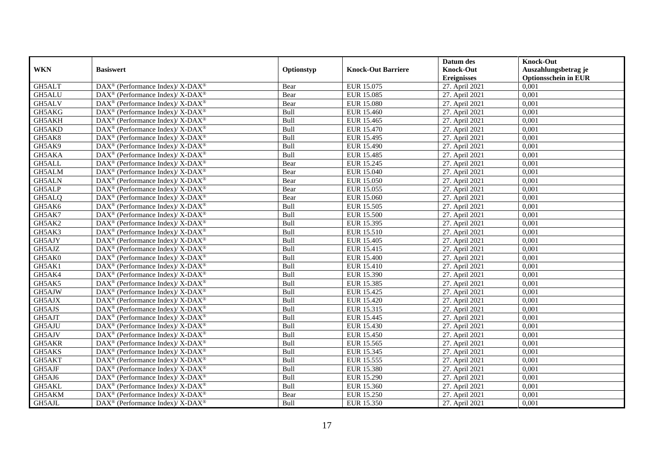|               |                                                                    |             |                           | Datum des          | <b>Knock-Out</b>            |
|---------------|--------------------------------------------------------------------|-------------|---------------------------|--------------------|-----------------------------|
| <b>WKN</b>    | <b>Basiswert</b>                                                   | Optionstyp  | <b>Knock-Out Barriere</b> | <b>Knock-Out</b>   | Auszahlungsbetrag je        |
|               |                                                                    |             |                           | <b>Ereignisses</b> | <b>Optionsschein in EUR</b> |
| GH5ALT        | DAX <sup>®</sup> (Performance Index)/X-DAX <sup>®</sup>            | Bear        | EUR 15.075                | 27. April 2021     | 0,001                       |
| GH5ALU        | $DAX^{\circledast}$ (Performance Index)/ X-DAX <sup>®</sup>        | Bear        | EUR 15.085                | 27. April 2021     | 0,001                       |
| GH5ALV        | DAX <sup>®</sup> (Performance Index)/X-DAX <sup>®</sup>            | Bear        | <b>EUR 15.080</b>         | 27. April 2021     | 0,001                       |
| GH5AKG        | $DAX^{\circledast}$ (Performance Index)/ X-DAX <sup>®</sup>        | Bull        | EUR 15.460                | 27. April 2021     | 0,001                       |
| GH5AKH        | $\text{DAX}^{\circledast}$ (Performance Index)/ X-DAX <sup>®</sup> | Bull        | EUR 15.465                | 27. April 2021     | 0,001                       |
| GH5AKD        | DAX <sup>®</sup> (Performance Index)/ X-DAX <sup>®</sup>           | Bull        | EUR 15.470                | 27. April 2021     | 0,001                       |
| GH5AK8        | DAX <sup>®</sup> (Performance Index)/ X-DAX <sup>®</sup>           | Bull        | EUR 15.495                | 27. April 2021     | 0,001                       |
| GH5AK9        | $DAX^{\circledast}$ (Performance Index)/ X-DAX <sup>®</sup>        | Bull        | EUR 15.490                | 27. April 2021     | 0,001                       |
| GH5AKA        | $\text{DAX}^{\circledast}$ (Performance Index)/ X-DAX <sup>®</sup> | Bull        | EUR 15.485                | 27. April 2021     | 0,001                       |
| GH5ALL        | DAX <sup>®</sup> (Performance Index)/ X-DAX <sup>®</sup>           | Bear        | EUR 15.245                | 27. April 2021     | 0,001                       |
| GH5ALM        | $DAX^{\circledast}$ (Performance Index)/ X-DAX <sup>®</sup>        | Bear        | EUR 15.040                | 27. April 2021     | 0,001                       |
| <b>GH5ALN</b> | DAX <sup>®</sup> (Performance Index)/ X-DAX <sup>®</sup>           | Bear        | <b>EUR 15.050</b>         | 27. April 2021     | 0,001                       |
| GH5ALP        | $DAX^{\circledast}$ (Performance Index)/ X-DAX <sup>®</sup>        | Bear        | EUR 15.055                | 27. April 2021     | 0,001                       |
| GH5ALQ        | DAX <sup>®</sup> (Performance Index)/X-DAX <sup>®</sup>            | Bear        | EUR 15.060                | 27. April 2021     | 0,001                       |
| GH5AK6        | DAX <sup>®</sup> (Performance Index)/ X-DAX <sup>®</sup>           | Bull        | EUR 15.505                | 27. April 2021     | 0,001                       |
| GH5AK7        | DAX <sup>®</sup> (Performance Index)/ X-DAX <sup>®</sup>           | Bull        | <b>EUR 15.500</b>         | 27. April 2021     | 0,001                       |
| GH5AK2        | DAX <sup>®</sup> (Performance Index)/ X-DAX <sup>®</sup>           | Bull        | EUR 15.395                | 27. April 2021     | 0,001                       |
| GH5AK3        | $DAX^{\circledast}$ (Performance Index)/ X-DAX <sup>®</sup>        | Bull        | EUR 15.510                | 27. April 2021     | 0.001                       |
| GH5AJY        | $DAX^{\circledast}$ (Performance Index)/ X-DAX <sup>®</sup>        | Bull        | <b>EUR 15.405</b>         | 27. April 2021     | 0,001                       |
| GH5AJZ        | DAX <sup>®</sup> (Performance Index)/X-DAX <sup>®</sup>            | Bull        | EUR 15.415                | 27. April 2021     | 0,001                       |
| GH5AK0        | DAX <sup>®</sup> (Performance Index)/X-DAX <sup>®</sup>            | Bull        | <b>EUR 15.400</b>         | 27. April 2021     | 0,001                       |
| GH5AK1        | $\text{DAX}^{\circledast}$ (Performance Index)/ X-DAX <sup>®</sup> | Bull        | EUR 15.410                | 27. April 2021     | 0,001                       |
| GH5AK4        | DAX <sup>®</sup> (Performance Index)/ X-DAX <sup>®</sup>           | Bull        | EUR 15.390                | 27. April 2021     | 0,001                       |
| GH5AK5        | $DAX^{\circledast}$ (Performance Index)/ X-DAX <sup>®</sup>        | Bull        | EUR 15.385                | 27. April 2021     | 0,001                       |
| GH5AJW        | DAX <sup>®</sup> (Performance Index)/X-DAX <sup>®</sup>            | Bull        | EUR 15.425                | 27. April 2021     | 0.001                       |
| GH5AJX        | DAX <sup>®</sup> (Performance Index)/ X-DAX <sup>®</sup>           | Bull        | EUR 15.420                | 27. April 2021     | 0,001                       |
| GH5AJS        | DAX <sup>®</sup> (Performance Index)/ X-DAX <sup>®</sup>           | Bull        | EUR 15.315                | 27. April 2021     | 0,001                       |
| GH5AJT        | DAX <sup>®</sup> (Performance Index)/ X-DAX <sup>®</sup>           | Bull        | EUR 15.445                | 27. April 2021     | 0,001                       |
| GH5AJU        | DAX <sup>®</sup> (Performance Index)/ X-DAX <sup>®</sup>           | Bull        | EUR 15.430                | 27. April 2021     | 0,001                       |
| GH5AJV        | $\text{DAX}^{\circledast}$ (Performance Index)/ X-DAX <sup>®</sup> | Bull        | EUR 15.450                | 27. April 2021     | 0,001                       |
| GH5AKR        | $DAX^{\circledast}$ (Performance Index)/ X-DAX <sup>®</sup>        | Bull        | EUR 15.565                | 27. April 2021     | 0,001                       |
| GH5AKS        | DAX <sup>®</sup> (Performance Index)/X-DAX <sup>®</sup>            | <b>Bull</b> | EUR 15.345                | 27. April 2021     | 0.001                       |
| GH5AKT        | $DAX^{\circledast}$ (Performance Index)/ X-DAX <sup>®</sup>        | Bull        | EUR 15.555                | 27. April 2021     | 0,001                       |
| GH5AJF        | DAX <sup>®</sup> (Performance Index)/ X-DAX <sup>®</sup>           | Bull        | <b>EUR 15.380</b>         | 27. April 2021     | 0,001                       |
| GH5AJ6        | DAX <sup>®</sup> (Performance Index)/ X-DAX <sup>®</sup>           | Bull        | <b>EUR 15.290</b>         | 27. April 2021     | 0,001                       |
| GH5AKL        | $\text{DAX}^{\circledast}$ (Performance Index)/ X-DAX <sup>®</sup> | Bull        | EUR 15.360                | 27. April 2021     | 0,001                       |
| GH5AKM        | DAX <sup>®</sup> (Performance Index)/ X-DAX <sup>®</sup>           | Bear        | EUR 15.250                | 27. April 2021     | 0,001                       |
| GH5AJL        | DAX <sup>®</sup> (Performance Index)/ X-DAX <sup>®</sup>           | Bull        | EUR 15.350                | 27. April 2021     | 0,001                       |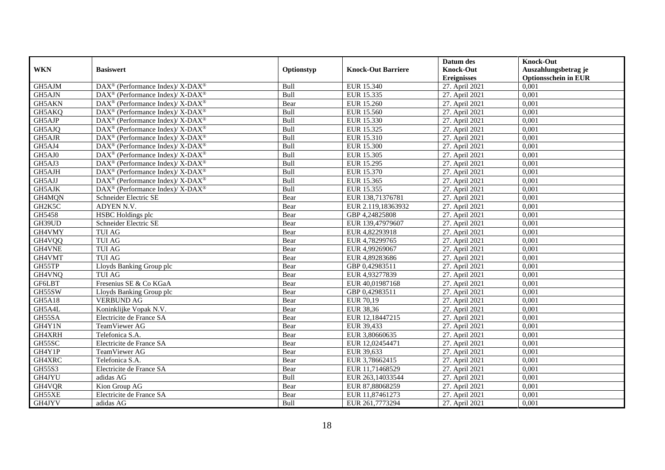|               |                                                             |            |                           | Datum des          | <b>Knock-Out</b>            |
|---------------|-------------------------------------------------------------|------------|---------------------------|--------------------|-----------------------------|
| <b>WKN</b>    | <b>Basiswert</b>                                            | Optionstyp | <b>Knock-Out Barriere</b> | <b>Knock-Out</b>   | Auszahlungsbetrag je        |
|               |                                                             |            |                           | <b>Ereignisses</b> | <b>Optionsschein in EUR</b> |
| GH5AJM        | DAX <sup>®</sup> (Performance Index)/ X-DAX <sup>®</sup>    | Bull       | EUR 15.340                | 27. April 2021     | 0,001                       |
| GH5AJN        | DAX <sup>®</sup> (Performance Index)/ X-DAX <sup>®</sup>    | Bull       | EUR 15.335                | 27. April 2021     | 0,001                       |
| GH5AKN        | DAX <sup>®</sup> (Performance Index)/X-DAX <sup>®</sup>     | Bear       | <b>EUR 15.260</b>         | 27. April 2021     | 0,001                       |
| GH5AKQ        | DAX <sup>®</sup> (Performance Index)/ X-DAX <sup>®</sup>    | Bull       | EUR 15.560                | 27. April 2021     | 0,001                       |
| GH5AJP        | DAX <sup>®</sup> (Performance Index)/ X-DAX <sup>®</sup>    | Bull       | EUR 15.330                | 27. April 2021     | 0,001                       |
| GH5AJQ        | $DAX^{\circledast}$ (Performance Index)/ X-DAX <sup>®</sup> | Bull       | EUR 15.325                | 27. April 2021     | 0,001                       |
| GH5AJR        | DAX <sup>®</sup> (Performance Index)/X-DAX <sup>®</sup>     | Bull       | EUR 15.310                | 27. April 2021     | 0,001                       |
| GH5AJ4        | DAX <sup>®</sup> (Performance Index)/ X-DAX <sup>®</sup>    | Bull       | <b>EUR 15.300</b>         | 27. April 2021     | 0,001                       |
| GH5AJ0        | DAX <sup>®</sup> (Performance Index)/X-DAX <sup>®</sup>     | Bull       | EUR 15.305                | 27. April 2021     | 0,001                       |
| GH5AJ3        | DAX <sup>®</sup> (Performance Index)/ X-DAX <sup>®</sup>    | Bull       | EUR 15.295                | 27. April 2021     | 0.001                       |
| GH5AJH        | DAX <sup>®</sup> (Performance Index)/X-DAX <sup>®</sup>     | Bull       | EUR 15.370                | 27. April 2021     | 0,001                       |
| GH5AJJ        | DAX <sup>®</sup> (Performance Index)/ X-DAX <sup>®</sup>    | Bull       | EUR 15.365                | 27. April 2021     | 0,001                       |
| GH5AJK        | $DAX^{\circledast}$ (Performance Index)/ X-DAX <sup>®</sup> | Bull       | EUR 15.355                | 27. April 2021     | 0,001                       |
| GH4MQN        | Schneider Electric SE                                       | Bear       | EUR 138,71376781          | 27. April 2021     | 0.001                       |
| GH2K5C        | ADYEN N.V.                                                  | Bear       | EUR 2.119,18363932        | 27. April 2021     | 0,001                       |
| GH5458        | HSBC Holdings plc                                           | Bear       | GBP 4,24825808            | 27. April 2021     | 0,001                       |
| GH39UD        | Schneider Electric SE                                       | Bear       | EUR 139,47979607          | 27. April 2021     | 0,001                       |
| GH4VMY        | <b>TUI AG</b>                                               | Bear       | EUR 4,82293918            | 27. April 2021     | 0,001                       |
| GH4VQQ        | <b>TUI AG</b>                                               | Bear       | EUR 4,78299765            | 27. April 2021     | 0,001                       |
| GH4VNE        | <b>TUI AG</b>                                               | Bear       | EUR 4,99269067            | 27. April 2021     | 0,001                       |
| GH4VMT        | <b>TUI AG</b>                                               | Bear       | EUR 4,89283686            | 27. April 2021     | 0,001                       |
| GH55TP        | Lloyds Banking Group plc                                    | Bear       | GBP 0,42983511            | 27. April 2021     | 0,001                       |
| GH4VNQ        | <b>TUI AG</b>                                               | Bear       | EUR 4,93277839            | 27. April 2021     | 0,001                       |
| <b>GF6LBT</b> | Fresenius SE & Co KGaA                                      | Bear       | EUR 40,01987168           | 27. April 2021     | 0,001                       |
| GH55SW        | Lloyds Banking Group plc                                    | Bear       | GBP 0,42983511            | 27. April 2021     | 0,001                       |
| GH5A18        | <b>VERBUND AG</b>                                           | Bear       | EUR 70,19                 | 27. April 2021     | 0,001                       |
| GH5A4L        | Koninklijke Vopak N.V.                                      | Bear       | <b>EUR 38,36</b>          | 27. April 2021     | 0,001                       |
| GH55SA        | Electricite de France SA                                    | Bear       | EUR 12,18447215           | 27. April 2021     | 0,001                       |
| GH4Y1N        | TeamViewer AG                                               | Bear       | EUR 39,433                | 27. April 2021     | 0,001                       |
| GH4XRH        | Telefonica S.A.                                             | Bear       | EUR 3,80660635            | 27. April 2021     | 0,001                       |
| GH55SC        | Electricite de France SA                                    | Bear       | EUR 12,02454471           | 27. April 2021     | 0,001                       |
| GH4Y1P        | TeamViewer AG                                               | Bear       | EUR 39,633                | 27. April 2021     | 0,001                       |
| GH4XRC        | Telefonica S.A.                                             | Bear       | EUR 3,78662415            | 27. April 2021     | 0,001                       |
| GH55S3        | Electricite de France SA                                    | Bear       | EUR 11,71468529           | 27. April 2021     | 0,001                       |
| GH4JYU        | adidas AG                                                   | Bull       | EUR 263,14033544          | 27. April 2021     | 0,001                       |
| GH4VQR        | Kion Group AG                                               | Bear       | EUR 87,88068259           | 27. April 2021     | 0,001                       |
| GH55XE        | Electricite de France SA                                    | Bear       | EUR 11,87461273           | 27. April 2021     | 0,001                       |
| GH4JYV        | adidas AG                                                   | Bull       | EUR 261,7773294           | 27. April 2021     | 0,001                       |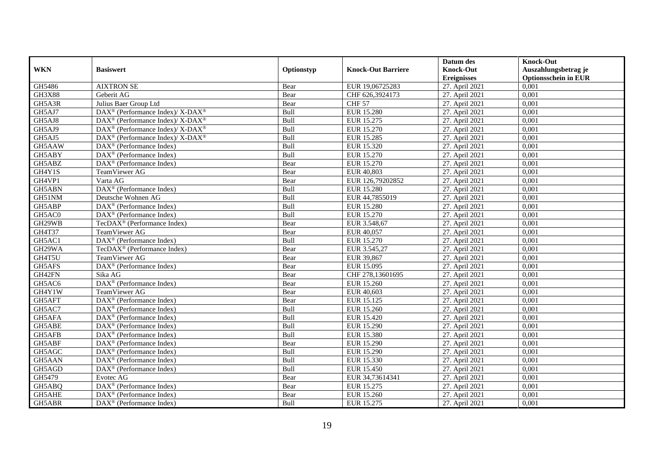|               |                                                               |            |                           | Datum des          | <b>Knock-Out</b>            |
|---------------|---------------------------------------------------------------|------------|---------------------------|--------------------|-----------------------------|
| <b>WKN</b>    | <b>Basiswert</b>                                              | Optionstyp | <b>Knock-Out Barriere</b> | <b>Knock-Out</b>   | Auszahlungsbetrag je        |
|               |                                                               |            |                           | <b>Ereignisses</b> | <b>Optionsschein in EUR</b> |
| GH5486        | <b>AIXTRON SE</b>                                             | Bear       | EUR 19,06725283           | 27. April 2021     | 0,001                       |
| <b>GH3X88</b> | Geberit AG                                                    | Bear       | CHF 626,3924173           | 27. April 2021     | 0,001                       |
| GH5A3R        | Julius Baer Group Ltd                                         | Bear       | <b>CHF 57</b>             | 27. April 2021     | 0,001                       |
| GH5AJ7        | DAX <sup>®</sup> (Performance Index)/ X-DAX <sup>®</sup>      | Bull       | <b>EUR 15.280</b>         | 27. April 2021     | 0,001                       |
| GH5AJ8        | DAX <sup>®</sup> (Performance Index)/ X-DAX <sup>®</sup>      | Bull       | EUR 15.275                | 27. April 2021     | 0,001                       |
| GH5AJ9        | $DAX^{\circledast}$ (Performance Index)/ X-DAX <sup>®</sup>   | Bull       | EUR 15.270                | 27. April 2021     | 0,001                       |
| GH5AJ5        | $DAX^{\circledcirc}$ (Performance Index)/ X-DAX <sup>®</sup>  | Bull       | <b>EUR 15.285</b>         | 27. April 2021     | 0,001                       |
| GH5AAW        | $\overline{\text{DAX}}^{\textcirc}$ (Performance Index)       | Bull       | EUR 15.320                | 27. April 2021     | 0,001                       |
| GH5ABY        | DAX <sup>®</sup> (Performance Index)                          | Bull       | EUR 15.270                | 27. April 2021     | 0,001                       |
| GH5ABZ        | $\text{DAX}^{\textcircled{}}$ (Performance Index)             | Bear       | EUR 15.270                | 27. April 2021     | 0,001                       |
| GH4Y1S        | TeamViewer AG                                                 | Bear       | EUR 40,803                | 27. April 2021     | 0,001                       |
| GH4VP1        | Varta AG                                                      | Bear       | EUR 126,79202852          | 27. April 2021     | 0,001                       |
| GH5ABN        | $\text{DAX}^{\textcircled{n}}$ (Performance Index)            | Bull       | <b>EUR 15.280</b>         | 27. April 2021     | 0,001                       |
| GH51NM        | Deutsche Wohnen AG                                            | Bull       | EUR 44,7855019            | 27. April 2021     | 0.001                       |
| GH5ABP        | $DAX^{\otimes}$ (Performance Index)                           | Bull       | <b>EUR 15.280</b>         | 27. April 2021     | 0,001                       |
| GH5AC0        | $\overline{\text{DAX}^{\otimes}}$ (Performance Index)         | Bull       | <b>EUR 15.270</b>         | 27. April 2021     | 0,001                       |
| GH29WB        | TecDAX <sup>®</sup> (Performance Index)                       | Bear       | EUR 3.548,67              | 27. April 2021     | 0,001                       |
| GH4T37        | TeamViewer AG                                                 | Bear       | EUR 40,057                | 27. April 2021     | 0,001                       |
| GH5AC1        | DAX <sup>®</sup> (Performance Index)                          | Bull       | EUR 15.270                | 27. April 2021     | 0,001                       |
| GH29WA        | TecDAX <sup>®</sup> (Performance Index)                       | Bear       | EUR 3.545,27              | 27. April 2021     | 0,001                       |
| GH4T5U        | TeamViewer AG                                                 | Bear       | EUR 39,867                | 27. April 2021     | 0,001                       |
| GH5AFS        | $\overline{\text{DAX}^{\circledast}}$ (Performance Index)     | Bear       | EUR 15.095                | 27. April 2021     | 0,001                       |
| GH42FN        | Sika AG                                                       | Bear       | CHF 278,13601695          | 27. April 2021     | 0,001                       |
| GH5AC6        | DAX <sup>®</sup> (Performance Index)                          | Bear       | EUR 15.260                | 27. April 2021     | 0,001                       |
| GH4Y1W        | TeamViewer AG                                                 | Bear       | EUR 40,603                | 27. April 2021     | 0,001                       |
| GH5AFT        | $\overline{\text{DAX}^{\otimes}}$ (Performance Index)         | Bear       | EUR 15.125                | 27. April 2021     | 0,001                       |
| GH5AC7        | DAX <sup>®</sup> (Performance Index)                          | Bull       | EUR 15.260                | 27. April 2021     | 0,001                       |
| GH5AFA        | DAX <sup>®</sup> (Performance Index)                          | Bull       | EUR 15.420                | 27. April 2021     | 0,001                       |
| GH5ABE        | $\text{DAX}^{\textcircled{n}}$ (Performance Index)            | Bull       | EUR 15.290                | 27. April 2021     | 0,001                       |
| GH5AFB        | $\text{DAX}^{\textcircled{n}}$ (Performance Index)            | Bull       | <b>EUR 15.380</b>         | 27. April 2021     | 0,001                       |
| GH5ABF        | $\text{DAX}^{\textcircled{p}}$ (Performance Index)            | Bear       | <b>EUR 15.290</b>         | 27. April 2021     | 0,001                       |
| GH5AGC        | DAX <sup>®</sup> (Performance Index)                          | Bull       | <b>EUR 15.290</b>         | 27. April 2021     | 0,001                       |
| GH5AAN        | $DAX^{\otimes}$ (Performance Index)                           | Bull       | EUR 15.330                | 27. April 2021     | 0,001                       |
| GH5AGD        | $\overline{\text{DA}}X^{\textcircled{e}}$ (Performance Index) | Bull       | EUR 15.450                | 27. April 2021     | 0,001                       |
| GH5479        | Evotec AG                                                     | Bear       | EUR 34,73614341           | 27. April 2021     | 0,001                       |
| GH5ABQ        | DAX <sup>®</sup> (Performance Index)                          | Bear       | EUR 15.275                | 27. April 2021     | 0,001                       |
| GH5AHE        | $\text{DAX}^{\otimes}$ (Performance Index)                    | Bear       | EUR 15.260                | 27. April 2021     | 0,001                       |
| GH5ABR        | $\text{DAX}^{\textcircled{n}}$ (Performance Index)            | Bull       | EUR 15.275                | 27. April 2021     | 0,001                       |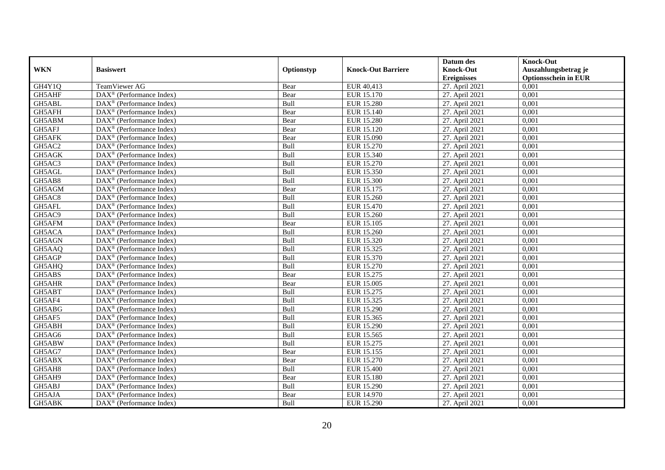|            |                                                              |            |                           | Datum des          | <b>Knock-Out</b>            |
|------------|--------------------------------------------------------------|------------|---------------------------|--------------------|-----------------------------|
| <b>WKN</b> | <b>Basiswert</b>                                             | Optionstyp | <b>Knock-Out Barriere</b> | <b>Knock-Out</b>   | Auszahlungsbetrag je        |
|            |                                                              |            |                           | <b>Ereignisses</b> | <b>Optionsschein in EUR</b> |
| GH4Y1Q     | TeamViewer AG                                                | Bear       | EUR 40,413                | 27. April 2021     | 0,001                       |
| GH5AHF     | $\overline{\text{DAX}^{\otimes}}$ (Performance Index)        | Bear       | EUR 15.170                | 27. April 2021     | 0,001                       |
| GH5ABL     | DAX <sup>®</sup> (Performance Index)                         | Bull       | <b>EUR 15.280</b>         | 27. April 2021     | 0,001                       |
| GH5AFH     | $\text{DAX}^{\otimes}$ (Performance Index)                   | Bear       | EUR 15.140                | 27. April 2021     | 0,001                       |
| GH5ABM     | DAX <sup>®</sup> (Performance Index)                         | Bear       | <b>EUR 15.280</b>         | 27. April 2021     | 0,001                       |
| GH5AFJ     | $\text{DAX}^{\textcircled{n}}$ (Performance Index)           | Bear       | EUR 15.120                | 27. April 2021     | 0,001                       |
| GH5AFK     | $\text{DAX}^{\textcircled{n}}$ (Performance Index)           | Bear       | EUR 15.090                | 27. April 2021     | 0,001                       |
| GH5AC2     | $DAX^{\otimes}$ (Performance Index)                          | Bull       | EUR 15.270                | 27. April 2021     | 0,001                       |
| GH5AGK     | $\text{DAX}^{\textcircled{p}}$ (Performance Index)           | Bull       | EUR 15.340                | 27. April 2021     | 0,001                       |
| GH5AC3     | $DAX^{\otimes}$ (Performance Index)                          | Bull       | EUR 15.270                | 27. April 2021     | 0,001                       |
| GH5AGL     | DAX <sup>®</sup> (Performance Index)                         | Bull       | EUR 15.350                | 27. April 2021     | 0,001                       |
| GH5AB8     | $\overline{\text{DAX}^{\otimes}}$ (Performance Index)        | Bull       | <b>EUR 15.300</b>         | 27. April 2021     | 0,001                       |
| GH5AGM     | $\text{DAX}^{\textcircled{n}}$ (Performance Index)           | Bear       | EUR 15.175                | 27. April 2021     | 0,001                       |
| GH5AC8     | DAX <sup>®</sup> (Performance Index)                         | Bull       | EUR 15.260                | 27. April 2021     | 0,001                       |
| GH5AFL     | DAX <sup>®</sup> (Performance Index)                         | Bull       | EUR 15.470                | 27. April 2021     | 0,001                       |
| GH5AC9     | DAX <sup>®</sup> (Performance Index)                         | Bull       | EUR 15.260                | 27. April 2021     | 0,001                       |
| GH5AFM     | DAX <sup>®</sup> (Performance Index)                         | Bear       | EUR 15.105                | 27. April 2021     | 0,001                       |
| GH5ACA     | $\overline{\text{DAX}}^{\textcirc}$ (Performance Index)      | Bull       | EUR 15.260                | 27. April 2021     | 0,001                       |
| GH5AGN     | $\overline{\text{DAX}}^{\textcircled{}}$ (Performance Index) | Bull       | EUR 15.320                | 27. April 2021     | 0,001                       |
| GH5AAQ     | DAX <sup>®</sup> (Performance Index)                         | Bull       | EUR 15.325                | 27. April 2021     | 0,001                       |
| GH5AGP     | DAX <sup>®</sup> (Performance Index)                         | Bull       | EUR 15.370                | 27. April 2021     | 0,001                       |
| GH5AHQ     | $\overline{\text{DAX}^{\otimes}}$ (Performance Index)        | Bull       | EUR 15.270                | 27. April 2021     | 0,001                       |
| GH5ABS     | DAX <sup>®</sup> (Performance Index)                         | Bear       | EUR 15.275                | 27. April 2021     | 0,001                       |
| GH5AHR     | DAX <sup>®</sup> (Performance Index)                         | Bear       | <b>EUR 15.005</b>         | 27. April 2021     | 0,001                       |
| GH5ABT     | $\text{DAX}^{\textcircled{n}}$ (Performance Index)           | Bull       | EUR 15.275                | 27. April 2021     | 0,001                       |
| GH5AF4     | $\text{DAX}^{\otimes}$ (Performance Index)                   | Bull       | EUR 15.325                | 27. April 2021     | 0,001                       |
| GH5ABG     | $\text{DAX}^{\circledast}$ (Performance Index)               | Bull       | <b>EUR 15.290</b>         | 27. April 2021     | 0,001                       |
| GH5AF5     | $\text{DAX}^{\textcircled{p}}$ (Performance Index)           | Bull       | EUR 15.365                | 27. April 2021     | 0.001                       |
| GH5ABH     | $\text{DAX}^{\textcircled{p}}$ (Performance Index)           | Bull       | <b>EUR 15.290</b>         | 27. April 2021     | 0,001                       |
| GH5AG6     | $DAX^{\otimes}$ (Performance Index)                          | Bull       | EUR 15.565                | 27. April 2021     | 0,001                       |
| GH5ABW     | DAX <sup>®</sup> (Performance Index)                         | Bull       | EUR 15.275                | 27. April 2021     | 0,001                       |
| GH5AG7     | DAX <sup>®</sup> (Performance Index)                         | Bear       | EUR 15.155                | 27. April 2021     | 0.001                       |
| GH5ABX     | $\overline{\text{DAX}^{\otimes}}$ (Performance Index)        | Bear       | <b>EUR 15.270</b>         | 27. April 2021     | 0,001                       |
| GH5AH8     | DAX <sup>®</sup> (Performance Index)                         | Bull       | EUR 15.400                | 27. April 2021     | 0,001                       |
| GH5AH9     | $\text{DAX}^{\textcircled{n}}$ (Performance Index)           | Bear       | <b>EUR 15.180</b>         | 27. April 2021     | 0,001                       |
| GH5ABJ     | $\text{DAX}^{\textcircled{n}}$ (Performance Index)           | Bull       | <b>EUR 15.290</b>         | 27. April 2021     | 0,001                       |
| GH5AJA     | $\text{DAX}^{\otimes}$ (Performance Index)                   | Bear       | EUR 14.970                | 27. April 2021     | 0,001                       |
| GH5ABK     | DAX <sup>®</sup> (Performance Index)                         | Bull       | <b>EUR 15.290</b>         | 27. April 2021     | 0,001                       |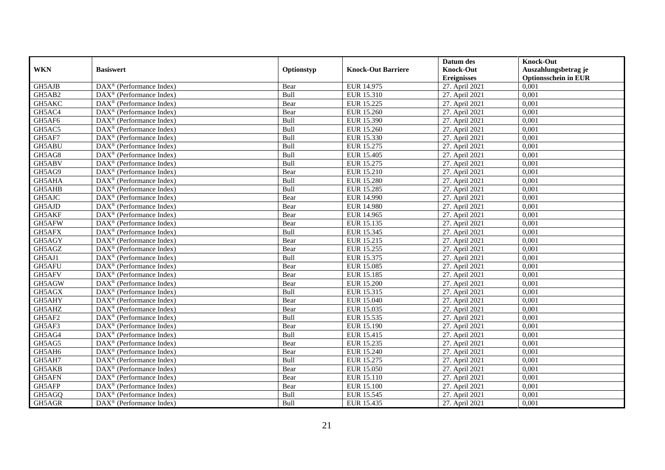|            |                                                         |            |                           | Datum des          | <b>Knock-Out</b>            |
|------------|---------------------------------------------------------|------------|---------------------------|--------------------|-----------------------------|
| <b>WKN</b> | <b>Basiswert</b>                                        | Optionstyp | <b>Knock-Out Barriere</b> | <b>Knock-Out</b>   | Auszahlungsbetrag je        |
|            |                                                         |            |                           | <b>Ereignisses</b> | <b>Optionsschein in EUR</b> |
| GH5AJB     | DAX <sup>®</sup> (Performance Index)                    | Bear       | EUR 14.975                | 27. April 2021     | 0,001                       |
| GH5AB2     | $\text{DAX}^{\circledast}$ (Performance Index)          | Bull       | EUR 15.310                | 27. April 2021     | 0,001                       |
| GH5AKC     | $DAX^{\circledR}$ (Performance Index)                   | Bear       | EUR 15.225                | 27. April 2021     | 0,001                       |
| GH5AC4     | DAX <sup>®</sup> (Performance Index)                    | Bear       | EUR 15.260                | 27. April 2021     | 0,001                       |
| GH5AF6     | DAX <sup>®</sup> (Performance Index)                    | Bull       | EUR 15.390                | 27. April 2021     | 0,001                       |
| GH5AC5     | $\text{DAX}^{\textcircled{p}}$ (Performance Index)      | Bull       | EUR 15.260                | 27. April 2021     | 0,001                       |
| GH5AF7     | $\overline{\text{DAX}^{\otimes}}$ (Performance Index)   | Bull       | EUR 15.330                | 27. April 2021     | 0,001                       |
| GH5ABU     | DAX <sup>®</sup> (Performance Index)                    | Bull       | EUR 15.275                | 27. April 2021     | 0,001                       |
| GH5AG8     | $\text{DAX}^{\textcircled{n}}$ (Performance Index)      | Bull       | EUR 15.405                | 27. April 2021     | 0,001                       |
| GH5ABV     | DAX <sup>®</sup> (Performance Index)                    | Bull       | EUR 15.275                | 27. April 2021     | 0.001                       |
| GH5AG9     | DAX <sup>®</sup> (Performance Index)                    | Bear       | EUR 15.210                | 27. April 2021     | 0,001                       |
| GH5AHA     | $\overline{\text{DAX}^{\otimes}}$ (Performance Index)   | Bull       | <b>EUR 15.280</b>         | 27. April 2021     | 0,001                       |
| GH5AHB     | $\text{DAX}^{\textcircled{n}}$ (Performance Index)      | Bull       | <b>EUR 15.285</b>         | 27. April 2021     | 0,001                       |
| GH5AJC     | $DAX^{\circledR}$ (Performance Index)                   | Bear       | <b>EUR 14.990</b>         | 27. April 2021     | 0.001                       |
| GH5AJD     | $\overline{\text{DAX}^{\otimes}}$ (Performance Index)   | Bear       | <b>EUR 14.980</b>         | 27. April 2021     | 0,001                       |
| GH5AKF     | DAX <sup>®</sup> (Performance Index)                    | Bear       | EUR 14.965                | 27. April 2021     | 0,001                       |
| GH5AFW     | DAX <sup>®</sup> (Performance Index)                    | Bear       | EUR 15.135                | 27. April 2021     | 0,001                       |
| GH5AFX     | DAX <sup>®</sup> (Performance Index)                    | Bull       | EUR 15.345                | 27. April 2021     | 0,001                       |
| GH5AGY     | $\text{DAX}^{\textcircled{n}}$ (Performance Index)      | Bear       | EUR 15.215                | 27. April 2021     | 0,001                       |
| GH5AGZ     | $\text{DAX}^{\otimes}$ (Performance Index)              | Bear       | EUR 15.255                | 27. April 2021     | 0,001                       |
| GH5AJ1     | DAX <sup>®</sup> (Performance Index)                    | Bull       | EUR 15.375                | 27. April 2021     | 0,001                       |
| GH5AFU     | $DAX^{\circledR}$ (Performance Index)                   | Bear       | EUR 15.085                | 27. April 2021     | 0,001                       |
| GH5AFV     | $\text{DAX}^{\textcircled{p}}$ (Performance Index)      | Bear       | <b>EUR 15.185</b>         | 27. April 2021     | 0,001                       |
| GH5AGW     | $\text{DAX}^{\textcircled{p}}$ (Performance Index)      | Bear       | <b>EUR 15.200</b>         | 27. April 2021     | 0,001                       |
| GH5AGX     | $\text{DAX}^{\textcircled{n}}$ (Performance Index)      | Bull       | EUR 15.315                | 27. April 2021     | 0,001                       |
| GH5AHY     | DAX <sup>®</sup> (Performance Index)                    | Bear       | <b>EUR 15.040</b>         | 27. April 2021     | 0,001                       |
| GH5AHZ     | DAX <sup>®</sup> (Performance Index)                    | Bear       | EUR 15.035                | 27. April 2021     | 0,001                       |
| GH5AF2     | DAX <sup>®</sup> (Performance Index)                    | Bull       | EUR 15.535                | 27. April 2021     | 0,001                       |
| GH5AF3     | $\text{DAX}^{\otimes}$ (Performance Index)              | Bear       | EUR 15.190                | 27. April 2021     | 0,001                       |
| GH5AG4     | $\text{DAX}^{\textcircled{n}}$ (Performance Index)      | Bull       | EUR 15.415                | 27. April 2021     | 0,001                       |
| GH5AG5     | DAX <sup>®</sup> (Performance Index)                    | Bear       | EUR 15.235                | 27. April 2021     | 0,001                       |
| GH5AH6     | DAX <sup>®</sup> (Performance Index)                    | Bear       | <b>EUR 15.240</b>         | 27. April 2021     | 0,001                       |
| GH5AH7     | $\overline{\text{DAX}^{\otimes}}$ (Performance Index)   | Bull       | EUR 15.275                | 27. April 2021     | 0,001                       |
| GH5AKB     | $\overline{\text{DAX}}^{\textcirc}$ (Performance Index) | Bear       | <b>EUR 15.050</b>         | 27. April 2021     | 0,001                       |
| GH5AFN     | $\text{DAX}^{\otimes}$ (Performance Index)              | Bear       | EUR 15.110                | 27. April 2021     | 0,001                       |
| GH5AFP     | DAX <sup>®</sup> (Performance Index)                    | Bear       | <b>EUR 15.100</b>         | 27. April 2021     | 0,001                       |
| GH5AGQ     | $\text{DAX}^{\otimes}$ (Performance Index)              | Bull       | EUR 15.545                | 27. April 2021     | 0,001                       |
| GH5AGR     | $\overline{\text{DAX}}^{\textcirc}$ (Performance Index) | Bull       | EUR 15.435                | 27. April 2021     | 0,001                       |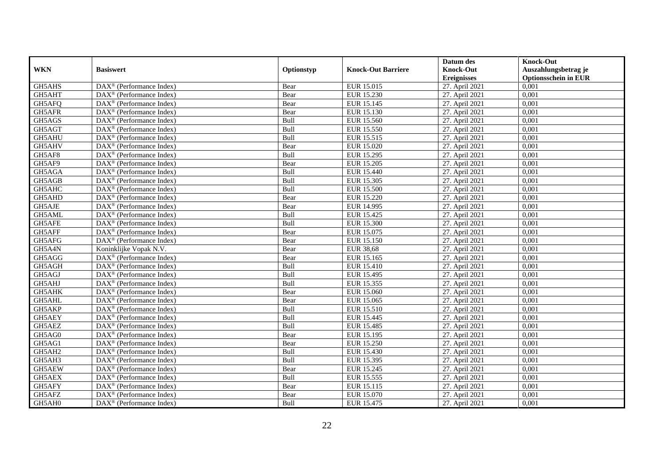|            |                                                              |            |                           | Datum des          | <b>Knock-Out</b>            |
|------------|--------------------------------------------------------------|------------|---------------------------|--------------------|-----------------------------|
| <b>WKN</b> | <b>Basiswert</b>                                             | Optionstyp | <b>Knock-Out Barriere</b> | <b>Knock-Out</b>   | Auszahlungsbetrag je        |
|            |                                                              |            |                           | <b>Ereignisses</b> | <b>Optionsschein in EUR</b> |
| GH5AHS     | DAX <sup>®</sup> (Performance Index)                         | Bear       | EUR 15.015                | 27. April 2021     | 0,001                       |
| GH5AHT     | $\text{DAX}^{\textcircled{n}}$ (Performance Index)           | Bear       | EUR 15.230                | 27. April 2021     | 0,001                       |
| GH5AFQ     | DAX <sup>®</sup> (Performance Index)                         | Bear       | EUR 15.145                | 27. April 2021     | 0,001                       |
| GH5AFR     | $\text{DAX}^{\otimes}$ (Performance Index)                   | Bear       | EUR 15.130                | 27. April 2021     | 0,001                       |
| GH5AGS     | DAX <sup>®</sup> (Performance Index)                         | Bull       | EUR 15.560                | 27. April 2021     | 0,001                       |
| GH5AGT     | $\text{DAX}^{\textcircled{p}}$ (Performance Index)           | Bull       | <b>EUR 15.550</b>         | 27. April 2021     | 0,001                       |
| GH5AHU     | $DAX^{\otimes}$ (Performance Index)                          | Bull       | EUR 15.515                | 27. April 2021     | 0,001                       |
| GH5AHV     | DAX <sup>®</sup> (Performance Index)                         | Bear       | <b>EUR 15.020</b>         | 27. April 2021     | 0,001                       |
| GH5AF8     | $\text{DAX}^{\textcircled{n}}$ (Performance Index)           | Bull       | EUR 15.295                | 27. April 2021     | 0,001                       |
| GH5AF9     | $\text{DAX}^{\otimes}$ (Performance Index)                   | Bear       | <b>EUR 15.205</b>         | 27. April 2021     | 0,001                       |
| GH5AGA     | $\overline{\text{DAX}}^{\textcircled{}}$ (Performance Index) | Bull       | EUR 15.440                | 27. April 2021     | 0.001                       |
| GH5AGB     | DAX <sup>®</sup> (Performance Index)                         | Bull       | <b>EUR 15.305</b>         | 27. April 2021     | 0,001                       |
| GH5AHC     | DAX <sup>®</sup> (Performance Index)                         | Bull       | <b>EUR 15.500</b>         | 27. April 2021     | 0,001                       |
| GH5AHD     | $DAX^{\otimes}$ (Performance Index)                          | Bear       | <b>EUR 15.220</b>         | 27. April 2021     | 0,001                       |
| GH5AJE     | $\text{DAX}^{\otimes}$ (Performance Index)                   | Bear       | EUR 14.995                | 27. April 2021     | 0,001                       |
| GH5AML     | DAX <sup>®</sup> (Performance Index)                         | Bull       | EUR 15.425                | 27. April 2021     | 0,001                       |
| GH5AFE     | DAX <sup>®</sup> (Performance Index)                         | Bull       | <b>EUR 15.300</b>         | 27. April 2021     | 0,001                       |
| GH5AFF     | $\overline{\text{DAX}^{\otimes}}$ (Performance Index)        | Bear       | EUR 15.075                | 27. April 2021     | 0,001                       |
| GH5AFG     | DAX <sup>®</sup> (Performance Index)                         | Bear       | EUR 15.150                | 27. April 2021     | 0,001                       |
| GH5A4N     | Koninklijke Vopak N.V.                                       | Bear       | <b>EUR 38,68</b>          | 27. April 2021     | 0,001                       |
| GH5AGG     | DAX <sup>®</sup> (Performance Index)                         | Bear       | EUR 15.165                | 27. April 2021     | 0,001                       |
| GH5AGH     | DAX <sup>®</sup> (Performance Index)                         | Bull       | <b>EUR 15.410</b>         | 27. April 2021     | 0,001                       |
| GH5AGJ     | DAX <sup>®</sup> (Performance Index)                         | Bull       | EUR 15.495                | 27. April 2021     | 0,001                       |
| GH5AHJ     | DAX <sup>®</sup> (Performance Index)                         | Bull       | EUR 15.355                | 27. April 2021     | 0,001                       |
| GH5AHK     | $DAX^{\circledR}$ (Performance Index)                        | Bear       | <b>EUR 15.060</b>         | 27. April 2021     | 0.001                       |
| GH5AHL     | DAX <sup>®</sup> (Performance Index)                         | Bear       | EUR 15.065                | 27. April 2021     | 0,001                       |
| GH5AKP     | DAX <sup>®</sup> (Performance Index)                         | Bull       | EUR 15.510                | 27. April 2021     | 0,001                       |
| GH5AEY     | $\text{DAX}^{\textcircled{p}}$ (Performance Index)           | Bull       | EUR 15.445                | 27. April 2021     | 0,001                       |
| GH5AEZ     | DAX <sup>®</sup> (Performance Index)                         | Bull       | EUR 15.485                | 27. April 2021     | 0,001                       |
| GH5AG0     | $\text{DAX}^{\circledast}$ (Performance Index)               | Bear       | EUR 15.195                | 27. April 2021     | 0,001                       |
| GH5AG1     | $\text{DAX}^{\otimes}$ (Performance Index)                   | Bear       | <b>EUR 15.250</b>         | 27. April 2021     | 0,001                       |
| GH5AH2     | $DAX^{\circledR}$ (Performance Index)                        | Bull       | EUR 15.430                | 27. April 2021     | 0.001                       |
| GH5AH3     | $\overline{\text{DAX}^{\otimes}}$ (Performance Index)        | Bull       | EUR 15.395                | 27. April 2021     | 0,001                       |
| GH5AEW     | DAX <sup>®</sup> (Performance Index)                         | Bear       | EUR 15.245                | 27. April 2021     | 0,001                       |
| GH5AEX     | DAX <sup>®</sup> (Performance Index)                         | Bull       | EUR 15.555                | 27. April 2021     | 0,001                       |
| GH5AFY     | DAX <sup>®</sup> (Performance Index)                         | Bear       | EUR 15.115                | 27. April 2021     | 0,001                       |
| GH5AFZ     | $\text{DAX}^{\circledast}$ (Performance Index)               | Bear       | EUR 15.070                | 27. April 2021     | 0,001                       |
| GH5AH0     | DAX <sup>®</sup> (Performance Index)                         | Bull       | EUR 15.475                | 27. April 2021     | 0,001                       |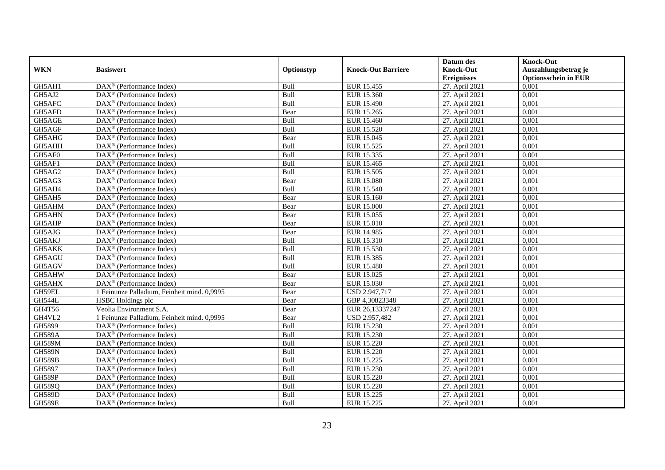|               |                                                              |             |                           | Datum des          | <b>Knock-Out</b>            |
|---------------|--------------------------------------------------------------|-------------|---------------------------|--------------------|-----------------------------|
| <b>WKN</b>    | <b>Basiswert</b>                                             | Optionstyp  | <b>Knock-Out Barriere</b> | <b>Knock-Out</b>   | Auszahlungsbetrag je        |
|               |                                                              |             |                           | <b>Ereignisses</b> | <b>Optionsschein in EUR</b> |
| GH5AH1        | DAX <sup>®</sup> (Performance Index)                         | Bull        | EUR 15.455                | 27. April 2021     | 0,001                       |
| GH5AJ2        | $\text{DAX}^{\textcircled{n}}$ (Performance Index)           | Bull        | EUR 15.360                | 27. April 2021     | 0,001                       |
| GH5AFC        | DAX <sup>®</sup> (Performance Index)                         | Bull        | EUR 15.490                | 27. April 2021     | 0,001                       |
| GH5AFD        | $\text{DAX}^{\otimes}$ (Performance Index)                   | Bear        | EUR 15.265                | 27. April 2021     | 0,001                       |
| GH5AGE        | DAX <sup>®</sup> (Performance Index)                         | Bull        | <b>EUR 15.460</b>         | 27. April 2021     | 0,001                       |
| GH5AGF        | $\text{DAX}^{\textcircled{p}}$ (Performance Index)           | Bull        | <b>EUR 15.520</b>         | 27. April 2021     | 0,001                       |
| GH5AHG        | $DAX^{\otimes}$ (Performance Index)                          | Bear        | EUR 15.045                | 27. April 2021     | 0,001                       |
| GH5AHH        | DAX <sup>®</sup> (Performance Index)                         | Bull        | EUR 15.525                | 27. April 2021     | 0,001                       |
| GH5AF0        | $\text{DAX}^{\textcircled{n}}$ (Performance Index)           | Bull        | EUR 15.335                | 27. April 2021     | 0,001                       |
| GH5AF1        | $\text{DAX}^{\otimes}$ (Performance Index)                   | Bull        | EUR 15.465                | 27. April 2021     | 0,001                       |
| GH5AG2        | $\text{DAX}^{\textcircled{n}}$ (Performance Index)           | Bull        | EUR 15.505                | 27. April 2021     | 0.001                       |
| GH5AG3        | DAX <sup>®</sup> (Performance Index)                         | Bear        | <b>EUR 15.080</b>         | 27. April 2021     | 0,001                       |
| GH5AH4        | DAX <sup>®</sup> (Performance Index)                         | Bull        | <b>EUR 15.540</b>         | 27. April 2021     | 0,001                       |
| GH5AH5        | $\text{DAX}^{\textcircled{p}}$ (Performance Index)           | Bear        | EUR 15.160                | 27. April 2021     | 0,001                       |
| GH5AHM        | $\text{DAX}^{\otimes}$ (Performance Index)                   | Bear        | <b>EUR 15.000</b>         | 27. April 2021     | 0,001                       |
| GH5AHN        | $\overline{\text{DAX}}^{\textcircled{}}$ (Performance Index) | Bear        | EUR 15.055                | 27. April 2021     | 0,001                       |
| GH5AHP        | DAX <sup>®</sup> (Performance Index)                         | Bear        | EUR 15.010                | 27. April 2021     | 0,001                       |
| GH5AJG        | $DAX^{\circledR}$ (Performance Index)                        | Bear        | EUR 14.985                | 27. April 2021     | 0,001                       |
| GH5AKJ        | $\overline{\text{DAX}}^{\textcircled{}}$ (Performance Index) | Bull        | EUR 15.310                | 27. April 2021     | 0,001                       |
| GH5AKK        | DAX <sup>®</sup> (Performance Index)                         | Bull        | EUR 15.530                | 27. April 2021     | 0,001                       |
| GH5AGU        | DAX <sup>®</sup> (Performance Index)                         | Bull        | <b>EUR 15.385</b>         | 27. April 2021     | 0,001                       |
| GH5AGV        | $\overline{\text{DAX}^{\otimes}}$ (Performance Index)        | Bull        | <b>EUR 15.480</b>         | 27. April 2021     | 0,001                       |
| GH5AHW        | DAX <sup>®</sup> (Performance Index)                         | Bear        | EUR 15.025                | 27. April 2021     | 0,001                       |
| GH5AHX        | DAX <sup>®</sup> (Performance Index)                         | Bear        | EUR 15.030                | 27. April 2021     | 0,001                       |
| GH59EL        | 1 Feinunze Palladium. Feinheit mind. 0.9995                  | Bear        | USD 2.947,717             | 27. April 2021     | 0.001                       |
| <b>GH544L</b> | HSBC Holdings plc                                            | Bear        | GBP 4,30823348            | 27. April 2021     | 0,001                       |
| GH4T56        | Veolia Environment S.A.                                      | Bear        | EUR 26,13337247           | 27. April 2021     | 0,001                       |
| GH4VL2        | 1 Feinunze Palladium, Feinheit mind. 0,9995                  | Bear        | USD 2.957,482             | 27. April 2021     | 0,001                       |
| GH5899        | DAX <sup>®</sup> (Performance Index)                         | Bull        | EUR 15.230                | 27. April 2021     | 0,001                       |
| <b>GH589A</b> | $\text{DAX}^{\textcircled{n}}$ (Performance Index)           | Bull        | EUR 15.230                | 27. April 2021     | 0,001                       |
| <b>GH589M</b> | $\text{DAX}^{\textcircled{n}}$ (Performance Index)           | Bull        | EUR 15.220                | 27. April 2021     | 0,001                       |
| <b>GH589N</b> | $DAX^{\circledR}$ (Performance Index)                        | <b>Bull</b> | <b>EUR 15.220</b>         | 27. April 2021     | 0.001                       |
| <b>GH589B</b> | $\overline{\text{DAX}^{\otimes}}$ (Performance Index)        | Bull        | EUR 15.225                | 27. April 2021     | 0,001                       |
| GH5897        | DAX <sup>®</sup> (Performance Index)                         | Bull        | EUR 15.230                | 27. April 2021     | 0,001                       |
| <b>GH589P</b> | DAX <sup>®</sup> (Performance Index)                         | Bull        | <b>EUR 15.220</b>         | 27. April 2021     | 0,001                       |
| <b>GH589Q</b> | DAX <sup>®</sup> (Performance Index)                         | Bull        | EUR 15.220                | 27. April 2021     | 0,001                       |
| <b>GH589D</b> | $\text{DAX}^{\otimes}$ (Performance Index)                   | Bull        | EUR 15.225                | 27. April 2021     | 0,001                       |
| <b>GH589E</b> | DAX <sup>®</sup> (Performance Index)                         | Bull        | EUR 15.225                | 27. April 2021     | 0,001                       |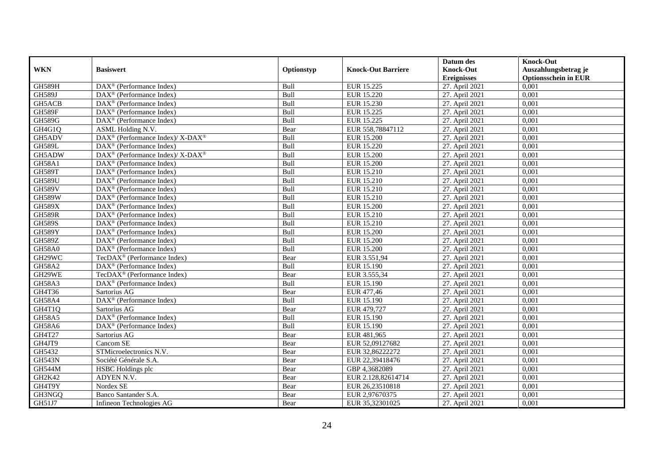|               |                                                                    |             |                           | Datum des          | <b>Knock-Out</b>            |
|---------------|--------------------------------------------------------------------|-------------|---------------------------|--------------------|-----------------------------|
| <b>WKN</b>    | <b>Basiswert</b>                                                   | Optionstyp  | <b>Knock-Out Barriere</b> | <b>Knock-Out</b>   | Auszahlungsbetrag je        |
|               |                                                                    |             |                           | <b>Ereignisses</b> | <b>Optionsschein in EUR</b> |
| <b>GH589H</b> | DAX <sup>®</sup> (Performance Index)                               | Bull        | EUR 15.225                | 27. April 2021     | 0,001                       |
| <b>GH589J</b> | $\text{DAX}^{\textcircled{n}}$ (Performance Index)                 | Bull        | <b>EUR 15.220</b>         | 27. April 2021     | 0,001                       |
| GH5ACB        | DAX <sup>®</sup> (Performance Index)                               | Bull        | EUR 15.230                | 27. April 2021     | 0,001                       |
| <b>GH589F</b> | DAX <sup>®</sup> (Performance Index)                               | Bull        | EUR 15.225                | 27. April 2021     | 0,001                       |
| <b>GH589G</b> | DAX <sup>®</sup> (Performance Index)                               | Bull        | EUR 15.225                | 27. April 2021     | 0,001                       |
| GH4G1O        | ASML Holding N.V.                                                  | Bear        | EUR 558,78847112          | 27. April 2021     | 0,001                       |
| GH5ADV        | DAX <sup>®</sup> (Performance Index)/ X-DAX <sup>®</sup>           | Bull        | EUR 15.200                | 27. April 2021     | 0,001                       |
| <b>GH589L</b> | DAX <sup>®</sup> (Performance Index)                               | Bull        | <b>EUR 15.220</b>         | 27. April 2021     | 0,001                       |
| GH5ADW        | $\text{DAX}^{\circledast}$ (Performance Index)/ X-DAX <sup>®</sup> | Bull        | <b>EUR 15.200</b>         | 27. April 2021     | 0,001                       |
| <b>GH58A1</b> | $\text{DAX}^{\otimes}$ (Performance Index)                         | Bull        | <b>EUR 15.200</b>         | 27. April 2021     | 0,001                       |
| GH589T        | $\overline{\text{DAX}^{\otimes}}$ (Performance Index)              | Bull        | EUR 15.210                | 27. April 2021     | 0.001                       |
| <b>GH589U</b> | DAX <sup>®</sup> (Performance Index)                               | Bull        | EUR 15.210                | 27. April 2021     | 0,001                       |
| <b>GH589V</b> | DAX <sup>®</sup> (Performance Index)                               | Bull        | EUR 15.210                | 27. April 2021     | 0,001                       |
| <b>GH589W</b> | $\text{DAX}^{\textcircled{D}}$ (Performance Index)                 | Bull        | EUR 15.210                | 27. April 2021     | 0,001                       |
| <b>GH589X</b> | $\text{DAX}^{\otimes}$ (Performance Index)                         | Bull        | <b>EUR 15.200</b>         | 27. April 2021     | 0,001                       |
| <b>GH589R</b> | DAX <sup>®</sup> (Performance Index)                               | Bull        | EUR 15.210                | 27. April 2021     | 0,001                       |
| <b>GH589S</b> | DAX <sup>®</sup> (Performance Index)                               | Bull        | EUR 15.210                | 27. April 2021     | 0,001                       |
| <b>GH589Y</b> | $\text{DAX}^{\textcircled{D}}$ (Performance Index)                 | <b>Bull</b> | EUR 15.200                | 27. April 2021     | 0,001                       |
| <b>GH589Z</b> | $\overline{\text{DAX}}^{\textcircled{}}$ (Performance Index)       | Bull        | <b>EUR 15.200</b>         | 27. April 2021     | 0,001                       |
| <b>GH58A0</b> | $\overline{\text{DAX}^{\otimes}}$ (Performance Index)              | Bull        | <b>EUR 15.200</b>         | 27. April 2021     | 0,001                       |
| GH29WC        | TecDAX <sup>®</sup> (Performance Index)                            | Bear        | EUR 3.551,94              | 27. April 2021     | 0,001                       |
| <b>GH58A2</b> | $\overline{\text{DAX}^{\otimes}}$ (Performance Index)              | Bull        | EUR 15.190                | 27. April 2021     | 0,001                       |
| GH29WE        | TecDAX <sup>®</sup> (Performance Index)                            | Bear        | EUR 3.555,34              | 27. April 2021     | 0,001                       |
| GH58A3        | DAX <sup>®</sup> (Performance Index)                               | Bull        | EUR 15.190                | 27. April 2021     | 0,001                       |
| GH4T36        | Sartorius AG                                                       | Bear        | EUR 477,46                | 27. April 2021     | 0.001                       |
| GH58A4        | DAX <sup>®</sup> (Performance Index)                               | Bull        | EUR 15.190                | 27. April 2021     | 0,001                       |
| GH4T1Q        | Sartorius AG                                                       | Bear        | EUR 479,727               | 27. April 2021     | 0,001                       |
| <b>GH58A5</b> | DAX <sup>®</sup> (Performance Index)                               | Bull        | EUR 15.190                | 27. April 2021     | 0,001                       |
| GH58A6        | $\overline{\text{DAX}^{\otimes}(\text{Performance Index})}$        | Bull        | EUR 15.190                | 27. April 2021     | 0,001                       |
| GH4T27        | Sartorius AG                                                       | Bear        | EUR 481,965               | 27. April 2021     | 0,001                       |
| GH4JT9        | Cancom SE                                                          | Bear        | EUR 52,09127682           | 27. April 2021     | 0,001                       |
| GH5432        | STMicroelectronics N.V.                                            | Bear        | EUR 32,86222272           | 27. April 2021     | 0.001                       |
| <b>GH543N</b> | Société Générale S.A.                                              | Bear        | EUR 22,39418476           | 27. April 2021     | 0,001                       |
| GH544M        | <b>HSBC</b> Holdings plc                                           | Bear        | GBP 4,3682089             | 27. April 2021     | 0,001                       |
| GH2K42        | ADYEN N.V.                                                         | Bear        | EUR 2.128,82614714        | 27. April 2021     | 0,001                       |
| GH4T9Y        | Nordex SE                                                          | Bear        | EUR 26,23510818           | 27. April 2021     | 0,001                       |
| GH3NGQ        | Banco Santander S.A.                                               | Bear        | EUR 2,97670375            | 27. April 2021     | 0,001                       |
| GH51J7        | Infineon Technologies AG                                           | Bear        | EUR 35,32301025           | 27. April 2021     | 0,001                       |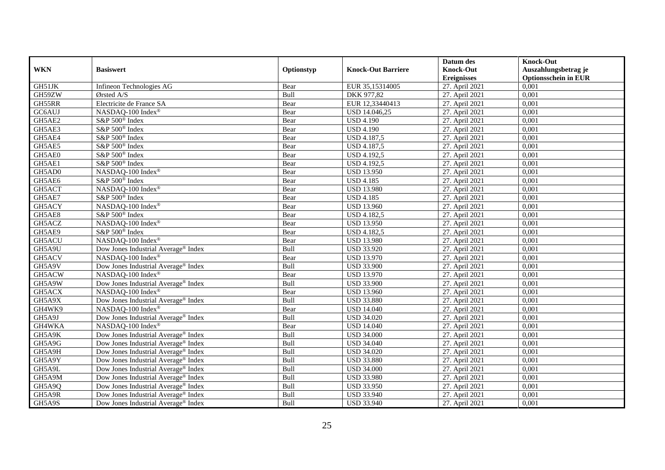|            |                                                 |            |                           | Datum des          | <b>Knock-Out</b>            |
|------------|-------------------------------------------------|------------|---------------------------|--------------------|-----------------------------|
| <b>WKN</b> | <b>Basiswert</b>                                | Optionstyp | <b>Knock-Out Barriere</b> | <b>Knock-Out</b>   | Auszahlungsbetrag je        |
|            |                                                 |            |                           | <b>Ereignisses</b> | <b>Optionsschein in EUR</b> |
| GH51JK     | Infineon Technologies AG                        | Bear       | EUR 35,15314005           | 27. April 2021     | 0,001                       |
| GH59ZW     | Ørsted A/S                                      | Bull       | DKK 977,82                | 27. April 2021     | 0,001                       |
| GH55RR     | Electricite de France SA                        | Bear       | EUR 12,33440413           | 27. April 2021     | 0,001                       |
| GC6AUJ     | NASDAQ-100 Index <sup>®</sup>                   | Bear       | USD 14.046,25             | 27. April 2021     | 0,001                       |
| GH5AE2     | S&P 500 <sup>®</sup> Index                      | Bear       | <b>USD 4.190</b>          | 27. April 2021     | 0,001                       |
| GH5AE3     | S&P 500 <sup>®</sup> Index                      | Bear       | $\overline{USD4.1}90$     | 27. April 2021     | 0,001                       |
| GH5AE4     | S&P 500 <sup>®</sup> Index                      | Bear       | <b>USD 4.187,5</b>        | 27. April 2021     | 0,001                       |
| GH5AE5     | S&P 500 <sup>®</sup> Index                      | Bear       | USD 4.187,5               | 27. April 2021     | 0,001                       |
| GH5AE0     | S&P 500 <sup>®</sup> Index                      | Bear       | <b>USD 4.192,5</b>        | 27. April 2021     | 0,001                       |
| GH5AE1     | S&P 500 <sup>®</sup> Index                      | Bear       | $USD\,4.192,5$            | 27. April 2021     | 0,001                       |
| GH5AD0     | NASDAQ-100 Index®                               | Bear       | <b>USD 13.950</b>         | 27. April 2021     | 0.001                       |
| GH5AE6     | S&P 500 <sup>®</sup> Index                      | Bear       | <b>USD 4.185</b>          | 27. April 2021     | 0,001                       |
| GH5ACT     | NASDAQ-100 Index®                               | Bear       | <b>USD 13.980</b>         | 27. April 2021     | 0,001                       |
| GH5AE7     | S&P 500 <sup>®</sup> Index                      | Bear       | <b>USD 4.185</b>          | 27. April 2021     | 0,001                       |
| GH5ACY     | NASDAQ-100 Index®                               | Bear       | <b>USD 13.960</b>         | 27. April 2021     | 0,001                       |
| GH5AE8     | S&P 500 <sup>®</sup> Index                      | Bear       | <b>USD 4.182,5</b>        | 27. April 2021     | 0,001                       |
| GH5ACZ     | NASDAQ-100 Index®                               | Bear       | <b>USD 13.950</b>         | 27. April 2021     | 0,001                       |
| GH5AE9     | S&P 500 <sup>®</sup> Index                      | Bear       | <b>USD 4.182,5</b>        | 27. April 2021     | 0,001                       |
| GH5ACU     | NASDAQ-100 Index®                               | Bear       | <b>USD 13.980</b>         | 27. April 2021     | 0,001                       |
| GH5A9U     | Dow Jones Industrial Average® Index             | Bull       | <b>USD 33.920</b>         | 27. April 2021     | 0,001                       |
| GH5ACV     | NASDAQ-100 Index®                               | Bear       | <b>USD 13.970</b>         | 27. April 2021     | 0,001                       |
| GH5A9V     | Dow Jones Industrial Average® Index             | Bull       | <b>USD 33.900</b>         | 27. April 2021     | 0,001                       |
| GH5ACW     | NASDAQ-100 Index®                               | Bear       | <b>USD 13.970</b>         | 27. April 2021     | 0,001                       |
| GH5A9W     | Dow Jones Industrial Average® Index             | Bull       | <b>USD 33.900</b>         | 27. April 2021     | 0,001                       |
| GH5ACX     | NASDAQ-100 Index®                               | Bear       | <b>USD 13.960</b>         | 27. April 2021     | 0.001                       |
| GH5A9X     | Dow Jones Industrial Average® Index             | Bull       | <b>USD 33.880</b>         | 27. April 2021     | 0,001                       |
| GH4WK9     | NASDAQ-100 Index®                               | Bear       | <b>USD 14.040</b>         | 27. April 2021     | 0,001                       |
| GH5A9J     | Dow Jones Industrial Average <sup>®</sup> Index | Bull       | <b>USD 34.020</b>         | 27. April 2021     | 0,001                       |
| GH4WKA     | NASDAQ-100 Index®                               | Bear       | <b>USD 14.040</b>         | 27. April 2021     | 0,001                       |
| GH5A9K     | Dow Jones Industrial Average <sup>®</sup> Index | Bull       | <b>USD 34.000</b>         | 27. April 2021     | 0,001                       |
| GH5A9G     | Dow Jones Industrial Average <sup>®</sup> Index | Bull       | <b>USD 34.040</b>         | 27. April 2021     | 0,001                       |
| GH5A9H     | Dow Jones Industrial Average <sup>®</sup> Index | Bull       | <b>USD 34.020</b>         | 27. April 2021     | 0.001                       |
| GH5A9Y     | Dow Jones Industrial Average® Index             | Bull       | <b>USD 33.880</b>         | 27. April 2021     | 0,001                       |
| GH5A9L     | Dow Jones Industrial Average® Index             | Bull       | <b>USD 34.000</b>         | 27. April 2021     | 0,001                       |
| GH5A9M     | Dow Jones Industrial Average® Index             | Bull       | <b>USD 33.980</b>         | 27. April 2021     | 0,001                       |
| GH5A9Q     | Dow Jones Industrial Average <sup>®</sup> Index | Bull       | <b>USD 33.950</b>         | 27. April 2021     | 0,001                       |
| GH5A9R     | Dow Jones Industrial Average® Index             | Bull       | <b>USD 33.940</b>         | 27. April 2021     | 0,001                       |
| GH5A9S     | Dow Jones Industrial Average <sup>®</sup> Index | Bull       | <b>USD 33.940</b>         | 27. April 2021     | 0,001                       |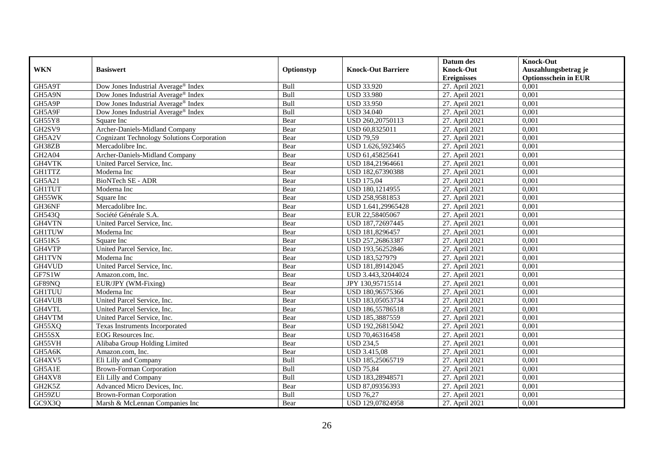|               |                                                   |            |                           | Datum des          | <b>Knock-Out</b>            |
|---------------|---------------------------------------------------|------------|---------------------------|--------------------|-----------------------------|
| <b>WKN</b>    | <b>Basiswert</b>                                  | Optionstyp | <b>Knock-Out Barriere</b> | <b>Knock-Out</b>   | Auszahlungsbetrag je        |
|               |                                                   |            |                           | <b>Ereignisses</b> | <b>Optionsschein in EUR</b> |
| GH5A9T        | Dow Jones Industrial Average <sup>®</sup> Index   | Bull       | <b>USD 33.920</b>         | 27. April 2021     | 0,001                       |
| GH5A9N        | Dow Jones Industrial Average <sup>®</sup> Index   | Bull       | <b>USD 33.980</b>         | 27. April 2021     | 0,001                       |
| GH5A9P        | Dow Jones Industrial Average® Index               | Bull       | <b>USD 33.950</b>         | 27. April 2021     | 0,001                       |
| GH5A9F        | Dow Jones Industrial Average® Index               | Bull       | <b>USD 34.040</b>         | 27. April 2021     | 0,001                       |
| GH55Y8        | Square Inc                                        | Bear       | USD 260,20750113          | 27. April 2021     | 0,001                       |
| GH2SV9        | Archer-Daniels-Midland Company                    | Bear       | USD 60,8325011            | 27. April 2021     | 0,001                       |
| GH5A2V        | <b>Cognizant Technology Solutions Corporation</b> | Bear       | <b>USD 79,59</b>          | 27. April 2021     | 0,001                       |
| GH38ZB        | Mercadolibre Inc.                                 | Bear       | USD 1.626,5923465         | 27. April 2021     | 0,001                       |
| <b>GH2A04</b> | Archer-Daniels-Midland Company                    | Bear       | USD 61,45825641           | 27. April 2021     | 0,001                       |
| GH4VTK        | United Parcel Service, Inc.                       | Bear       | USD 184,21964661          | 27. April 2021     | 0,001                       |
| <b>GH1TTZ</b> | Moderna Inc                                       | Bear       | USD 182,67390388          | 27. April 2021     | 0,001                       |
| <b>GH5A21</b> | <b>BioNTech SE - ADR</b>                          | Bear       | <b>USD 175,04</b>         | 27. April 2021     | 0,001                       |
| <b>GH1TUT</b> | Moderna Inc                                       | Bear       | USD 180,1214955           | 27. April 2021     | 0,001                       |
| GH55WK        | Square Inc                                        | Bear       | USD 258,9581853           | 27. April 2021     | 0,001                       |
| GH36NF        | Mercadolibre Inc.                                 | Bear       | USD 1.641,29965428        | 27. April 2021     | 0,001                       |
| GH543Q        | Société Générale S.A.                             | Bear       | EUR 22,58405067           | 27. April 2021     | 0,001                       |
| GH4VTN        | United Parcel Service, Inc.                       | Bear       | USD 187,72697445          | 27. April 2021     | 0,001                       |
| <b>GH1TUW</b> | Moderna Inc                                       | Bear       | USD 181,8296457           | 27. April 2021     | 0,001                       |
| GH51K5        | Square Inc                                        | Bear       | USD 257,26863387          | 27. April 2021     | 0,001                       |
| GH4VTP        | United Parcel Service, Inc.                       | Bear       | USD 193,56252846          | 27. April 2021     | 0,001                       |
| <b>GH1TVN</b> | Moderna Inc                                       | Bear       | USD 183,527979            | 27. April 2021     | 0,001                       |
| GH4VUD        | United Parcel Service, Inc.                       | Bear       | USD 181,89142045          | 27. April 2021     | 0,001                       |
| GF7S1W        | Amazon.com, Inc.                                  | Bear       | USD 3.443,32044024        | 27. April 2021     | 0,001                       |
| GF89NQ        | EUR/JPY (WM-Fixing)                               | Bear       | JPY 130,95715514          | 27. April 2021     | 0,001                       |
| <b>GH1TUU</b> | Moderna Inc                                       | Bear       | USD 180,96575366          | 27. April 2021     | 0,001                       |
| GH4VUB        | United Parcel Service, Inc.                       | Bear       | USD 183,05053734          | 27. April 2021     | 0,001                       |
| GH4VTL        | United Parcel Service, Inc.                       | Bear       | USD 186,55786518          | 27. April 2021     | 0,001                       |
| GH4VTM        | United Parcel Service, Inc.                       | Bear       | USD 185,3887559           | 27. April 2021     | 0.001                       |
| GH55XQ        | Texas Instruments Incorporated                    | Bear       | USD 192,26815042          | 27. April 2021     | 0,001                       |
| GH55SX        | EOG Resources Inc.                                | Bear       | USD 70,46316458           | 27. April 2021     | 0,001                       |
| GH55VH        | Alibaba Group Holding Limited                     | Bear       | <b>USD 234,5</b>          | 27. April 2021     | 0,001                       |
| GH5A6K        | Amazon.com, Inc.                                  | Bear       | <b>USD 3.415,08</b>       | 27. April 2021     | 0.001                       |
| GH4XV5        | Eli Lilly and Company                             | Bull       | USD 185,25065719          | 27. April 2021     | 0,001                       |
| GH5A1E        | <b>Brown-Forman Corporation</b>                   | Bull       | <b>USD 75,84</b>          | 27. April 2021     | 0,001                       |
| GH4XV8        | Eli Lilly and Company                             | Bull       | USD 183,28948571          | 27. April 2021     | 0,001                       |
| GH2K5Z        | Advanced Micro Devices, Inc.                      | Bear       | USD 87,09356393           | 27. April 2021     | 0,001                       |
| GH59ZU        | <b>Brown-Forman Corporation</b>                   | Bull       | <b>USD 76,27</b>          | 27. April 2021     | 0,001                       |
| GC9X3Q        | Marsh & McLennan Companies Inc                    | Bear       | USD 129,07824958          | 27. April 2021     | 0,001                       |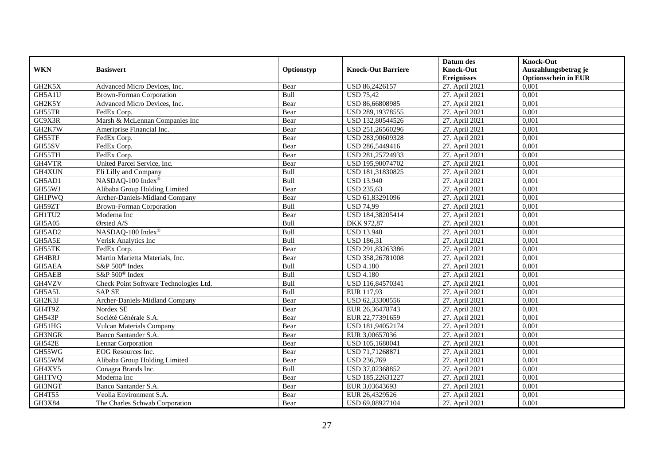|               |                                        |            |                           | Datum des          | <b>Knock-Out</b>            |
|---------------|----------------------------------------|------------|---------------------------|--------------------|-----------------------------|
| <b>WKN</b>    | <b>Basiswert</b>                       | Optionstyp | <b>Knock-Out Barriere</b> | <b>Knock-Out</b>   | Auszahlungsbetrag je        |
|               |                                        |            |                           | <b>Ereignisses</b> | <b>Optionsschein in EUR</b> |
| GH2K5X        | Advanced Micro Devices, Inc.           | Bear       | USD 86,2426157            | 27. April 2021     | 0,001                       |
| GH5A1U        | <b>Brown-Forman Corporation</b>        | Bull       | <b>USD 75,42</b>          | 27. April 2021     | 0,001                       |
| GH2K5Y        | Advanced Micro Devices, Inc.           | Bear       | USD 86,66808985           | 27. April 2021     | 0,001                       |
| GH55TR        | FedEx Corp.                            | Bear       | USD 289,19378555          | 27. April 2021     | 0,001                       |
| GC9X3R        | Marsh & McLennan Companies Inc         | Bear       | USD 132,80544526          | 27. April 2021     | 0,001                       |
| GH2K7W        | Ameriprise Financial Inc.              | Bear       | USD 251,26560296          | 27. April 2021     | 0,001                       |
| GH55TF        | FedEx Corp.                            | Bear       | USD 283,90609328          | 27. April 2021     | 0,001                       |
| GH55SV        | FedEx Corp.                            | Bear       | USD 286,5449416           | 27. April 2021     | 0,001                       |
| GH55TH        | FedEx Corp.                            | Bear       | USD 281,25724933          | 27. April 2021     | 0,001                       |
| GH4VTR        | United Parcel Service, Inc.            | Bear       | USD 195,90074702          | 27. April 2021     | 0,001                       |
| GH4XUN        | Eli Lilly and Company                  | Bull       | USD 181,31830825          | 27. April 2021     | 0,001                       |
| GH5AD1        | NASDAQ-100 Index®                      | Bull       | <b>USD 13.940</b>         | 27. April 2021     | 0,001                       |
| GH55WJ        | Alibaba Group Holding Limited          | Bear       | <b>USD 235,63</b>         | 27. April 2021     | 0,001                       |
| <b>GH1PWQ</b> | Archer-Daniels-Midland Company         | Bear       | USD 61,83291096           | 27. April 2021     | 0,001                       |
| GH59ZT        | <b>Brown-Forman Corporation</b>        | Bull       | <b>USD 74,99</b>          | 27. April 2021     | 0,001                       |
| GH1TU2        | Moderna Inc                            | Bear       | USD 184,38205414          | 27. April 2021     | 0,001                       |
| GH5A05        | Ørsted A/S                             | Bull       | DKK 972,87                | 27. April 2021     | 0,001                       |
| GH5AD2        | NASDAO-100 Index®                      | Bull       | <b>USD 13.940</b>         | 27. April 2021     | 0,001                       |
| GH5A5E        | Verisk Analytics Inc                   | Bull       | <b>USD 186,31</b>         | 27. April 2021     | 0,001                       |
| GH55TK        | FedEx Corp.                            | Bear       | USD 291,83263386          | 27. April 2021     | 0,001                       |
| GH4BRJ        | Martin Marietta Materials, Inc.        | Bear       | USD 358,26781008          | 27. April 2021     | 0,001                       |
| GH5AEA        | S&P 500 <sup>®</sup> Index             | Bull       | <b>USD 4.180</b>          | 27. April 2021     | 0,001                       |
| GH5AEB        | S&P 500 <sup>®</sup> Index             | Bull       | <b>USD 4.180</b>          | 27. April 2021     | 0,001                       |
| GH4VZV        | Check Point Software Technologies Ltd. | Bull       | USD 116,84570341          | 27. April 2021     | 0,001                       |
| GH5A5L        | <b>SAP SE</b>                          | Bull       | EUR 117,93                | 27. April 2021     | 0,001                       |
| GH2K3J        | Archer-Daniels-Midland Company         | Bear       | USD 62,33300556           | 27. April 2021     | 0,001                       |
| GH4T9Z        | Nordex SE                              | Bear       | EUR 26,36478743           | 27. April 2021     | 0,001                       |
| GH543P        | Société Générale S.A.                  | Bear       | EUR 22,77391659           | 27. April 2021     | 0.001                       |
| GH51HG        | <b>Vulcan Materials Company</b>        | Bear       | USD 181,94052174          | 27. April 2021     | 0,001                       |
| GH3NGR        | Banco Santander S.A.                   | Bear       | EUR 3,00657036            | 27. April 2021     | 0,001                       |
| <b>GH542E</b> | Lennar Corporation                     | Bear       | USD 105,1680041           | 27. April 2021     | 0,001                       |
| GH55WG        | EOG Resources Inc.                     | Bear       | USD 71.71268871           | 27. April 2021     | 0.001                       |
| GH55WM        | Alibaba Group Holding Limited          | Bear       | <b>USD 236,769</b>        | 27. April 2021     | 0,001                       |
| GH4XY5        | Conagra Brands Inc.                    | Bull       | USD 37,02368852           | 27. April 2021     | 0,001                       |
| <b>GH1TVQ</b> | Moderna Inc                            | Bear       | USD 185,22631227          | 27. April 2021     | 0,001                       |
| GH3NGT        | Banco Santander S.A.                   | Bear       | EUR 3,03643693            | 27. April 2021     | 0,001                       |
| GH4T55        | Veolia Environment S.A.                | Bear       | EUR 26,4329526            | 27. April 2021     | 0,001                       |
| GH3X84        | The Charles Schwab Corporation         | Bear       | USD 69,08927104           | 27. April 2021     | 0,001                       |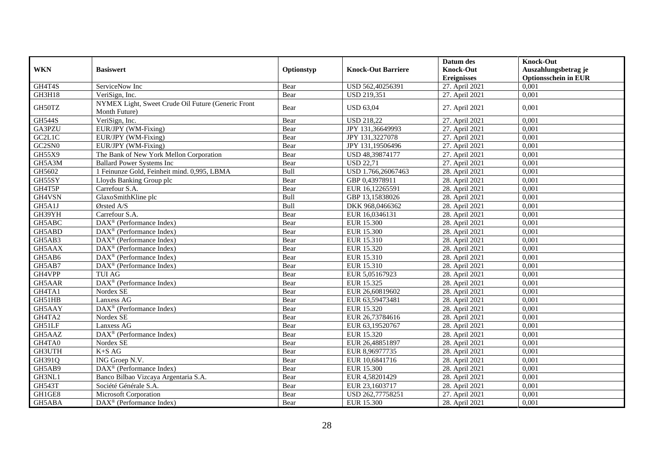|                                  |                                                                     |            |                           | Datum des          | <b>Knock-Out</b>            |
|----------------------------------|---------------------------------------------------------------------|------------|---------------------------|--------------------|-----------------------------|
| <b>WKN</b>                       | <b>Basiswert</b>                                                    | Optionstyp | <b>Knock-Out Barriere</b> | <b>Knock-Out</b>   | Auszahlungsbetrag je        |
|                                  |                                                                     |            |                           | <b>Ereignisses</b> | <b>Optionsschein in EUR</b> |
| GH4T4S                           | ServiceNow Inc                                                      | Bear       | USD 562,40256391          | 27. April 2021     | 0,001                       |
| GH3H18                           | VeriSign, Inc.                                                      | Bear       | <b>USD 219,351</b>        | 27. April 2021     | 0,001                       |
| GH50TZ                           | NYMEX Light, Sweet Crude Oil Future (Generic Front<br>Month Future) | Bear       | <b>USD 63,04</b>          | 27. April 2021     | 0,001                       |
| <b>GH544S</b>                    | VeriSign, Inc.                                                      | Bear       | <b>USD 218,22</b>         | 27. April 2021     | 0,001                       |
| GA3PZU                           | EUR/JPY (WM-Fixing)                                                 | Bear       | JPY 131,36649993          | 27. April 2021     | 0,001                       |
| GC <sub>2</sub> L <sub>1</sub> C | EUR/JPY (WM-Fixing)                                                 | Bear       | JPY 131,3227078           | 27. April 2021     | 0,001                       |
| GC2SN0                           | EUR/JPY (WM-Fixing)                                                 | Bear       | JPY 131,19506496          | 27. April 2021     | 0.001                       |
| GH55X9                           | The Bank of New York Mellon Corporation                             | Bear       | USD 48,39874177           | 27. April 2021     | 0,001                       |
| GH5A3M                           | <b>Ballard Power Systems Inc</b>                                    | Bear       | <b>USD 22,71</b>          | 27. April 2021     | 0,001                       |
| GH5602                           | 1 Feinunze Gold, Feinheit mind. 0,995, LBMA                         | Bull       | USD 1.766,26067463        | 28. April 2021     | 0.001                       |
| GH55SY                           | Lloyds Banking Group plc                                            | Bear       | GBP 0,43978911            | 28. April 2021     | 0,001                       |
| GH4T5P                           | Carrefour S.A.                                                      | Bear       | EUR 16,12265591           | 28. April 2021     | 0,001                       |
| GH4VSN                           | GlaxoSmithKline plc                                                 | Bull       | GBP 13,15838026           | 28. April 2021     | 0,001                       |
| GH5A1J                           | Ørsted A/S                                                          | Bull       | DKK 968,0466362           | 28. April 2021     | 0,001                       |
| GH39YH                           | Carrefour S.A.                                                      | Bear       | EUR 16,0346131            | 28. April 2021     | 0,001                       |
| GH5ABC                           | $\overline{\text{DAX}^{\otimes}}$ (Performance Index)               | Bear       | EUR 15.300                | 28. April 2021     | 0,001                       |
| GH5ABD                           | $DAX^{\circledR}$ (Performance Index)                               | Bear       | EUR 15.300                | 28. April 2021     | 0.001                       |
| GH5AB3                           | $\text{DAX}^{\textcircled{p}}$ (Performance Index)                  | Bear       | EUR 15.310                | 28. April 2021     | 0,001                       |
| GH5AAX                           | DAX <sup>®</sup> (Performance Index)                                | Bear       | EUR 15.320                | 28. April 2021     | 0,001                       |
| GH5AB6                           | DAX <sup>®</sup> (Performance Index)                                | Bear       | EUR 15.310                | 28. April 2021     | 0,001                       |
| GH5AB7                           | DAX <sup>®</sup> (Performance Index)                                | Bear       | EUR 15.310                | 28. April 2021     | 0,001                       |
| GH4VPP                           | <b>TUI AG</b>                                                       | Bear       | EUR 5,05167923            | 28. April 2021     | 0,001                       |
| GH5AAR                           | $\overline{\text{DAX}}^{\textcircled{}}$ (Performance Index)        | Bear       | EUR 15.325                | 28. April 2021     | 0,001                       |
| GH4TA1                           | Nordex SE                                                           | Bear       | EUR 26,60819602           | 28. April 2021     | 0.001                       |
| GH51HB                           | Lanxess AG                                                          | Bear       | EUR 63,59473481           | 28. April 2021     | 0,001                       |
| GH5AAY                           | DAX <sup>®</sup> (Performance Index)                                | Bear       | EUR 15.320                | 28. April 2021     | 0,001                       |
| GH4TA2                           | Nordex SE                                                           | Bear       | EUR 26,73784616           | 28. April 2021     | 0,001                       |
| GH51LF                           | Lanxess AG                                                          | Bear       | EUR 63,19520767           | 28. April 2021     | 0,001                       |
| GH5AAZ                           | DAX <sup>®</sup> (Performance Index)                                | Bear       | EUR 15.320                | 28. April 2021     | 0,001                       |
| GH4TA0                           | Nordex SE                                                           | Bear       | EUR 26,48851897           | 28. April 2021     | 0,001                       |
| <b>GH3UTH</b>                    | $K+SAG$                                                             | Bear       | EUR 8,96977735            | 28. April 2021     | 0.001                       |
| GH391Q                           | ING Groep N.V.                                                      | Bear       | EUR 10,6841716            | 28. April 2021     | 0,001                       |
| GH5AB9                           | $\text{DAX}^{\textcircled{p}}$ (Performance Index)                  | Bear       | <b>EUR 15.300</b>         | 28. April 2021     | 0,001                       |
| GH3NL1                           | Banco Bilbao Vizcaya Argentaria S.A.                                | Bear       | EUR 4,58201429            | 28. April 2021     | 0,001                       |
| <b>GH543T</b>                    | Société Générale S.A.                                               | Bear       | EUR 23,1603717            | 28. April 2021     | 0,001                       |
| GH1GE8                           | Microsoft Corporation                                               | Bear       | USD 262,77758251          | 27. April 2021     | 0,001                       |
| GH5ABA                           | $\overline{\text{DAX}^{\otimes}}$ (Performance Index)               | Bear       | <b>EUR 15.300</b>         | 28. April 2021     | 0,001                       |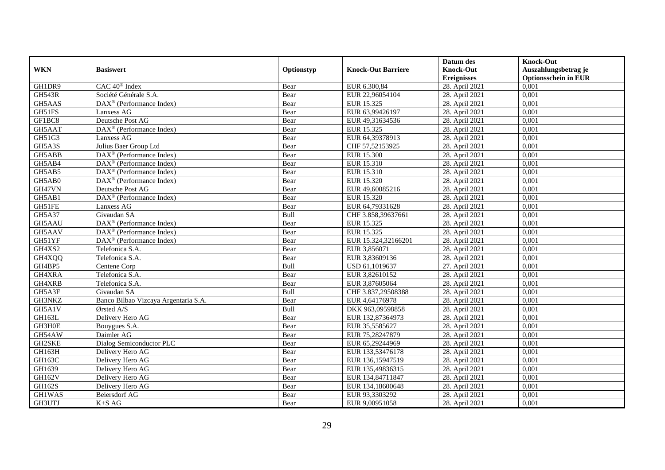|               |                                                         |            |                           | Datum des          | <b>Knock-Out</b>            |
|---------------|---------------------------------------------------------|------------|---------------------------|--------------------|-----------------------------|
| <b>WKN</b>    | <b>Basiswert</b>                                        | Optionstyp | <b>Knock-Out Barriere</b> | <b>Knock-Out</b>   | Auszahlungsbetrag je        |
|               |                                                         |            |                           | <b>Ereignisses</b> | <b>Optionsschein in EUR</b> |
| GH1DR9        | CAC 40 <sup>®</sup> Index                               | Bear       | EUR 6.300,84              | 28. April 2021     | 0,001                       |
| <b>GH543R</b> | Société Générale S.A.                                   | Bear       | EUR 22,96054104           | 28. April 2021     | 0,001                       |
| GH5AAS        | $\text{DAX}^{\textcircled{}}$ (Performance Index)       | Bear       | EUR 15.325                | 28. April 2021     | 0,001                       |
| GH51FS        | Lanxess AG                                              | Bear       | EUR 63,99426197           | 28. April 2021     | 0,001                       |
| GF1BC8        | Deutsche Post AG                                        | Bear       | EUR 49,31634536           | 28. April 2021     | 0,001                       |
| GH5AAT        | DAX <sup>®</sup> (Performance Index)                    | Bear       | EUR 15.325                | 28. April 2021     | 0,001                       |
| GH51G3        | Lanxess AG                                              | Bear       | EUR 64,39378913           | 28. April 2021     | 0,001                       |
| GH5A3S        | Julius Baer Group Ltd                                   | Bear       | CHF 57,52153925           | 28. April 2021     | 0,001                       |
| GH5ABB        | DAX <sup>®</sup> (Performance Index)                    | Bear       | EUR 15.300                | 28. April 2021     | 0,001                       |
| GH5AB4        | $DAX^{\otimes}$ (Performance Index)                     | Bear       | EUR 15.310                | 28. April 2021     | 0,001                       |
| GH5AB5        | $\text{DAX}^{\textcircled{p}}$ (Performance Index)      | Bear       | EUR 15.310                | 28. April 2021     | 0,001                       |
| GH5AB0        | DAX <sup>®</sup> (Performance Index)                    | Bear       | EUR 15.320                | 28. April 2021     | 0,001                       |
| GH47VN        | Deutsche Post AG                                        | Bear       | EUR 49,60085216           | 28. April 2021     | 0,001                       |
| GH5AB1        | DAX <sup>®</sup> (Performance Index)                    | Bear       | EUR 15.320                | 28. April 2021     | 0.001                       |
| GH51FE        | Lanxess AG                                              | Bear       | EUR 64,79331628           | 28. April 2021     | 0,001                       |
| GH5A37        | Givaudan SA                                             | Bull       | CHF 3.858,39637661        | 28. April 2021     | 0,001                       |
| GH5AAU        | $\overline{\text{DAX}}^{\textcirc}$ (Performance Index) | Bear       | EUR 15.325                | 28. April 2021     | 0,001                       |
| GH5AAV        | $\overline{\text{DAX}^{\otimes}}$ (Performance Index)   | Bear       | EUR 15.325                | 28. April 2021     | 0,001                       |
| GH51YF        | $\text{DAX}^{\otimes}$ (Performance Index)              | Bear       | EUR 15.324,32166201       | 28. April 2021     | 0,001                       |
| GH4XS2        | Telefonica S.A.                                         | Bear       | EUR 3,856071              | 28. April 2021     | 0,001                       |
| GH4XQQ        | Telefonica S.A.                                         | Bear       | EUR 3,83609136            | 28. April 2021     | 0,001                       |
| GH4BP5        | Centene Corp                                            | Bull       | USD 61,1019637            | 27. April 2021     | 0,001                       |
| GH4XRA        | Telefonica S.A.                                         | Bear       | EUR 3,82610152            | 28. April 2021     | 0,001                       |
| GH4XRB        | Telefonica S.A.                                         | Bear       | EUR 3,87605064            | 28. April 2021     | 0,001                       |
| GH5A3F        | Givaudan SA                                             | Bull       | CHF 3.837,29508388        | 28. April 2021     | 0,001                       |
| GH3NKZ        | Banco Bilbao Vizcaya Argentaria S.A.                    | Bear       | EUR 4,64176978            | 28. April 2021     | 0,001                       |
| GH5A1V        | Ørsted A/S                                              | Bull       | DKK 963,09598858          | 28. April 2021     | 0,001                       |
| GH163L        | Delivery Hero AG                                        | Bear       | EUR 132,87364973          | 28. April 2021     | 0,001                       |
| GH3H0E        | Bouygues S.A.                                           | Bear       | EUR 35,5585627            | 28. April 2021     | 0,001                       |
| GH54AW        | Daimler AG                                              | Bear       | EUR 75,28247879           | 28. April 2021     | 0,001                       |
| GH2SKE        | Dialog Semiconductor PLC                                | Bear       | EUR 65,29244969           | 28. April 2021     | 0,001                       |
| GH163H        | Delivery Hero AG                                        | Bear       | EUR 133,53476178          | 28. April 2021     | 0,001                       |
| <b>GH163C</b> | Delivery Hero AG                                        | Bear       | EUR 136,15947519          | 28. April 2021     | 0,001                       |
| GH1639        | Delivery Hero AG                                        | Bear       | EUR 135,49836315          | 28. April 2021     | 0,001                       |
| GH162V        | Delivery Hero AG                                        | Bear       | EUR 134,84711847          | 28. April 2021     | 0,001                       |
| GH162S        | Delivery Hero AG                                        | Bear       | EUR 134,18600648          | 28. April 2021     | 0,001                       |
| GH1WAS        | Beiersdorf AG                                           | Bear       | EUR 93,3303292            | 28. April 2021     | 0,001                       |
| GH3UTJ        | $K+SAG$                                                 | Bear       | EUR 9,00951058            | 28. April 2021     | 0,001                       |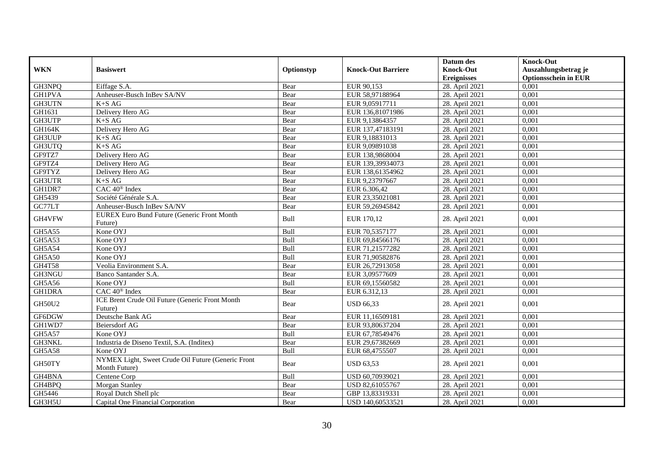|               |                                                                     |            |                           | Datum des          | <b>Knock-Out</b>            |
|---------------|---------------------------------------------------------------------|------------|---------------------------|--------------------|-----------------------------|
| <b>WKN</b>    | <b>Basiswert</b>                                                    | Optionstyp | <b>Knock-Out Barriere</b> | <b>Knock-Out</b>   | Auszahlungsbetrag je        |
|               |                                                                     |            |                           | <b>Ereignisses</b> | <b>Optionsschein in EUR</b> |
| GH3NPQ        | Eiffage S.A.                                                        | Bear       | EUR 90,153                | 28. April 2021     | 0,001                       |
| <b>GH1PVA</b> | Anheuser-Busch InBev SA/NV                                          | Bear       | EUR 58,97188964           | 28. April 2021     | 0.001                       |
| <b>GH3UTN</b> | $K+SAG$                                                             | Bear       | EUR 9,05917711            | 28. April 2021     | 0,001                       |
| GH1631        | Delivery Hero AG                                                    | Bear       | EUR 136,81071986          | 28. April 2021     | 0,001                       |
| GH3UTP        | $K+SAG$                                                             | Bear       | EUR 9,13864357            | 28. April 2021     | 0,001                       |
| <b>GH164K</b> | Delivery Hero AG                                                    | Bear       | EUR 137,47183191          | 28. April 2021     | 0,001                       |
| <b>GH3UUP</b> | $K+SAG$                                                             | Bear       | EUR 9,18831013            | 28. April 2021     | 0,001                       |
| GH3UTQ        | $K+SAG$                                                             | Bear       | EUR 9,09891038            | 28. April 2021     | 0,001                       |
| GF9TZ7        | Delivery Hero AG                                                    | Bear       | EUR 138,9868004           | 28. April 2021     | 0,001                       |
| GF9TZ4        | Delivery Hero AG                                                    | Bear       | EUR 139,39934073          | 28. April 2021     | 0,001                       |
| GF9TYZ        | Delivery Hero AG                                                    | Bear       | EUR 138,61354962          | 28. April 2021     | 0,001                       |
| GH3UTR        | $K+SAG$                                                             | Bear       | EUR 9,23797667            | 28. April 2021     | 0,001                       |
| GH1DR7        | CAC 40 <sup>®</sup> Index                                           | Bear       | EUR 6.306,42              | 28. April 2021     | 0,001                       |
| GH5439        | Société Générale S.A.                                               | Bear       | EUR 23,35021081           | 28. April 2021     | 0,001                       |
| GC77LT        | Anheuser-Busch InBev SA/NV                                          | Bear       | EUR 59,26945842           | 28. April 2021     | 0,001                       |
| GH4VFW        | <b>EUREX Euro Bund Future (Generic Front Month</b>                  | Bull       | EUR 170,12                | 28. April 2021     | 0,001                       |
|               | Future)                                                             |            |                           |                    |                             |
| GH5A55        | Kone OYJ                                                            | Bull       | EUR 70,5357177            | 28. April 2021     | 0,001                       |
| GH5A53        | Kone OYJ                                                            | Bull       | EUR 69,84566176           | 28. April 2021     | 0,001                       |
| <b>GH5A54</b> | Kone OYJ                                                            | Bull       | EUR 71,21577282           | 28. April 2021     | 0.001                       |
| <b>GH5A50</b> | Kone OYJ                                                            | Bull       | EUR 71,90582876           | 28. April 2021     | 0,001                       |
| <b>GH4T58</b> | Veolia Environment S.A.                                             | Bear       | EUR 26,72913058           | 28. April 2021     | 0,001                       |
| GH3NGU        | Banco Santander S.A.                                                | Bear       | EUR 3,09577609            | 28. April 2021     | 0,001                       |
| GH5A56        | Kone OYJ                                                            | Bull       | EUR 69,15560582           | 28. April 2021     | 0,001                       |
| <b>GH1DRA</b> | $\overline{CAC 40^{\circledast}}$ Index                             | Bear       | EUR 6.312,13              | 28. April 2021     | 0.001                       |
| <b>GH50U2</b> | ICE Brent Crude Oil Future (Generic Front Month<br>Future)          | Bear       | <b>USD 66,33</b>          | 28. April 2021     | 0.001                       |
| GF6DGW        | Deutsche Bank AG                                                    | Bear       | EUR 11,16509181           | 28. April 2021     | 0,001                       |
| GH1WD7        | <b>Beiersdorf AG</b>                                                | Bear       | EUR 93,80637204           | 28. April 2021     | 0,001                       |
| GH5A57        | Kone OYJ                                                            | Bull       | EUR 67,78549476           | 28. April 2021     | 0,001                       |
| GH3NKL        | Industria de Diseno Textil, S.A. (Inditex)                          | Bear       | EUR 29,67382669           | 28. April 2021     | 0,001                       |
| GH5A58        | Kone OYJ                                                            | Bull       | EUR 68,4755507            | 28. April 2021     | 0.001                       |
| GH50TY        | NYMEX Light, Sweet Crude Oil Future (Generic Front<br>Month Future) | Bear       | <b>USD 63,53</b>          | 28. April 2021     | 0,001                       |
| GH4BNA        | Centene Corp                                                        | Bull       | USD 60,70939021           | 28. April 2021     | 0,001                       |
| GH4BPQ        | <b>Morgan Stanley</b>                                               | Bear       | USD 82,61055767           | 28. April 2021     | 0,001                       |
| GH5446        | Royal Dutch Shell plc                                               | Bear       | GBP 13,83319331           | 28. April 2021     | 0,001                       |
| GH3H5U        | Capital One Financial Corporation                                   | Bear       | USD 140,60533521          | 28. April 2021     | 0,001                       |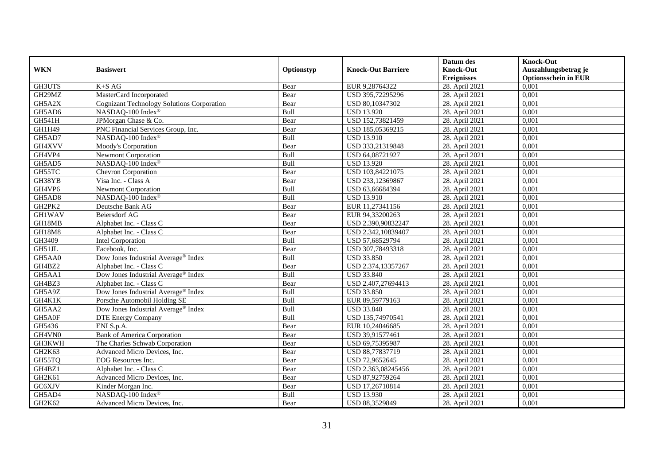|                                 |                                                   |            |                           | Datum des          | <b>Knock-Out</b>            |
|---------------------------------|---------------------------------------------------|------------|---------------------------|--------------------|-----------------------------|
| <b>WKN</b>                      | <b>Basiswert</b>                                  | Optionstyp | <b>Knock-Out Barriere</b> | <b>Knock-Out</b>   | Auszahlungsbetrag je        |
|                                 |                                                   |            |                           | <b>Ereignisses</b> | <b>Optionsschein in EUR</b> |
| GH3UTS                          | $K+SAG$                                           | Bear       | EUR 9,28764322            | 28. April 2021     | 0,001                       |
| GH29MZ                          | MasterCard Incorporated                           | Bear       | USD 395,72295296          | 28. April 2021     | 0,001                       |
| GH5A2X                          | <b>Cognizant Technology Solutions Corporation</b> | Bear       | USD 80,10347302           | 28. April 2021     | 0,001                       |
| GH5AD6                          | NASDAQ-100 Index®                                 | Bull       | <b>USD 13.920</b>         | 28. April 2021     | 0,001                       |
| GH541H                          | JPMorgan Chase & Co.                              | Bear       | USD 152,73821459          | 28. April 2021     | 0,001                       |
| GH1H49                          | PNC Financial Services Group, Inc.                | Bear       | USD 185,05369215          | 28. April 2021     | 0,001                       |
| GH5AD7                          | NASDAQ-100 Index®                                 | Bull       | <b>USD 13.910</b>         | 28. April 2021     | 0,001                       |
| GH4XVV                          | Moody's Corporation                               | Bear       | USD 333,21319848          | 28. April 2021     | 0,001                       |
| GH4VP4                          | <b>Newmont Corporation</b>                        | Bull       | USD 64,08721927           | 28. April 2021     | 0,001                       |
| GH5AD5                          | NASDAQ-100 Index®                                 | Bull       | <b>USD 13.920</b>         | 28. April 2021     | 0,001                       |
| GH55TC                          | Chevron Corporation                               | Bear       | USD 103,84221075          | 28. April 2021     | 0,001                       |
| GH38YB                          | Visa Inc. - Class A                               | Bear       | USD 233,12369867          | 28. April 2021     | 0,001                       |
| GH4VP6                          | Newmont Corporation                               | Bull       | USD 63,66684394           | 28. April 2021     | 0,001                       |
| GH5AD8                          | NASDAQ-100 Index <sup>®</sup>                     | Bull       | <b>USD 13.910</b>         | 28. April 2021     | 0,001                       |
| GH2PK2                          | Deutsche Bank AG                                  | Bear       | EUR 11,27341156           | 28. April 2021     | 0,001                       |
| <b>GH1WAV</b>                   | <b>Beiersdorf AG</b>                              | Bear       | EUR 94,33200263           | 28. April 2021     | 0,001                       |
| GH18MB                          | Alphabet Inc. - Class C                           | Bear       | USD 2.390,90832247        | 28. April 2021     | 0,001                       |
| GH18M8                          | Alphabet Inc. - Class C                           | Bear       | USD 2.342,10839407        | 28. April 2021     | 0,001                       |
| GH3409                          | Intel Corporation                                 | Bull       | USD 57,68529794           | 28. April 2021     | 0,001                       |
| GH51JL                          | Facebook, Inc.                                    | Bear       | USD 307,78493318          | 28. April 2021     | 0,001                       |
| GH5AA0                          | Dow Jones Industrial Average <sup>®</sup> Index   | Bull       | <b>USD 33.850</b>         | 28. April 2021     | 0,001                       |
| GH4BZ2                          | Alphabet Inc. - Class C                           | Bear       | USD 2.374,13357267        | 28. April 2021     | 0.001                       |
| GH5AA1                          | Dow Jones Industrial Average® Index               | Bull       | <b>USD 33.840</b>         | 28. April 2021     | 0,001                       |
| GH4BZ3                          | Alphabet Inc. - Class C                           | Bear       | USD 2.407,27694413        | 28. April 2021     | 0,001                       |
| GH5A9Z                          | Dow Jones Industrial Average® Index               | Bull       | <b>USD 33.850</b>         | 28. April 2021     | 0,001                       |
| GH4K1K                          | Porsche Automobil Holding SE                      | Bull       | EUR 89,59779163           | 28. April 2021     | 0,001                       |
| GH5AA2                          | Dow Jones Industrial Average <sup>®</sup> Index   | Bull       | <b>USD 33.840</b>         | 28. April 2021     | 0,001                       |
| GH5A0F                          | DTE Energy Company                                | Bull       | USD 135,74970541          | 28. April 2021     | 0,001                       |
| GH5436                          | ENI S.p.A.                                        | Bear       | EUR 10,24046685           | 28. April 2021     | 0,001                       |
| GH4VN0                          | <b>Bank of America Corporation</b>                | Bear       | USD 39,91577461           | 28. April 2021     | 0.001                       |
| GH3KWH                          | The Charles Schwab Corporation                    | Bear       | USD 69,75395987           | 28. April 2021     | 0,001                       |
| GH <sub>2</sub> K <sub>63</sub> | Advanced Micro Devices, Inc.                      | Bear       | USD 88,77837719           | 28. April 2021     | 0,001                       |
| GH55TQ                          | EOG Resources Inc.                                | Bear       | USD 72,9652645            | 28. April 2021     | 0,001                       |
| GH4BZ1                          | Alphabet Inc. - Class C                           | Bear       | USD 2.363,08245456        | 28. April 2021     | 0,001                       |
| GH2K61                          | Advanced Micro Devices, Inc.                      | Bear       | USD 87,92759264           | 28. April 2021     | 0,001                       |
| GC6XJV                          | Kinder Morgan Inc.                                | Bear       | USD 17,26710814           | 28. April 2021     | 0,001                       |
| GH5AD4                          | NASDAQ-100 Index®                                 | Bull       | <b>USD 13.930</b>         | 28. April 2021     | 0,001                       |
| GH2K62                          | Advanced Micro Devices, Inc.                      | Bear       | USD 88,3529849            | 28. April 2021     | 0,001                       |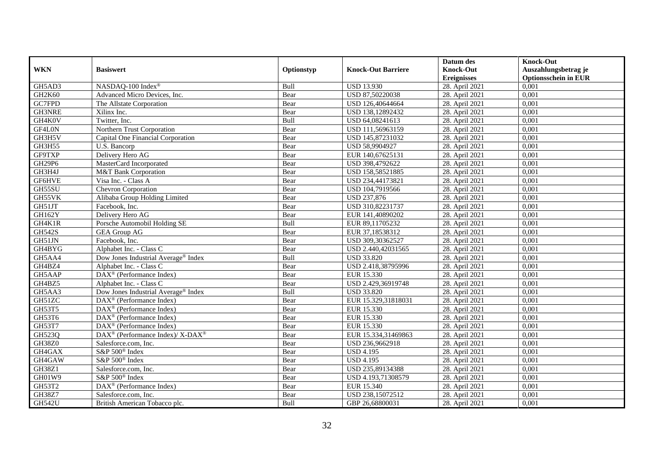|               |                                                             |            |                           | Datum des          | <b>Knock-Out</b>            |
|---------------|-------------------------------------------------------------|------------|---------------------------|--------------------|-----------------------------|
| <b>WKN</b>    | <b>Basiswert</b>                                            | Optionstyp | <b>Knock-Out Barriere</b> | <b>Knock-Out</b>   | Auszahlungsbetrag je        |
|               |                                                             |            |                           | <b>Ereignisses</b> | <b>Optionsschein in EUR</b> |
| GH5AD3        | NASDAQ-100 Index®                                           | Bull       | <b>USD 13.930</b>         | 28. April 2021     | 0,001                       |
| GH2K60        | Advanced Micro Devices, Inc.                                | Bear       | USD 87,50220038           | 28. April 2021     | 0,001                       |
| GC7FPD        | The Allstate Corporation                                    | Bear       | USD 126,40644664          | 28. April 2021     | 0,001                       |
| GH3NRE        | Xilinx Inc.                                                 | Bear       | USD 138,12892432          | 28. April 2021     | 0,001                       |
| GH4K0V        | Twitter, Inc.                                               | Bull       | USD 64,08241613           | 28. April 2021     | 0,001                       |
| GF4L0N        | Northern Trust Corporation                                  | Bear       | USD 111,56963159          | 28. April 2021     | 0,001                       |
| GH3H5V        | Capital One Financial Corporation                           | Bear       | USD 145,87231032          | 28. April 2021     | 0,001                       |
| GH3H55        | U.S. Bancorp                                                | Bear       | USD 58,9904927            | 28. April 2021     | 0,001                       |
| GF9TXP        | Delivery Hero AG                                            | Bear       | EUR 140,67625131          | 28. April 2021     | 0,001                       |
| GH29P6        | MasterCard Incorporated                                     | Bear       | USD 398,4792622           | 28. April 2021     | 0,001                       |
| GH3H4J        | M&T Bank Corporation                                        | Bear       | USD 158,58521885          | 28. April 2021     | 0,001                       |
| GF6HVE        | Visa Inc. - Class A                                         | Bear       | USD 234,44173821          | 28. April 2021     | 0,001                       |
| GH55SU        | <b>Chevron Corporation</b>                                  | Bear       | USD 104,7919566           | 28. April 2021     | 0,001                       |
| GH55VK        | Alibaba Group Holding Limited                               | Bear       | USD 237,876               | 28. April 2021     | 0,001                       |
| GH51JT        | Facebook, Inc.                                              | Bear       | USD 310,82231737          | 28. April 2021     | 0,001                       |
| GH162Y        | Delivery Hero AG                                            | Bear       | EUR 141,40890202          | 28. April 2021     | 0,001                       |
| GH4K1R        | Porsche Automobil Holding SE                                | Bull       | EUR 89,11705232           | 28. April 2021     | 0,001                       |
| <b>GH542S</b> | <b>GEA Group AG</b>                                         | Bear       | EUR 37,18538312           | 28. April 2021     | 0,001                       |
| GH51JN        | Facebook, Inc.                                              | Bear       | USD 309,30362527          | 28. April 2021     | 0,001                       |
| GH4BYG        | Alphabet Inc. - Class C                                     | Bear       | USD 2.440,42031565        | 28. April 2021     | 0,001                       |
| GH5AA4        | Dow Jones Industrial Average <sup>®</sup> Index             | Bull       | <b>USD 33.820</b>         | 28. April 2021     | 0,001                       |
| GH4BZ4        | Alphabet Inc. - Class C                                     | Bear       | USD 2.418,38795996        | 28. April 2021     | 0,001                       |
| GH5AAP        | DAX <sup>®</sup> (Performance Index)                        | Bear       | EUR 15.330                | 28. April 2021     | 0,001                       |
| GH4BZ5        | Alphabet Inc. - Class C                                     | Bear       | USD 2.429,36919748        | 28. April 2021     | 0,001                       |
| GH5AA3        | Dow Jones Industrial Average® Index                         | Bull       | <b>USD 33.820</b>         | 28. April 2021     | 0,001                       |
| GH51ZC        | $\text{DAX}^{\textcircled{n}}$ (Performance Index)          | Bear       | EUR 15.329,31818031       | 28. April 2021     | 0,001                       |
| GH53T5        | DAX <sup>®</sup> (Performance Index)                        | Bear       | EUR 15.330                | 28. April 2021     | 0,001                       |
| GH53T6        | $\text{DAX}^{\textcircled{p}}$ (Performance Index)          | Bear       | EUR 15.330                | 28. April 2021     | 0.001                       |
| <b>GH53T7</b> | $\text{DAX}^{\textcircled{p}}$ (Performance Index)          | Bear       | EUR 15.330                | 28. April 2021     | 0,001                       |
| GH523Q        | $DAX^{\circledcirc}$ (Performance Index)/X-DAX <sup>®</sup> | Bear       | EUR 15.334,31469863       | 28. April 2021     | 0,001                       |
| GH38Z0        | Salesforce.com. Inc.                                        | Bear       | USD 236,9662918           | 28. April 2021     | 0,001                       |
| GH4GAX        | S&P 500 <sup>®</sup> Index                                  | Bear       | <b>USD 4.195</b>          | 28. April 2021     | 0.001                       |
| GH4GAW        | S&P 500 <sup>®</sup> Index                                  | Bear       | <b>USD 4.195</b>          | 28. April 2021     | 0,001                       |
| <b>GH38Z1</b> | Salesforce.com, Inc.                                        | Bear       | USD 235,89134388          | 28. April 2021     | 0,001                       |
| GH01W9        | S&P 500 <sup>®</sup> Index                                  | Bear       | USD 4.193,71308579        | 28. April 2021     | 0,001                       |
| GH53T2        | DAX <sup>®</sup> (Performance Index)                        | Bear       | EUR 15.340                | 28. April 2021     | 0,001                       |
| GH38Z7        | Salesforce.com, Inc.                                        | Bear       | USD 238,15072512          | 28. April 2021     | 0,001                       |
| <b>GH542U</b> | British American Tobacco plc.                               | Bull       | GBP 26,68800031           | 28. April 2021     | 0,001                       |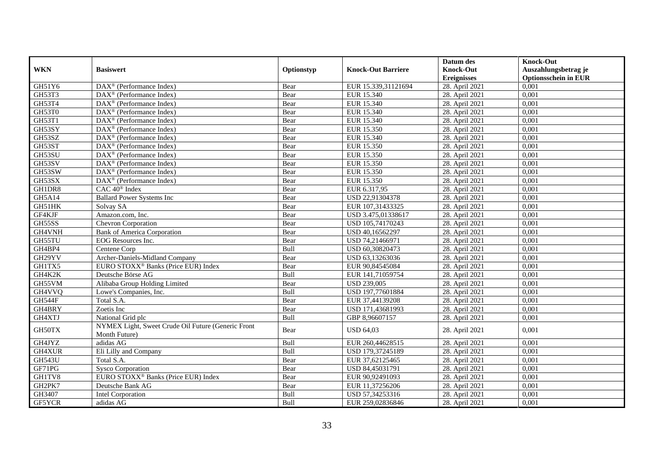|               |                                                                     |            |                           | Datum des                              | <b>Knock-Out</b>                                    |
|---------------|---------------------------------------------------------------------|------------|---------------------------|----------------------------------------|-----------------------------------------------------|
| <b>WKN</b>    | <b>Basiswert</b>                                                    | Optionstyp | <b>Knock-Out Barriere</b> | <b>Knock-Out</b><br><b>Ereignisses</b> | Auszahlungsbetrag je<br><b>Optionsschein in EUR</b> |
| GH51Y6        | DAX <sup>®</sup> (Performance Index)                                | Bear       | EUR 15.339,31121694       | 28. April 2021                         | 0,001                                               |
| GH53T3        | DAX <sup>®</sup> (Performance Index)                                | Bear       | EUR 15.340                | 28. April 2021                         | 0,001                                               |
| GH53T4        | $DAX^{\circledR}$ (Performance Index)                               | Bear       | EUR 15.340                | 28. April 2021                         | 0.001                                               |
| GH53T0        | $\overline{\text{DAX}^{\otimes}}$ (Performance Index)               | Bear       | EUR 15.340                | 28. April 2021                         | 0,001                                               |
| <b>GH53T1</b> | DAX <sup>®</sup> (Performance Index)                                | Bear       | EUR 15.340                | 28. April 2021                         | 0,001                                               |
| GH53SY        | $\overline{\text{DAX}^{\otimes}}$ (Performance Index)               | Bear       | EUR 15.350                | 28. April 2021                         | 0,001                                               |
| GH53SZ        | DAX <sup>®</sup> (Performance Index)                                | Bear       | EUR 15.340                | 28. April 2021                         | 0,001                                               |
| GH53ST        | DAX <sup>®</sup> (Performance Index)                                | Bear       | EUR 15.350                | 28. April 2021                         | 0,001                                               |
| GH53SU        | $DAX^{\circledR}$ (Performance Index)                               | Bear       | EUR 15.350                | 28. April 2021                         | 0.001                                               |
| GH53SV        | DAX <sup>®</sup> (Performance Index)                                | Bear       | EUR 15.350                | 28. April 2021                         | 0,001                                               |
| GH53SW        | $\overline{\text{DAX}^{\otimes}}$ (Performance Index)               | Bear       | EUR 15.350                | 28. April 2021                         | 0,001                                               |
| GH53SX        | $\overline{\text{DAX}^{\otimes}}$ (Performance Index)               | Bear       | EUR 15.350                | 28. April 2021                         | 0,001                                               |
| GH1DR8        | $CAC 40$ <sup>®</sup> Index                                         | Bear       | EUR 6.317,95              | 28. April 2021                         | 0,001                                               |
| GH5A14        | <b>Ballard Power Systems Inc</b>                                    | Bear       | USD 22,91304378           | 28. April 2021                         | 0,001                                               |
| GH51HK        | Solvay SA                                                           | Bear       | EUR 107,31433325          | 28. April 2021                         | 0,001                                               |
| GF4KJF        | Amazon.com, Inc.                                                    | Bear       | USD 3.475,01338617        | 28. April 2021                         | 0,001                                               |
| GH55SS        | Chevron Corporation                                                 | Bear       | USD 105,74170243          | 28. April 2021                         | 0,001                                               |
| GH4VNH        | <b>Bank of America Corporation</b>                                  | Bear       | USD 40,16562297           | 28. April 2021                         | 0,001                                               |
| GH55TU        | EOG Resources Inc.                                                  | Bear       | USD 74,21466971           | 28. April 2021                         | 0,001                                               |
| GH4BP4        | Centene Corp                                                        | Bull       | USD 60,30820473           | 28. April 2021                         | 0,001                                               |
| GH29YV        | Archer-Daniels-Midland Company                                      | Bear       | USD 63,13263036           | 28. April 2021                         | 0,001                                               |
| GH1TX5        | EURO STOXX <sup>®</sup> Banks (Price EUR) Index                     | Bear       | EUR 90,84545084           | 28. April 2021                         | 0,001                                               |
| GH4K2K        | Deutsche Börse AG                                                   | Bull       | EUR 141,71059754          | 28. April 2021                         | 0,001                                               |
| GH55VM        | Alibaba Group Holding Limited                                       | Bear       | <b>USD 239,005</b>        | 28. April 2021                         | 0,001                                               |
| GH4VVQ        | Lowe's Companies, Inc.                                              | Bull       | USD 197,77601884          | 28. April 2021                         | 0,001                                               |
| GH544F        | Total S.A.                                                          | Bear       | EUR 37,44139208           | 28. April 2021                         | 0,001                                               |
| GH4BRY        | Zoetis Inc                                                          | Bear       | USD 171,43681993          | 28. April 2021                         | 0.001                                               |
| GH4XTJ        | National Grid plc                                                   | Bull       | GBP 8,96607157            | 28. April 2021                         | 0,001                                               |
| GH50TX        | NYMEX Light, Sweet Crude Oil Future (Generic Front<br>Month Future) | Bear       | <b>USD 64,03</b>          | 28. April 2021                         | 0,001                                               |
| GH4JYZ        | adidas AG                                                           | Bull       | EUR 260,44628515          | 28. April 2021                         | 0,001                                               |
| GH4XUR        | Eli Lilly and Company                                               | Bull       | USD 179,37245189          | 28. April 2021                         | 0,001                                               |
| <b>GH543U</b> | Total S.A.                                                          | Bear       | EUR 37,62125465           | 28. April 2021                         | 0.001                                               |
| GF71PG        | <b>Sysco Corporation</b>                                            | Bear       | USD 84,45031791           | 28. April 2021                         | 0,001                                               |
| GH1TV8        | EURO STOXX <sup>®</sup> Banks (Price EUR) Index                     | Bear       | EUR 90,92491093           | 28. April 2021                         | 0,001                                               |
| GH2PK7        | Deutsche Bank AG                                                    | Bear       | EUR 11,37256206           | 28. April 2021                         | 0,001                                               |
| GH3407        | Intel Corporation                                                   | Bull       | USD 57,34253316           | 28. April 2021                         | 0,001                                               |
| GF5YCR        | adidas AG                                                           | Bull       | EUR 259,02836846          | 28. April 2021                         | 0,001                                               |